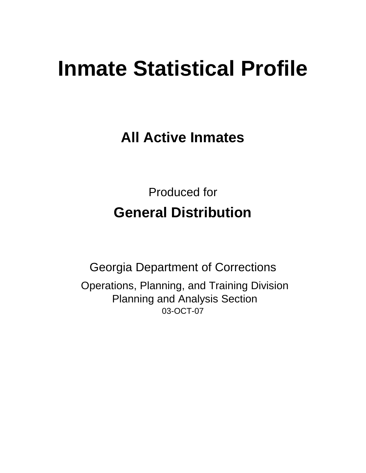# **Inmate Statistical Profile**

**All Active Inmates**

Produced for **General Distribution**

03-OCT-07 Georgia Department of Corrections Operations, Planning, and Training Division Planning and Analysis Section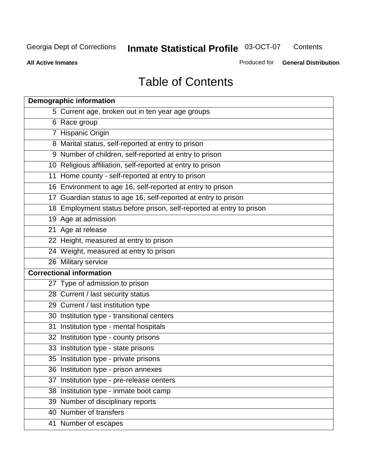**Contents** 

**All Active Inmates**

Produced for **General Distribution**

# Table of Contents

|    | <b>Demographic information</b>                                       |
|----|----------------------------------------------------------------------|
|    | 5 Current age, broken out in ten year age groups                     |
|    | 6 Race group                                                         |
|    | 7 Hispanic Origin                                                    |
|    | 8 Marital status, self-reported at entry to prison                   |
|    | 9 Number of children, self-reported at entry to prison               |
|    | 10 Religious affiliation, self-reported at entry to prison           |
|    | 11 Home county - self-reported at entry to prison                    |
|    | 16 Environment to age 16, self-reported at entry to prison           |
|    | 17 Guardian status to age 16, self-reported at entry to prison       |
|    | 18 Employment status before prison, self-reported at entry to prison |
|    | 19 Age at admission                                                  |
|    | 21 Age at release                                                    |
|    | 22 Height, measured at entry to prison                               |
|    | 24 Weight, measured at entry to prison                               |
|    | 26 Military service                                                  |
|    | <b>Correctional information</b>                                      |
|    | 27 Type of admission to prison                                       |
|    | 28 Current / last security status                                    |
|    | 29 Current / last institution type                                   |
|    | 30 Institution type - transitional centers                           |
|    | 31 Institution type - mental hospitals                               |
|    | 32 Institution type - county prisons                                 |
|    | 33 Institution type - state prisons                                  |
|    | 35 Institution type - private prisons                                |
|    | 36 Institution type - prison annexes                                 |
| 37 | Institution type - pre-release centers                               |
|    | 38 Institution type - inmate boot camp                               |
|    | 39 Number of disciplinary reports                                    |
|    | 40 Number of transfers                                               |
|    | 41 Number of escapes                                                 |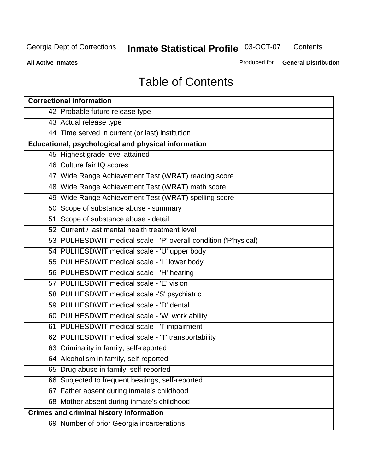**Contents** 

**All Active Inmates**

Produced for **General Distribution**

# Table of Contents

| <b>Correctional information</b>                                  |
|------------------------------------------------------------------|
| 42 Probable future release type                                  |
| 43 Actual release type                                           |
| 44 Time served in current (or last) institution                  |
| Educational, psychological and physical information              |
| 45 Highest grade level attained                                  |
| 46 Culture fair IQ scores                                        |
| 47 Wide Range Achievement Test (WRAT) reading score              |
| 48 Wide Range Achievement Test (WRAT) math score                 |
| 49 Wide Range Achievement Test (WRAT) spelling score             |
| 50 Scope of substance abuse - summary                            |
| 51 Scope of substance abuse - detail                             |
| 52 Current / last mental health treatment level                  |
| 53 PULHESDWIT medical scale - 'P' overall condition ('P'hysical) |
| 54 PULHESDWIT medical scale - 'U' upper body                     |
| 55 PULHESDWIT medical scale - 'L' lower body                     |
| 56 PULHESDWIT medical scale - 'H' hearing                        |
| 57 PULHESDWIT medical scale - 'E' vision                         |
| 58 PULHESDWIT medical scale -'S' psychiatric                     |
| 59 PULHESDWIT medical scale - 'D' dental                         |
| 60 PULHESDWIT medical scale - 'W' work ability                   |
| 61 PULHESDWIT medical scale - 'I' impairment                     |
| 62 PULHESDWIT medical scale - 'T' transportability               |
| 63 Criminality in family, self-reported                          |
| 64 Alcoholism in family, self-reported                           |
| 65 Drug abuse in family, self-reported                           |
| 66 Subjected to frequent beatings, self-reported                 |
| 67 Father absent during inmate's childhood                       |
| 68 Mother absent during inmate's childhood                       |
| <b>Crimes and criminal history information</b>                   |
| 69 Number of prior Georgia incarcerations                        |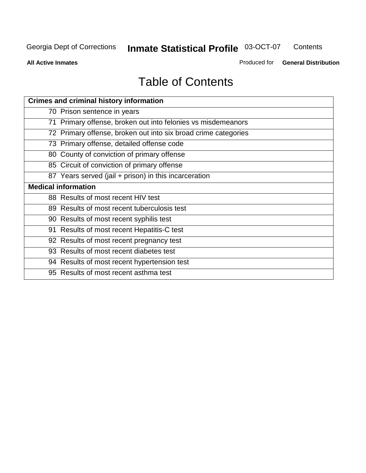**Contents** 

**All Active Inmates**

Produced for **General Distribution**

# Table of Contents

| <b>Crimes and criminal history information</b>                 |
|----------------------------------------------------------------|
| 70 Prison sentence in years                                    |
| 71 Primary offense, broken out into felonies vs misdemeanors   |
| 72 Primary offense, broken out into six broad crime categories |
| 73 Primary offense, detailed offense code                      |
| 80 County of conviction of primary offense                     |
| 85 Circuit of conviction of primary offense                    |
| 87 Years served (jail + prison) in this incarceration          |
| <b>Medical information</b>                                     |
| 88 Results of most recent HIV test                             |
| 89 Results of most recent tuberculosis test                    |
| 90 Results of most recent syphilis test                        |
| 91 Results of most recent Hepatitis-C test                     |
| 92 Results of most recent pregnancy test                       |
| 93 Results of most recent diabetes test                        |
| 94 Results of most recent hypertension test                    |
| 95 Results of most recent asthma test                          |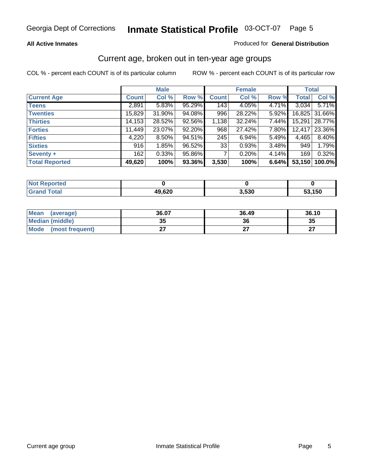#### **All Active Inmates**

#### Produced for **General Distribution**

### Current age, broken out in ten-year age groups

|                       |              | <b>Male</b> |        |              | <b>Female</b> |          |              | <b>Total</b>  |
|-----------------------|--------------|-------------|--------|--------------|---------------|----------|--------------|---------------|
| <b>Current Age</b>    | <b>Count</b> | Col %       | Row %  | <b>Count</b> | Col %         | Row %    | <b>Total</b> | Col %         |
| <b>Teens</b>          | 2,891        | 5.83%       | 95.29% | 143          | 4.05%         | 4.71%    | 3,034        | 5.71%         |
| <b>Twenties</b>       | 15,829       | 31.90%      | 94.08% | 996          | 28.22%        | $5.92\%$ |              | 16,825 31.66% |
| <b>Thirties</b>       | 14,153       | 28.52%      | 92.56% | 1,138        | 32.24%        | 7.44%    | 15,291       | 28.77%        |
| <b>Forties</b>        | 11,449       | 23.07%      | 92.20% | 968          | 27.42%        | 7.80%    | 12,417       | 23.36%        |
| <b>Fifties</b>        | 4,220        | 8.50%       | 94.51% | 245          | 6.94%         | 5.49%    | 4,465        | 8.40%         |
| <b>Sixties</b>        | 916          | 1.85%       | 96.52% | 33           | 0.93%         | 3.48%    | 949          | 1.79%         |
| Seventy +             | 162          | 0.33%       | 95.86% |              | 0.20%         | 4.14%    | 169          | 0.32%         |
| <b>Total Reported</b> | 49,620       | 100%        | 93.36% | 3,530        | 100%          | 6.64%    | 53,150       | 100.0%        |

| <b>Not Reported</b> |        |       |      |
|---------------------|--------|-------|------|
| <b>Total</b>        | 49,620 | 3,530 | 150, |

| <b>Mean</b><br>(average) | 36.07    | 36.49 | 36.10     |
|--------------------------|----------|-------|-----------|
| Median (middle)          | 25<br>vu | 36    | 35        |
| Mode<br>(most frequent)  |          |       | ^7<br>. . |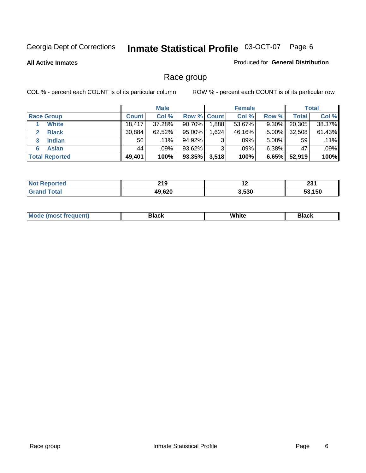**All Active Inmates**

#### Produced for **General Distribution**

### Race group

|                       |              | <b>Male</b> |             |       | <b>Female</b> |          |              | <b>Total</b> |
|-----------------------|--------------|-------------|-------------|-------|---------------|----------|--------------|--------------|
| <b>Race Group</b>     | <b>Count</b> | Col %       | Row % Count |       | Col %         | Row %    | <b>Total</b> | Col %        |
| <b>White</b>          | 18,417       | 37.28%      | 90.70%      | 888   | 53.67%        | 9.30%    | 20,305       | 38.37%       |
| <b>Black</b>          | 30,884       | $62.52\%$   | 95.00%      | .624  | 46.16%        | $5.00\%$ | 32,508       | 61.43%       |
| <b>Indian</b><br>3    | 56           | $.11\%$     | 94.92%      | 3     | .09%          | $5.08\%$ | 59           | .11%         |
| <b>Asian</b>          | 44           | $.09\%$     | 93.62%      | 3     | .09%          | $6.38\%$ | 47           | .09%         |
| <b>Total Reported</b> | 49,401       | 100%        | 93.35%      | 3,518 | 100%          | 6.65%    | 52,919       | 100%         |

| 24C<br>2 I J | $\sim$ | ີ<br>ZJ I |
|--------------|--------|-----------|
| AQ GON       | 3,530  | 150       |

|  | $Mc$ | Black | White<br>$ -$ | 21904<br>DIACK |
|--|------|-------|---------------|----------------|
|--|------|-------|---------------|----------------|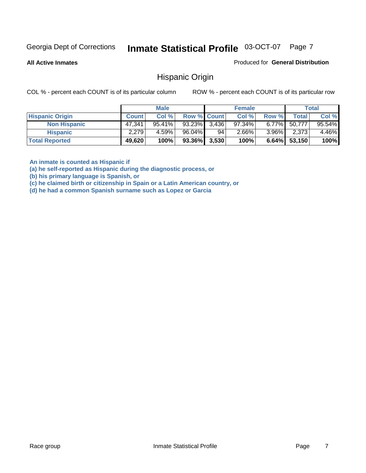**All Active Inmates**

Produced for **General Distribution**

### Hispanic Origin

COL % - percent each COUNT is of its particular column ROW % - percent each COUNT is of its particular row

|                        |                     | <b>Male</b> |                    |    | <b>Female</b> |          |        | <b>Total</b> |
|------------------------|---------------------|-------------|--------------------|----|---------------|----------|--------|--------------|
| <b>Hispanic Origin</b> | <b>Count</b>        | Col %       | <b>Row % Count</b> |    | Col %         | Row %    | Total  | Col %        |
| <b>Non Hispanic</b>    | 47,341              | $95.41\%$   | $93.23\%$ 3,436    |    | $97.34\%$     | $6.77\%$ | 50.777 | 95.54%       |
| <b>Hispanic</b>        | 2,279               | 4.59%       | 96.04%             | 94 | 2.66%         | $3.96\%$ | 2,373  | 4.46%        |
| <b>Total Reported</b>  | 49,620 <sup>1</sup> | 100%        | $93.36\%$ 3,530    |    | 100%          | $6.64\%$ | 53,150 | 100%         |

**An inmate is counted as Hispanic if** 

**(a) he self-reported as Hispanic during the diagnostic process, or** 

**(b) his primary language is Spanish, or** 

**(c) he claimed birth or citizenship in Spain or a Latin American country, or** 

**(d) he had a common Spanish surname such as Lopez or Garcia**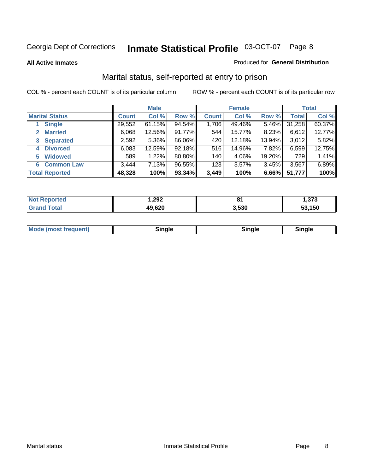**All Active Inmates**

#### Produced for **General Distribution**

### Marital status, self-reported at entry to prison

|                                | <b>Male</b>  |        |        | <b>Female</b> |        |        | <b>Total</b> |        |
|--------------------------------|--------------|--------|--------|---------------|--------|--------|--------------|--------|
| <b>Marital Status</b>          | <b>Count</b> | Col %  | Row %  | <b>Count</b>  | Col %  | Row %  | <b>Total</b> | Col %  |
| <b>Single</b>                  | 29,552       | 61.15% | 94.54% | 1,706         | 49.46% | 5.46%  | 31,258       | 60.37% |
| <b>Married</b><br>$\mathbf{2}$ | 6,068        | 12.56% | 91.77% | 544           | 15.77% | 8.23%  | 6,612        | 12.77% |
| <b>Separated</b><br>3          | 2,592        | 5.36%  | 86.06% | 420           | 12.18% | 13.94% | 3,012        | 5.82%  |
| <b>Divorced</b><br>4           | 6,083        | 12.59% | 92.18% | 516           | 14.96% | 7.82%  | 6,599        | 12.75% |
| <b>Widowed</b><br>5            | 589          | 1.22%  | 80.80% | 140           | 4.06%  | 19.20% | 729          | 1.41%  |
| <b>Common Law</b><br>6         | 3,444        | 7.13%  | 96.55% | 123           | 3.57%  | 3.45%  | 3,567        | 6.89%  |
| <b>Total Reported</b>          | 48,328       | 100%   | 93.34% | 3,449         | 100%   | 6.66%  | 51,777       | 100%   |

|         | ,292  | 634   | - 270 |
|---------|-------|-------|-------|
| _______ | 9 620 | 3.53C | .150  |

|  | Mode (most f<br>freauent) | `ınale |  | `inale |
|--|---------------------------|--------|--|--------|
|--|---------------------------|--------|--|--------|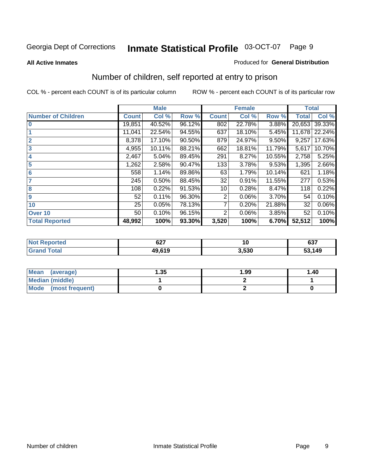#### **All Active Inmates**

#### Produced for **General Distribution**

### Number of children, self reported at entry to prison

|                           | <b>Male</b>  |        |        |              | <b>Female</b> |        | <b>Total</b> |        |
|---------------------------|--------------|--------|--------|--------------|---------------|--------|--------------|--------|
| <b>Number of Children</b> | <b>Count</b> | Col %  | Row %  | <b>Count</b> | Col %         | Row %  | <b>Total</b> | Col %  |
| $\bf{0}$                  | 19,851       | 40.52% | 96.12% | 802          | 22.78%        | 3.88%  | 20,653       | 39.33% |
|                           | 11,041       | 22.54% | 94.55% | 637          | 18.10%        | 5.45%  | 11,678       | 22.24% |
| $\overline{2}$            | 8,378        | 17.10% | 90.50% | 879          | 24.97%        | 9.50%  | 9,257        | 17.63% |
| 3                         | 4,955        | 10.11% | 88.21% | 662          | 18.81%        | 11.79% | 5,617        | 10.70% |
| 4                         | 2,467        | 5.04%  | 89.45% | 291          | 8.27%         | 10.55% | 2,758        | 5.25%  |
| 5                         | 1,262        | 2.58%  | 90.47% | 133          | 3.78%         | 9.53%  | 1,395        | 2.66%  |
| $6\phantom{a}$            | 558          | 1.14%  | 89.86% | 63           | 1.79%         | 10.14% | 621          | 1.18%  |
| 7                         | 245          | 0.50%  | 88.45% | 32           | 0.91%         | 11.55% | 277          | 0.53%  |
| 8                         | 108          | 0.22%  | 91.53% | 10           | 0.28%         | 8.47%  | 118          | 0.22%  |
| 9                         | 52           | 0.11%  | 96.30% | 2            | 0.06%         | 3.70%  | 54           | 0.10%  |
| 10                        | 25           | 0.05%  | 78.13% | 7            | 0.20%         | 21.88% | 32           | 0.06%  |
| Over 10                   | 50           | 0.10%  | 96.15% | 2            | 0.06%         | 3.85%  | 52           | 0.10%  |
| <b>Total Reported</b>     | 48,992       | 100%   | 93.30% | 3,520        | 100%          | 6.70%  | 52,512       | 100%   |

| 79 O       | <b>CO7</b><br>V41 | ''    | 0.27<br>י כס |
|------------|-------------------|-------|--------------|
| <b>ota</b> | $AQ$ $64C$        | 3.530 | 149          |

| Mean<br>(average)              | .35 | 1.99 | 1.40 |
|--------------------------------|-----|------|------|
| <b>Median (middle)</b>         |     |      |      |
| <b>Mode</b><br>(most frequent) |     |      |      |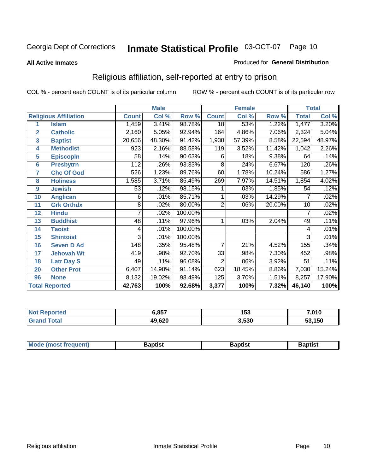#### **All Active Inmates**

#### Produced for **General Distribution**

### Religious affiliation, self-reported at entry to prison

|                  |                              |                  | <b>Male</b> |         | <b>Female</b>   |        |        | <b>Total</b>    |        |
|------------------|------------------------------|------------------|-------------|---------|-----------------|--------|--------|-----------------|--------|
|                  | <b>Religious Affiliation</b> | <b>Count</b>     | Col %       | Row %   | <b>Count</b>    | Col %  | Row %  | <b>Total</b>    | Col %  |
| 1                | <b>Islam</b>                 | 1,459            | 3.41%       | 98.78%  | $\overline{18}$ | .53%   | 1.22%  | 1,477           | 3.20%  |
| $\overline{2}$   | <b>Catholic</b>              | 2,160            | 5.05%       | 92.94%  | 164             | 4.86%  | 7.06%  | 2,324           | 5.04%  |
| 3                | <b>Baptist</b>               | 20,656           | 48.30%      | 91.42%  | 1,938           | 57.39% | 8.58%  | 22,594          | 48.97% |
| 4                | <b>Methodist</b>             | 923              | 2.16%       | 88.58%  | 119             | 3.52%  | 11.42% | 1,042           | 2.26%  |
| 5                | <b>EpiscopIn</b>             | 58               | .14%        | 90.63%  | 6               | .18%   | 9.38%  | 64              | .14%   |
| 6                | <b>Presbytrn</b>             | $\overline{112}$ | .26%        | 93.33%  | 8               | .24%   | 6.67%  | 120             | .26%   |
| 7                | <b>Chc Of God</b>            | 526              | 1.23%       | 89.76%  | 60              | 1.78%  | 10.24% | 586             | 1.27%  |
| 8                | <b>Holiness</b>              | 1,585            | 3.71%       | 85.49%  | 269             | 7.97%  | 14.51% | 1,854           | 4.02%  |
| $\boldsymbol{9}$ | <b>Jewish</b>                | 53               | .12%        | 98.15%  |                 | .03%   | 1.85%  | 54              | .12%   |
| 10               | <b>Anglican</b>              | 6                | .01%        | 85.71%  |                 | .03%   | 14.29% | 7               | .02%   |
| 11               | <b>Grk Orthdx</b>            | 8                | .02%        | 80.00%  | $\overline{2}$  | .06%   | 20.00% | 10              | .02%   |
| 12               | <b>Hindu</b>                 | 7                | .02%        | 100.00% |                 |        |        | 7               | .02%   |
| 13               | <b>Buddhist</b>              | 48               | .11%        | 97.96%  | 1               | .03%   | 2.04%  | 49              | .11%   |
| 14               | <b>Taoist</b>                | 4                | .01%        | 100.00% |                 |        |        | 4               | .01%   |
| 15               | <b>Shintoist</b>             | 3                | .01%        | 100.00% |                 |        |        | 3               | .01%   |
| 16               | <b>Seven D Ad</b>            | 148              | .35%        | 95.48%  | $\overline{7}$  | .21%   | 4.52%  | 155             | .34%   |
| 17               | <b>Jehovah Wt</b>            | 419              | .98%        | 92.70%  | 33              | .98%   | 7.30%  | 452             | .98%   |
| 18               | <b>Latr Day S</b>            | 49               | .11%        | 96.08%  | $\overline{2}$  | .06%   | 3.92%  | $\overline{51}$ | .11%   |
| 20               | <b>Other Prot</b>            | 6,407            | 14.98%      | 91.14%  | 623             | 18.45% | 8.86%  | 7,030           | 15.24% |
| 96               | <b>None</b>                  | 8,132            | 19.02%      | 98.49%  | 125             | 3.70%  | 1.51%  | 8,257           | 17.90% |
|                  | <b>Total Reported</b>        | 42,763           | 100%        | 92.68%  | 3,377           | 100%   | 7.32%  | 46,140          | 100%   |

| ortec | <b>5.857</b> | 153   | 7,010      |
|-------|--------------|-------|------------|
|       | 49,620       | 3,530 | ,150<br>ວວ |

|  | <b>Mode</b><br>reduent)<br>ns | ำotist | 3aptist | Baptıst |
|--|-------------------------------|--------|---------|---------|
|--|-------------------------------|--------|---------|---------|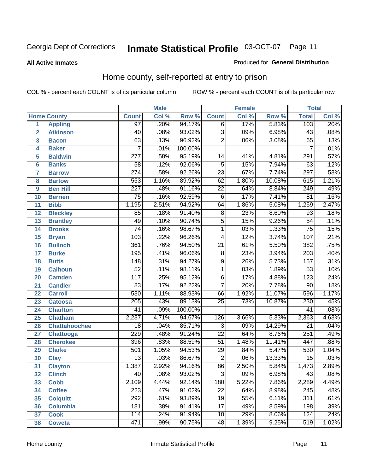#### **All Active Inmates**

#### Produced for **General Distribution**

### Home county, self-reported at entry to prison

|                |                      |                  | <b>Male</b> |         |                 | <b>Female</b> |        | <b>Total</b>     |       |
|----------------|----------------------|------------------|-------------|---------|-----------------|---------------|--------|------------------|-------|
|                | <b>Home County</b>   | <b>Count</b>     | Col %       | Row %   | <b>Count</b>    | Col %         | Row %  | <b>Total</b>     | Col % |
| 1              | <b>Appling</b>       | $\overline{97}$  | .20%        | 94.17%  | 6               | .17%          | 5.83%  | 103              | .20%  |
| $\overline{2}$ | <b>Atkinson</b>      | 40               | .08%        | 93.02%  | $\overline{3}$  | .09%          | 6.98%  | $\overline{43}$  | .08%  |
| 3              | <b>Bacon</b>         | 63               | .13%        | 96.92%  | $\overline{2}$  | .06%          | 3.08%  | 65               | .13%  |
| 4              | <b>Baker</b>         | $\overline{7}$   | .01%        | 100.00% |                 |               |        | $\overline{7}$   | .01%  |
| 5              | <b>Baldwin</b>       | $\overline{277}$ | .58%        | 95.19%  | 14              | .41%          | 4.81%  | 291              | .57%  |
| $6\phantom{a}$ | <b>Banks</b>         | $\overline{58}$  | .12%        | 92.06%  | $\overline{5}$  | .15%          | 7.94%  | 63               | .12%  |
| $\overline{7}$ | <b>Barrow</b>        | 274              | .58%        | 92.26%  | $\overline{23}$ | .67%          | 7.74%  | $\overline{297}$ | .58%  |
| 8              | <b>Bartow</b>        | 553              | 1.16%       | 89.92%  | $\overline{62}$ | 1.80%         | 10.08% | 615              | 1.21% |
| 9              | <b>Ben Hill</b>      | $\overline{227}$ | .48%        | 91.16%  | $\overline{22}$ | .64%          | 8.84%  | 249              | .49%  |
| 10             | <b>Berrien</b>       | $\overline{75}$  | .16%        | 92.59%  | $\overline{6}$  | .17%          | 7.41%  | $\overline{81}$  | .16%  |
| 11             | <b>Bibb</b>          | 1,195            | 2.51%       | 94.92%  | 64              | 1.86%         | 5.08%  | 1,259            | 2.47% |
| 12             | <b>Bleckley</b>      | $\overline{85}$  | .18%        | 91.40%  | $\overline{8}$  | .23%          | 8.60%  | $\overline{93}$  | .18%  |
| 13             | <b>Brantley</b>      | 49               | .10%        | 90.74%  | $\overline{5}$  | .15%          | 9.26%  | $\overline{54}$  | .11%  |
| 14             | <b>Brooks</b>        | $\overline{74}$  | .16%        | 98.67%  | $\overline{1}$  | .03%          | 1.33%  | $\overline{75}$  | .15%  |
| 15             | <b>Bryan</b>         | 103              | .22%        | 96.26%  | $\overline{4}$  | .12%          | 3.74%  | 107              | .21%  |
| 16             | <b>Bulloch</b>       | 361              | .76%        | 94.50%  | $\overline{21}$ | .61%          | 5.50%  | $\overline{382}$ | .75%  |
| 17             | <b>Burke</b>         | 195              | .41%        | 96.06%  | $\overline{8}$  | .23%          | 3.94%  | $\overline{203}$ | .40%  |
| 18             | <b>Butts</b>         | $\overline{148}$ | .31%        | 94.27%  | $\overline{9}$  | .26%          | 5.73%  | 157              | .31%  |
| 19             | <b>Calhoun</b>       | $\overline{52}$  | .11%        | 98.11%  | $\overline{1}$  | .03%          | 1.89%  | $\overline{53}$  | .10%  |
| 20             | <b>Camden</b>        | $\overline{117}$ | .25%        | 95.12%  | $\overline{6}$  | .17%          | 4.88%  | $\overline{123}$ | .24%  |
| 21             | <b>Candler</b>       | $\overline{83}$  | .17%        | 92.22%  | $\overline{7}$  | .20%          | 7.78%  | 90               | .18%  |
| 22             | <b>Carroll</b>       | 530              | 1.11%       | 88.93%  | 66              | 1.92%         | 11.07% | 596              | 1.17% |
| 23             | <b>Catoosa</b>       | $\overline{205}$ | .43%        | 89.13%  | $\overline{25}$ | .73%          | 10.87% | 230              | .45%  |
| 24             | <b>Charlton</b>      | $\overline{41}$  | .09%        | 100.00% |                 |               |        | $\overline{41}$  | .08%  |
| 25             | <b>Chatham</b>       | 2,237            | 4.71%       | 94.67%  | 126             | 3.66%         | 5.33%  | 2,363            | 4.63% |
| 26             | <b>Chattahoochee</b> | $\overline{18}$  | .04%        | 85.71%  | 3               | .09%          | 14.29% | $\overline{21}$  | .04%  |
| 27             | <b>Chattooga</b>     | 229              | .48%        | 91.24%  | $\overline{22}$ | .64%          | 8.76%  | $\overline{251}$ | .49%  |
| 28             | <b>Cherokee</b>      | 396              | .83%        | 88.59%  | $\overline{51}$ | 1.48%         | 11.41% | 447              | .88%  |
| 29             | <b>Clarke</b>        | 501              | 1.05%       | 94.53%  | $\overline{29}$ | .84%          | 5.47%  | 530              | 1.04% |
| 30             | <b>Clay</b>          | $\overline{13}$  | .03%        | 86.67%  | $\overline{2}$  | .06%          | 13.33% | $\overline{15}$  | .03%  |
| 31             | <b>Clayton</b>       | 1,387            | 2.92%       | 94.16%  | 86              | 2.50%         | 5.84%  | 1,473            | 2.89% |
| 32             | <b>Clinch</b>        | $\overline{40}$  | .08%        | 93.02%  | 3               | .09%          | 6.98%  | $\overline{43}$  | .08%  |
| 33             | <b>Cobb</b>          | 2,109            | 4.44%       | 92.14%  | 180             | 5.22%         | 7.86%  | 2,289            | 4.49% |
| 34             | <b>Coffee</b>        | 223              | .47%        | 91.02%  | $\overline{22}$ | .64%          | 8.98%  | 245              | .48%  |
| 35             | <b>Colquitt</b>      | 292              | .61%        | 93.89%  | 19              | .55%          | 6.11%  | 311              | .61%  |
| 36             | <b>Columbia</b>      | 181              | .38%        | 91.41%  | $\overline{17}$ | .49%          | 8.59%  | 198              | .39%  |
| 37             | <b>Cook</b>          | 114              | .24%        | 91.94%  | 10              | .29%          | 8.06%  | 124              | .24%  |
| 38             | <b>Coweta</b>        | 471              | .99%        | 90.75%  | 48              | 1.39%         | 9.25%  | 519              | 1.02% |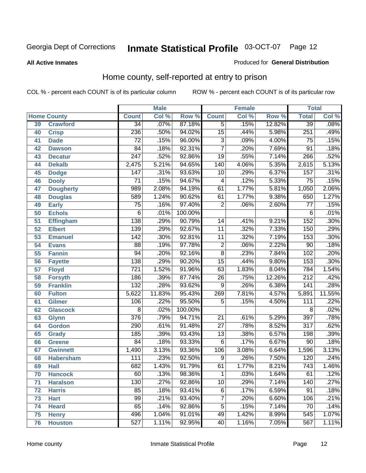#### **All Active Inmates**

#### Produced for **General Distribution**

### Home county, self-reported at entry to prison

|                 |                    |                  | <b>Male</b> |         |                 | <b>Female</b> |        | <b>Total</b>     |        |
|-----------------|--------------------|------------------|-------------|---------|-----------------|---------------|--------|------------------|--------|
|                 | <b>Home County</b> | <b>Count</b>     | Col %       | Row %   | <b>Count</b>    | Col %         | Row %  | <b>Total</b>     | Col %  |
| 39              | <b>Crawford</b>    | $\overline{34}$  | .07%        | 87.18%  | 5               | .15%          | 12.82% | 39               | .08%   |
| 40              | <b>Crisp</b>       | 236              | .50%        | 94.02%  | $\overline{15}$ | .44%          | 5.98%  | 251              | .49%   |
| 41              | <b>Dade</b>        | $\overline{72}$  | .15%        | 96.00%  | $\overline{3}$  | .09%          | 4.00%  | 75               | .15%   |
| 42              | <b>Dawson</b>      | $\overline{84}$  | .18%        | 92.31%  | $\overline{7}$  | .20%          | 7.69%  | $\overline{91}$  | .18%   |
| 43              | <b>Decatur</b>     | $\overline{247}$ | .52%        | 92.86%  | $\overline{19}$ | .55%          | 7.14%  | 266              | .52%   |
| 44              | <b>Dekalb</b>      | 2,475            | 5.21%       | 94.65%  | 140             | 4.06%         | 5.35%  | 2,615            | 5.13%  |
| 45              | <b>Dodge</b>       | $\overline{147}$ | .31%        | 93.63%  | 10              | .29%          | 6.37%  | 157              | .31%   |
| 46              | <b>Dooly</b>       | $\overline{71}$  | .15%        | 94.67%  | 4               | .12%          | 5.33%  | $\overline{75}$  | .15%   |
| 47              | <b>Dougherty</b>   | 989              | 2.08%       | 94.19%  | 61              | 1.77%         | 5.81%  | 1,050            | 2.06%  |
| 48              | <b>Douglas</b>     | 589              | 1.24%       | 90.62%  | 61              | 1.77%         | 9.38%  | 650              | 1.27%  |
| 49              | <b>Early</b>       | $\overline{75}$  | .16%        | 97.40%  | $\overline{2}$  | .06%          | 2.60%  | $\overline{77}$  | .15%   |
| 50              | <b>Echols</b>      | $\overline{6}$   | .01%        | 100.00% |                 |               |        | 6                | .01%   |
| $\overline{51}$ | Effingham          | 138              | .29%        | 90.79%  | 14              | .41%          | 9.21%  | 152              | .30%   |
| 52              | <b>Elbert</b>      | 139              | .29%        | 92.67%  | $\overline{11}$ | .32%          | 7.33%  | 150              | .29%   |
| 53              | <b>Emanuel</b>     | 142              | .30%        | 92.81%  | $\overline{11}$ | .32%          | 7.19%  | 153              | .30%   |
| 54              | <b>Evans</b>       | $\overline{88}$  | .19%        | 97.78%  | $\overline{2}$  | .06%          | 2.22%  | $\overline{90}$  | .18%   |
| 55              | <b>Fannin</b>      | 94               | .20%        | 92.16%  | $\overline{8}$  | .23%          | 7.84%  | 102              | .20%   |
| 56              | <b>Fayette</b>     | 138              | .29%        | 90.20%  | $\overline{15}$ | .44%          | 9.80%  | 153              | .30%   |
| 57              | <b>Floyd</b>       | $\overline{721}$ | 1.52%       | 91.96%  | 63              | 1.83%         | 8.04%  | 784              | 1.54%  |
| 58              | <b>Forsyth</b>     | 186              | .39%        | 87.74%  | $\overline{26}$ | .75%          | 12.26% | $\overline{212}$ | .42%   |
| 59              | <b>Franklin</b>    | 132              | .28%        | 93.62%  | $\overline{9}$  | .26%          | 6.38%  | $\overline{141}$ | .28%   |
| 60              | <b>Fulton</b>      | 5,622            | 11.83%      | 95.43%  | 269             | 7.81%         | 4.57%  | 5,891            | 11.55% |
| 61              | Gilmer             | $\overline{106}$ | .22%        | 95.50%  | 5               | .15%          | 4.50%  | 111              | .22%   |
| 62              | <b>Glascock</b>    | $\overline{8}$   | .02%        | 100.00% |                 |               |        | $\overline{8}$   | .02%   |
| 63              | <b>Glynn</b>       | $\overline{376}$ | .79%        | 94.71%  | $\overline{21}$ | .61%          | 5.29%  | 397              | .78%   |
| 64              | <b>Gordon</b>      | 290              | .61%        | 91.48%  | $\overline{27}$ | .78%          | 8.52%  | $\overline{317}$ | .62%   |
| 65              | <b>Grady</b>       | 185              | .39%        | 93.43%  | $\overline{13}$ | .38%          | 6.57%  | 198              | .39%   |
| 66              | <b>Greene</b>      | $\overline{84}$  | .18%        | 93.33%  | 6               | .17%          | 6.67%  | $\overline{90}$  | .18%   |
| 67              | <b>Gwinnett</b>    | 1,490            | 3.13%       | 93.36%  | 106             | 3.08%         | 6.64%  | 1,596            | 3.13%  |
| 68              | <b>Habersham</b>   | 111              | .23%        | 92.50%  | 9               | .26%          | 7.50%  | 120              | .24%   |
| 69              | <b>Hall</b>        | 682              | 1.43%       | 91.79%  | 61              | 1.77%         | 8.21%  | $\overline{743}$ | 1.46%  |
| 70              | <b>Hancock</b>     | 60               | .13%        | 98.36%  | 1               | .03%          | 1.64%  | 61               | .12%   |
| 71              | <b>Haralson</b>    | 130              | .27%        | 92.86%  | $\overline{10}$ | .29%          | 7.14%  | 140              | .27%   |
| 72              | <b>Harris</b>      | 85               | .18%        | 93.41%  | 6               | .17%          | 6.59%  | $\overline{91}$  | .18%   |
| 73              | <b>Hart</b>        | $\overline{99}$  | .21%        | 93.40%  | $\overline{7}$  | .20%          | 6.60%  | 106              | .21%   |
| 74              | <b>Heard</b>       | 65               | .14%        | 92.86%  | $\overline{5}$  | .15%          | 7.14%  | 70               | .14%   |
| 75              | <b>Henry</b>       | 496              | 1.04%       | 91.01%  | 49              | 1.42%         | 8.99%  | 545              | 1.07%  |
| 76              | <b>Houston</b>     | $\overline{527}$ | 1.11%       | 92.95%  | 40              | 1.16%         | 7.05%  | 567              | 1.11%  |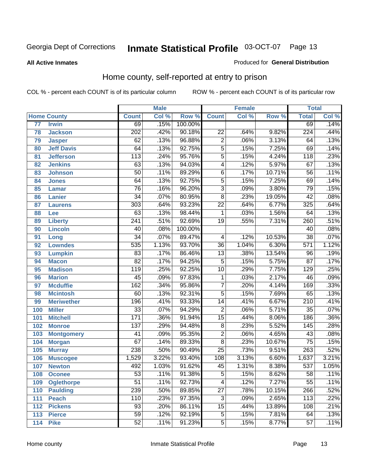#### **All Active Inmates**

#### Produced for **General Distribution**

### Home county, self-reported at entry to prison

|       |                    |                  | <b>Male</b> |         |                           | <b>Female</b> |        | <b>Total</b>     |       |
|-------|--------------------|------------------|-------------|---------|---------------------------|---------------|--------|------------------|-------|
|       | <b>Home County</b> | <b>Count</b>     | Col %       | Row %   | <b>Count</b>              | Col %         | Row %  | <b>Total</b>     | Col % |
| 77    | <b>Irwin</b>       | 69               | .15%        | 100.00% |                           |               |        | 69               | .14%  |
| 78    | <b>Jackson</b>     | $\overline{202}$ | .42%        | 90.18%  | $\overline{22}$           | .64%          | 9.82%  | $\overline{224}$ | .44%  |
| 79    | <b>Jasper</b>      | 62               | .13%        | 96.88%  | $\overline{2}$            | .06%          | 3.13%  | 64               | .13%  |
| 80    | <b>Jeff Davis</b>  | 64               | .13%        | 92.75%  | $\overline{5}$            | .15%          | 7.25%  | 69               | .14%  |
| 81    | <b>Jefferson</b>   | $\overline{113}$ | .24%        | 95.76%  | $\overline{5}$            | .15%          | 4.24%  | $\overline{118}$ | .23%  |
| 82    | <b>Jenkins</b>     | 63               | .13%        | 94.03%  | 4                         | .12%          | 5.97%  | 67               | .13%  |
| 83    | <b>Johnson</b>     | $\overline{50}$  | .11%        | 89.29%  | $\overline{6}$            | .17%          | 10.71% | $\overline{56}$  | .11%  |
| 84    | <b>Jones</b>       | 64               | .13%        | 92.75%  | $\overline{5}$            | .15%          | 7.25%  | 69               | .14%  |
| 85    | <b>Lamar</b>       | $\overline{76}$  | .16%        | 96.20%  | $\overline{\overline{3}}$ | .09%          | 3.80%  | $\overline{79}$  | .15%  |
| 86    | <b>Lanier</b>      | $\overline{34}$  | .07%        | 80.95%  | $\overline{8}$            | .23%          | 19.05% | $\overline{42}$  | .08%  |
| 87    | <b>Laurens</b>     | $\overline{303}$ | .64%        | 93.23%  | $\overline{22}$           | .64%          | 6.77%  | 325              | .64%  |
| 88    | <b>Lee</b>         | 63               | .13%        | 98.44%  | 1                         | .03%          | 1.56%  | 64               | .13%  |
| 89    | <b>Liberty</b>     | 241              | .51%        | 92.69%  | $\overline{19}$           | .55%          | 7.31%  | 260              | .51%  |
| 90    | <b>Lincoln</b>     | 40               | .08%        | 100.00% |                           |               |        | 40               | .08%  |
| 91    | Long               | $\overline{34}$  | .07%        | 89.47%  | 4                         | .12%          | 10.53% | $\overline{38}$  | .07%  |
| 92    | <b>Lowndes</b>     | 535              | 1.13%       | 93.70%  | $\overline{36}$           | 1.04%         | 6.30%  | $\overline{571}$ | 1.12% |
| 93    | <b>Lumpkin</b>     | $\overline{83}$  | .17%        | 86.46%  | $\overline{13}$           | .38%          | 13.54% | $\overline{96}$  | .19%  |
| 94    | <b>Macon</b>       | $\overline{82}$  | .17%        | 94.25%  | $\overline{5}$            | .15%          | 5.75%  | $\overline{87}$  | .17%  |
| 95    | <b>Madison</b>     | $\overline{119}$ | .25%        | 92.25%  | $\overline{10}$           | .29%          | 7.75%  | 129              | .25%  |
| 96    | <b>Marion</b>      | $\overline{45}$  | .09%        | 97.83%  | 1                         | .03%          | 2.17%  | 46               | .09%  |
| 97    | <b>Mcduffie</b>    | $\overline{162}$ | .34%        | 95.86%  | $\overline{7}$            | .20%          | 4.14%  | 169              | .33%  |
| 98    | <b>Mcintosh</b>    | 60               | .13%        | 92.31%  | $\overline{5}$            | .15%          | 7.69%  | 65               | .13%  |
| 99    | <b>Meriwether</b>  | 196              | .41%        | 93.33%  | $\overline{14}$           | .41%          | 6.67%  | $\overline{210}$ | .41%  |
| 100   | <b>Miller</b>      | $\overline{33}$  | .07%        | 94.29%  | $\overline{2}$            | .06%          | 5.71%  | $\overline{35}$  | .07%  |
| 101   | <b>Mitchell</b>    | 171              | .36%        | 91.94%  | $\overline{15}$           | .44%          | 8.06%  | 186              | .36%  |
| 102   | <b>Monroe</b>      | 137              | .29%        | 94.48%  | $\overline{8}$            | .23%          | 5.52%  | 145              | .28%  |
| 103   | <b>Montgomery</b>  | $\overline{41}$  | .09%        | 95.35%  | $\overline{2}$            | .06%          | 4.65%  | $\overline{43}$  | .08%  |
| 104   | <b>Morgan</b>      | $\overline{67}$  | .14%        | 89.33%  | $\overline{8}$            | .23%          | 10.67% | $\overline{75}$  | .15%  |
| $105$ | <b>Murray</b>      | 238              | .50%        | 90.49%  | $\overline{25}$           | .73%          | 9.51%  | $\overline{263}$ | .52%  |
| 106   | <b>Muscogee</b>    | 1,529            | 3.22%       | 93.40%  | 108                       | 3.13%         | 6.60%  | 1,637            | 3.21% |
| 107   | <b>Newton</b>      | 492              | 1.03%       | 91.62%  | $\overline{45}$           | 1.31%         | 8.38%  | $\overline{537}$ | 1.05% |
| 108   | <b>Oconee</b>      | 53               | .11%        | 91.38%  | 5                         | .15%          | 8.62%  | 58               | .11%  |
| 109   | <b>Oglethorpe</b>  | $\overline{51}$  | .11%        | 92.73%  | 4                         | .12%          | 7.27%  | $\overline{55}$  | .11%  |
| 110   | <b>Paulding</b>    | 239              | .50%        | 89.85%  | $\overline{27}$           | .78%          | 10.15% | 266              | .52%  |
| 111   | <b>Peach</b>       | 110              | .23%        | 97.35%  | $\overline{3}$            | .09%          | 2.65%  | $\overline{113}$ | .22%  |
| 112   | <b>Pickens</b>     | 93               | .20%        | 86.11%  | $\overline{15}$           | .44%          | 13.89% | 108              | .21%  |
| 113   | <b>Pierce</b>      | $\overline{59}$  | .12%        | 92.19%  | $\overline{5}$            | .15%          | 7.81%  | 64               | .13%  |
| 114   | <b>Pike</b>        | $\overline{52}$  | .11%        | 91.23%  | $\overline{5}$            | .15%          | 8.77%  | 57               | .11%  |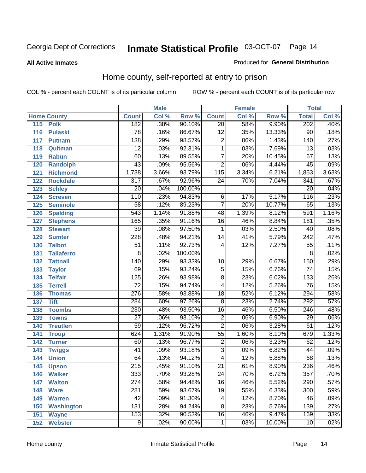#### **All Active Inmates**

#### Produced for **General Distribution**

### Home county, self-reported at entry to prison

|     |                    |                  | <b>Male</b> |         |                         | <b>Female</b> |        | <b>Total</b>     |       |
|-----|--------------------|------------------|-------------|---------|-------------------------|---------------|--------|------------------|-------|
|     | <b>Home County</b> | <b>Count</b>     | Col %       | Row %   | <b>Count</b>            | Col %         | Row %  | <b>Total</b>     | Col % |
| 115 | <b>Polk</b>        | 182              | .38%        | 90.10%  | $\overline{20}$         | .58%          | 9.90%  | 202              | .40%  |
| 116 | <b>Pulaski</b>     | $\overline{78}$  | .16%        | 86.67%  | $\overline{12}$         | .35%          | 13.33% | $\overline{90}$  | .18%  |
| 117 | <b>Putnam</b>      | $\overline{138}$ | .29%        | 98.57%  | $\overline{2}$          | .06%          | 1.43%  | 140              | .27%  |
| 118 | Quitman            | $\overline{12}$  | .03%        | 92.31%  | $\overline{1}$          | .03%          | 7.69%  | 13               | .03%  |
| 119 | <b>Rabun</b>       | 60               | .13%        | 89.55%  | $\overline{7}$          | .20%          | 10.45% | 67               | .13%  |
| 120 | <b>Randolph</b>    | $\overline{43}$  | .09%        | 95.56%  | $\overline{2}$          | .06%          | 4.44%  | 45               | .09%  |
| 121 | <b>Richmond</b>    | 1,738            | 3.66%       | 93.79%  | $\overline{115}$        | 3.34%         | 6.21%  | 1,853            | 3.63% |
| 122 | <b>Rockdale</b>    | 317              | .67%        | 92.96%  | $\overline{24}$         | .70%          | 7.04%  | 341              | .67%  |
| 123 | <b>Schley</b>      | $\overline{20}$  | .04%        | 100.00% |                         |               |        | $\overline{20}$  | .04%  |
| 124 | <b>Screven</b>     | 110              | .23%        | 94.83%  | 6                       | .17%          | 5.17%  | 116              | .23%  |
| 125 | <b>Seminole</b>    | 58               | .12%        | 89.23%  | $\overline{7}$          | .20%          | 10.77% | 65               | .13%  |
| 126 | <b>Spalding</b>    | $\overline{543}$ | 1.14%       | 91.88%  | 48                      | 1.39%         | 8.12%  | 591              | 1.16% |
| 127 | <b>Stephens</b>    | 165              | .35%        | 91.16%  | $\overline{16}$         | .46%          | 8.84%  | 181              | .35%  |
| 128 | <b>Stewart</b>     | $\overline{39}$  | .08%        | 97.50%  | 1                       | .03%          | 2.50%  | $\overline{40}$  | .08%  |
| 129 | <b>Sumter</b>      | 228              | .48%        | 94.21%  | $\overline{14}$         | .41%          | 5.79%  | $\overline{242}$ | .47%  |
| 130 | <b>Talbot</b>      | $\overline{51}$  | .11%        | 92.73%  | 4                       | .12%          | 7.27%  | $\overline{55}$  | .11%  |
| 131 | <b>Taliaferro</b>  | 8                | .02%        | 100.00% |                         |               |        | 8                | .02%  |
| 132 | <b>Tattnall</b>    | 140              | .29%        | 93.33%  | 10                      | .29%          | 6.67%  | 150              | .29%  |
| 133 | <b>Taylor</b>      | 69               | .15%        | 93.24%  | 5                       | .15%          | 6.76%  | 74               | .15%  |
| 134 | <b>Telfair</b>     | 125              | .26%        | 93.98%  | $\overline{8}$          | .23%          | 6.02%  | $\overline{133}$ | .26%  |
| 135 | <b>Terrell</b>     | $\overline{72}$  | .15%        | 94.74%  | $\overline{\mathbf{4}}$ | .12%          | 5.26%  | 76               | .15%  |
| 136 | <b>Thomas</b>      | $\overline{276}$ | .58%        | 93.88%  | $\overline{18}$         | .52%          | 6.12%  | 294              | .58%  |
| 137 | <b>Tift</b>        | 284              | .60%        | 97.26%  | $\overline{8}$          | .23%          | 2.74%  | 292              | .57%  |
| 138 | <b>Toombs</b>      | 230              | .48%        | 93.50%  | $\overline{16}$         | .46%          | 6.50%  | 246              | .48%  |
| 139 | <b>Towns</b>       | $\overline{27}$  | .06%        | 93.10%  | $\overline{2}$          | .06%          | 6.90%  | $\overline{29}$  | .06%  |
| 140 | <b>Treutlen</b>    | $\overline{59}$  | .12%        | 96.72%  | $\overline{2}$          | .06%          | 3.28%  | 61               | .12%  |
| 141 | <b>Troup</b>       | 624              | 1.31%       | 91.90%  | $\overline{55}$         | 1.60%         | 8.10%  | 679              | 1.33% |
| 142 | <b>Turner</b>      | 60               | .13%        | 96.77%  | $\overline{2}$          | .06%          | 3.23%  | 62               | .12%  |
| 143 | <b>Twiggs</b>      | $\overline{41}$  | .09%        | 93.18%  | $\overline{3}$          | .09%          | 6.82%  | 44               | .09%  |
| 144 | <b>Union</b>       | 64               | .13%        | 94.12%  | $\overline{4}$          | .12%          | 5.88%  | 68               | .13%  |
| 145 | <b>Upson</b>       | $\overline{215}$ | .45%        | 91.10%  | $\overline{21}$         | .61%          | 8.90%  | 236              | .46%  |
| 146 | <b>Walker</b>      | 333              | .70%        | 93.28%  | $\overline{24}$         | .70%          | 6.72%  | $\overline{357}$ | .70%  |
| 147 | <b>Walton</b>      | 274              | .58%        | 94.48%  | $\overline{16}$         | .46%          | 5.52%  | 290              | .57%  |
| 148 | <b>Ware</b>        | 281              | .59%        | 93.67%  | $\overline{19}$         | .55%          | 6.33%  | 300              | .59%  |
| 149 | <b>Warren</b>      | 42               | .09%        | 91.30%  | 4                       | .12%          | 8.70%  | 46               | .09%  |
| 150 | <b>Washington</b>  | 131              | .28%        | 94.24%  | $\overline{8}$          | .23%          | 5.76%  | 139              | .27%  |
| 151 | <b>Wayne</b>       | 153              | .32%        | 90.53%  | $\overline{16}$         | .46%          | 9.47%  | 169              | .33%  |
| 152 | <b>Webster</b>     | $\overline{9}$   | .02%        | 90.00%  | 1                       | .03%          | 10.00% | 10               | .02%  |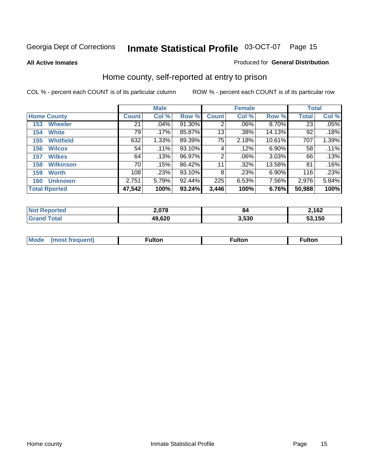#### **All Active Inmates**

#### Produced for **General Distribution**

### Home county, self-reported at entry to prison

|                      |                  | <b>Male</b>  |         |        |              | <b>Female</b> | <b>Total</b> |              |       |
|----------------------|------------------|--------------|---------|--------|--------------|---------------|--------------|--------------|-------|
| <b>Home County</b>   |                  | <b>Count</b> | Col %   | Row %  | <b>Count</b> | Col %         | Row %        | <b>Total</b> | Col % |
| 153                  | <b>Wheeler</b>   | 21           | .04%    | 91.30% | 2            | .06%          | 8.70%        | 23           | .05%  |
| 154                  | <b>White</b>     | 79           | $.17\%$ | 85.87% | 13           | .38%          | 14.13%       | 92           | .18%  |
| 155                  | <b>Whitfield</b> | 632          | 1.33%   | 89.39% | 75           | 2.18%         | 10.61%       | 707          | 1.39% |
| 156                  | <b>Wilcox</b>    | 54           | .11%    | 93.10% | 4            | .12%          | 6.90%        | 58           | .11%  |
| 157                  | <b>Wilkes</b>    | 64           | .13%    | 96.97% | 2            | .06%          | 3.03%        | 66           | .13%  |
| 158                  | <b>Wilkinson</b> | 70           | .15%    | 86.42% | 11           | .32%          | 13.58%       | 81           | .16%  |
| 159                  | <b>Worth</b>     | 108          | .23%    | 93.10% | 8            | .23%          | $6.90\%$     | 116          | .23%  |
| 160                  | <b>Unknown</b>   | 2,751        | 5.79%   | 92.44% | 225          | 6.53%         | 7.56%        | 2,976        | 5.84% |
| <b>Total Rported</b> |                  | 47,542       | 100%    | 93.24% | 3,446        | 100%          | 6.76%        | 50,988       | 100%  |

| oorted<br>NOI       | 2,078  | 84    | 2,162  |
|---------------------|--------|-------|--------|
| <b>otal</b><br>. Gr | 49,620 | 530.، | 53,150 |

| <b>Mode</b> | مرمية الرار | ™ulton | uiton |
|-------------|-------------|--------|-------|
|             |             |        |       |
|             |             |        |       |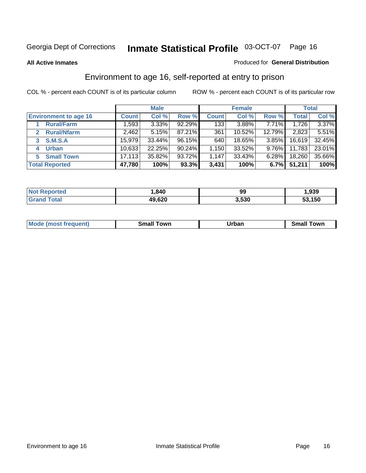#### **All Active Inmates**

#### Produced for **General Distribution**

### Environment to age 16, self-reported at entry to prison

|                                    | <b>Male</b>  |          |           | <b>Female</b> |        |          | <b>Total</b> |        |
|------------------------------------|--------------|----------|-----------|---------------|--------|----------|--------------|--------|
| <b>Environment to age 16</b>       | <b>Count</b> | Col %    | Row %     | <b>Count</b>  | Col %  | Row %    | <b>Total</b> | Col %  |
| <b>Rural/Farm</b>                  | 1,593        | $3.33\%$ | 92.29%    | 133           | 3.88%  | 7.71%    | 1,726        | 3.37%  |
| <b>Rural/Nfarm</b><br>$\mathbf{2}$ | 2,462        | 5.15%    | 87.21%    | 361           | 10.52% | 12.79%   | 2,823        | 5.51%  |
| <b>S.M.S.A</b><br>3                | 15.979       | 33.44%   | 96.15%    | 640           | 18.65% | $3.85\%$ | 16,619       | 32.45% |
| <b>Urban</b><br>4                  | 10,633       | 22.25%   | $90.24\%$ | .150          | 33.52% | $9.76\%$ | 11,783       | 23.01% |
| <b>Small Town</b><br>5             | 17,113       | 35.82%   | 93.72%    | 1,147         | 33.43% | $6.28\%$ | 18,260       | 35.66% |
| <b>Total Reported</b>              | 47,780       | 100%     | 93.3%     | 3,431         | 100%   | 6.7%     | 51,211       | 100%   |

| Reported<br><b>Not</b> | ,840   | 99    | 939, ا |
|------------------------|--------|-------|--------|
| Total                  | 49,620 | 3,530 | 53,150 |

| Mo<br>. . | . owr | <u>'''' ''</u><br>roa<br>_____ | .0W <sub>r</sub> |
|-----------|-------|--------------------------------|------------------|
|           |       |                                |                  |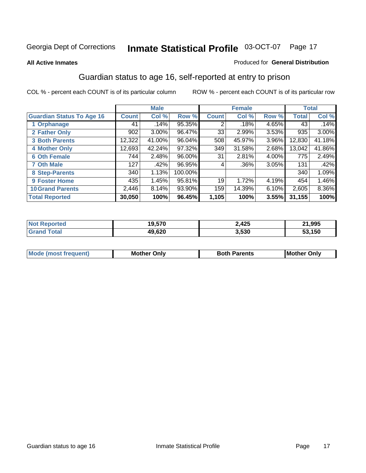#### **All Active Inmates**

#### Produced for **General Distribution**

### Guardian status to age 16, self-reported at entry to prison

|                                  |              | <b>Male</b> |           |              | <b>Female</b> |       |        | <b>Total</b> |
|----------------------------------|--------------|-------------|-----------|--------------|---------------|-------|--------|--------------|
| <b>Guardian Status To Age 16</b> | <b>Count</b> | Col %       | Row %     | <b>Count</b> | Col %         | Row % | Total  | Col %        |
| 1 Orphanage                      | 41           | .14%        | 95.35%    | 2            | .18%          | 4.65% | 43     | .14%         |
| 2 Father Only                    | 902          | 3.00%       | 96.47%    | 33           | 2.99%         | 3.53% | 935    | 3.00%        |
| <b>3 Both Parents</b>            | 12,322       | 41.00%      | $96.04\%$ | 508          | 45.97%        | 3.96% | 12,830 | 41.18%       |
| <b>4 Mother Only</b>             | 12,693       | 42.24%      | 97.32%    | 349          | 31.58%        | 2.68% | 13,042 | 41.86%       |
| <b>6 Oth Female</b>              | 744          | 2.48%       | 96.00%    | 31           | 2.81%         | 4.00% | 775    | 2.49%        |
| <b>7 Oth Male</b>                | 127          | .42%        | 96.95%    | 4            | .36%          | 3.05% | 131    | .42%         |
| 8 Step-Parents                   | 340          | 1.13%       | 100.00%   |              |               |       | 340    | 1.09%        |
| 9 Foster Home                    | 435          | 1.45%       | 95.81%    | 19           | 1.72%         | 4.19% | 454    | 1.46%        |
| <b>10 Grand Parents</b>          | 2,446        | 8.14%       | 93.90%    | 159          | 14.39%        | 6.10% | 2,605  | 8.36%        |
| <b>Total Reported</b>            | 30,050       | 100%        | 96.45%    | 1,105        | 100%          | 3.55% | 31,155 | 100%         |

| orted<br><b>NOT</b> | --^<br>19.S/U | 2,425 | .995        |
|---------------------|---------------|-------|-------------|
| otal                | 49,620        | 3,530 | .150<br>JJ. |

| Mode | Onlv<br>Mot | <b>Roth</b><br>Parents | <b>IMot</b><br>Onlv<br>∵hei |
|------|-------------|------------------------|-----------------------------|
|      |             |                        |                             |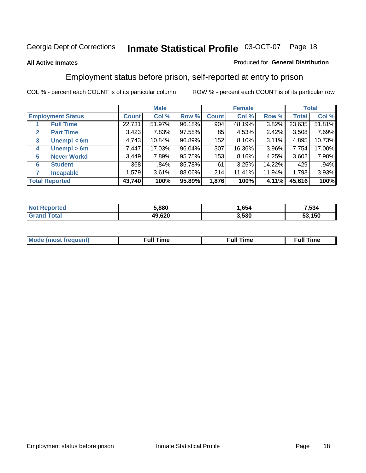#### **All Active Inmates**

#### Produced for **General Distribution**

### Employment status before prison, self-reported at entry to prison

|                          |                    | <b>Male</b>  |        |        | <b>Female</b> |        |        | <b>Total</b> |        |
|--------------------------|--------------------|--------------|--------|--------|---------------|--------|--------|--------------|--------|
| <b>Employment Status</b> |                    | <b>Count</b> | Col %  | Row %  | <b>Count</b>  | Col %  | Row %  | Total        | Col %  |
|                          | <b>Full Time</b>   | 22,731       | 51.97% | 96.18% | 904           | 48.19% | 3.82%  | 23,635       | 51.81% |
| $\mathbf{2}$             | <b>Part Time</b>   | 3,423        | 7.83%  | 97.58% | 85            | 4.53%  | 2.42%  | 3,508        | 7.69%  |
| 3                        | Unempl $<$ 6m      | 4,743        | 10.84% | 96.89% | 152           | 8.10%  | 3.11%  | 4,895        | 10.73% |
| 4                        | Unempl > 6m        | 7,447        | 17.03% | 96.04% | 307           | 16.36% | 3.96%  | 7,754        | 17.00% |
| 5                        | <b>Never Workd</b> | 3,449        | 7.89%  | 95.75% | 153           | 8.16%  | 4.25%  | 3,602        | 7.90%  |
| <b>Student</b><br>6      |                    | 368          | .84%   | 85.78% | 61            | 3.25%  | 14.22% | 429          | .94%   |
| 7                        | <b>Incapable</b>   | 1,579        | 3.61%  | 88.06% | 214           | 11.41% | 11.94% | 1,793        | 3.93%  |
| <b>Total Reported</b>    |                    | 43,740       | 100%   | 95.89% | 1,876         | 100%   | 4.11%  | 45,616       | 100%   |

| 5.880  | <b>OP</b> 4<br>b54 | .534                |
|--------|--------------------|---------------------|
| 49,620 | 3,530              | <b>AEO</b><br>. 150 |

| <b>M</b> ດ | the contract of the contract of the contract of the contract of the contract of the contract of the contract of | the contract of the contract of the contract of the contract of the contract of the contract of the contract of | ----<br><b>Full Time</b> |
|------------|-----------------------------------------------------------------------------------------------------------------|-----------------------------------------------------------------------------------------------------------------|--------------------------|
|            |                                                                                                                 |                                                                                                                 |                          |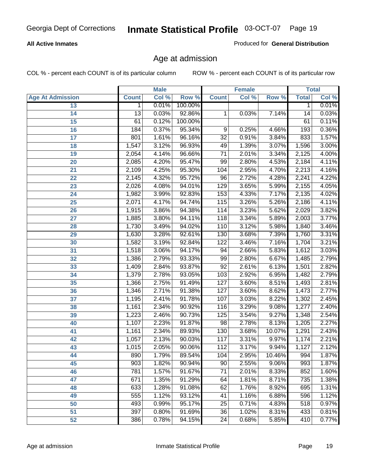#### **All Active Inmates**

Produced for **General Distribution**

### Age at admission

|                         |                 | <b>Male</b> |         |                 | <b>Female</b> |        |              | <b>Total</b> |
|-------------------------|-----------------|-------------|---------|-----------------|---------------|--------|--------------|--------------|
| <b>Age At Admission</b> | <b>Count</b>    | Col %       | Row %   | <b>Count</b>    | Col %         | Row %  | <b>Total</b> | Col %        |
| 13                      | $\mathbf 1$     | 0.01%       | 100.00% |                 |               |        | 1            | 0.01%        |
| 14                      | $\overline{13}$ | 0.03%       | 92.86%  | 1               | 0.03%         | 7.14%  | 14           | 0.03%        |
| 15                      | 61              | 0.12%       | 100.00% |                 |               |        | 61           | 0.11%        |
| 16                      | 184             | 0.37%       | 95.34%  | 9               | 0.25%         | 4.66%  | 193          | 0.36%        |
| $\overline{17}$         | 801             | 1.61%       | 96.16%  | $\overline{32}$ | 0.91%         | 3.84%  | 833          | 1.57%        |
| 18                      | 1,547           | 3.12%       | 96.93%  | 49              | 1.39%         | 3.07%  | 1,596        | 3.00%        |
| 19                      | 2,054           | 4.14%       | 96.66%  | $\overline{71}$ | 2.01%         | 3.34%  | 2,125        | 4.00%        |
| 20                      | 2,085           | 4.20%       | 95.47%  | 99              | 2.80%         | 4.53%  | 2,184        | 4.11%        |
| 21                      | 2,109           | 4.25%       | 95.30%  | 104             | 2.95%         | 4.70%  | 2,213        | 4.16%        |
| 22                      | 2,145           | 4.32%       | 95.72%  | 96              | 2.72%         | 4.28%  | 2,241        | 4.22%        |
| 23                      | 2,026           | 4.08%       | 94.01%  | 129             | 3.65%         | 5.99%  | 2,155        | 4.05%        |
| 24                      | 1,982           | 3.99%       | 92.83%  | 153             | 4.33%         | 7.17%  | 2,135        | 4.02%        |
| $\overline{25}$         | 2,071           | 4.17%       | 94.74%  | 115             | 3.26%         | 5.26%  | 2,186        | 4.11%        |
| 26                      | 1,915           | 3.86%       | 94.38%  | 114             | 3.23%         | 5.62%  | 2,029        | 3.82%        |
| 27                      | 1,885           | 3.80%       | 94.11%  | 118             | 3.34%         | 5.89%  | 2,003        | 3.77%        |
| 28                      | 1,730           | 3.49%       | 94.02%  | 110             | 3.12%         | 5.98%  | 1,840        | 3.46%        |
| 29                      | 1,630           | 3.28%       | 92.61%  | 130             | 3.68%         | 7.39%  | 1,760        | 3.31%        |
| 30                      | 1,582           | 3.19%       | 92.84%  | 122             | 3.46%         | 7.16%  | 1,704        | 3.21%        |
| 31                      | 1,518           | 3.06%       | 94.17%  | 94              | 2.66%         | 5.83%  | 1,612        | 3.03%        |
| 32                      | 1,386           | 2.79%       | 93.33%  | 99              | 2.80%         | 6.67%  | 1,485        | 2.79%        |
| 33                      | 1,409           | 2.84%       | 93.87%  | $\overline{92}$ | 2.61%         | 6.13%  | 1,501        | 2.82%        |
| 34                      | 1,379           | 2.78%       | 93.05%  | 103             | 2.92%         | 6.95%  | 1,482        | 2.79%        |
| 35                      | 1,366           | 2.75%       | 91.49%  | 127             | 3.60%         | 8.51%  | 1,493        | 2.81%        |
| 36                      | 1,346           | 2.71%       | 91.38%  | 127             | 3.60%         | 8.62%  | 1,473        | 2.77%        |
| 37                      | 1,195           | 2.41%       | 91.78%  | 107             | 3.03%         | 8.22%  | 1,302        | 2.45%        |
| 38                      | 1,161           | 2.34%       | 90.92%  | 116             | 3.29%         | 9.08%  | 1,277        | 2.40%        |
| 39                      | 1,223           | 2.46%       | 90.73%  | 125             | 3.54%         | 9.27%  | 1,348        | 2.54%        |
| 40                      | 1,107           | 2.23%       | 91.87%  | 98              | 2.78%         | 8.13%  | 1,205        | 2.27%        |
| 41                      | 1,161           | 2.34%       | 89.93%  | 130             | 3.68%         | 10.07% | 1,291        | 2.43%        |
| 42                      | 1,057           | 2.13%       | 90.03%  | 117             | 3.31%         | 9.97%  | 1,174        | 2.21%        |
| 43                      | 1,015           | 2.05%       | 90.06%  | 112             | 3.17%         | 9.94%  | 1,127        | 2.12%        |
| 44                      | 890             | 1.79%       | 89.54%  | 104             | 2.95%         | 10.46% | 994          | 1.87%        |
| 45                      | 903             | 1.82%       | 90.94%  | 90              | 2.55%         | 9.06%  | 993          | 1.87%        |
| 46                      | 781             | 1.57%       | 91.67%  | 71              | 2.01%         | 8.33%  | 852          | 1.60%        |
| 47                      | 671             | 1.35%       | 91.29%  | 64              | 1.81%         | 8.71%  | 735          | 1.38%        |
| 48                      | 633             | 1.28%       | 91.08%  | 62              | 1.76%         | 8.92%  | 695          | 1.31%        |
| 49                      | 555             | 1.12%       | 93.12%  | 41              | 1.16%         | 6.88%  | 596          | 1.12%        |
| 50                      | 493             | 0.99%       | 95.17%  | 25              | 0.71%         | 4.83%  | 518          | 0.97%        |
| 51                      | 397             | 0.80%       | 91.69%  | $\overline{36}$ | 1.02%         | 8.31%  | 433          | 0.81%        |
| 52                      | 386             | 0.78%       | 94.15%  | 24              | 0.68%         | 5.85%  | 410          | 0.77%        |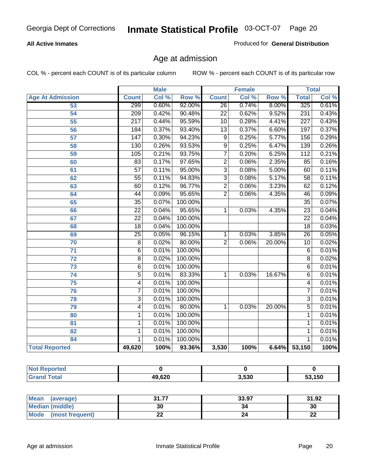#### **All Active Inmates**

Produced for **General Distribution**

### Age at admission

|                         | <b>Male</b>      |       | <b>Female</b> |                 |       | <b>Total</b> |                  |       |
|-------------------------|------------------|-------|---------------|-----------------|-------|--------------|------------------|-------|
| <b>Age At Admission</b> | <b>Count</b>     | Col % | Row %         | <b>Count</b>    | Col % | Row %        | <b>Total</b>     | Col % |
| 53                      | 299              | 0.60% | 92.00%        | $\overline{26}$ | 0.74% | 8.00%        | 325              | 0.61% |
| 54                      | $\overline{209}$ | 0.42% | 90.48%        | $\overline{22}$ | 0.62% | 9.52%        | 231              | 0.43% |
| $\overline{55}$         | $\overline{217}$ | 0.44% | 95.59%        | $\overline{10}$ | 0.28% | 4.41%        | $\overline{227}$ | 0.43% |
| $\overline{56}$         | 184              | 0.37% | 93.40%        | $\overline{13}$ | 0.37% | 6.60%        | 197              | 0.37% |
| $\overline{57}$         | $\overline{147}$ | 0.30% | 94.23%        | 9               | 0.25% | 5.77%        | 156              | 0.29% |
| 58                      | 130              | 0.26% | 93.53%        | $\overline{9}$  | 0.25% | 6.47%        | 139              | 0.26% |
| 59                      | 105              | 0.21% | 93.75%        | 7               | 0.20% | 6.25%        | 112              | 0.21% |
| 60                      | 83               | 0.17% | 97.65%        | $\overline{2}$  | 0.06% | 2.35%        | 85               | 0.16% |
| 61                      | $\overline{57}$  | 0.11% | 95.00%        | $\overline{3}$  | 0.08% | 5.00%        | 60               | 0.11% |
| 62                      | $\overline{55}$  | 0.11% | 94.83%        | $\overline{3}$  | 0.08% | 5.17%        | $\overline{58}$  | 0.11% |
| 63                      | 60               | 0.12% | 96.77%        | $\overline{2}$  | 0.06% | 3.23%        | 62               | 0.12% |
| 64                      | $\overline{44}$  | 0.09% | 95.65%        | $\overline{2}$  | 0.06% | 4.35%        | 46               | 0.09% |
| 65                      | $\overline{35}$  | 0.07% | 100.00%       |                 |       |              | $\overline{35}$  | 0.07% |
| 66                      | $\overline{22}$  | 0.04% | 95.65%        | 1               | 0.03% | 4.35%        | $\overline{23}$  | 0.04% |
| 67                      | $\overline{22}$  | 0.04% | 100.00%       |                 |       |              | $\overline{22}$  | 0.04% |
| 68                      | $\overline{18}$  | 0.04% | 100.00%       |                 |       |              | $\overline{18}$  | 0.03% |
| 69                      | $\overline{25}$  | 0.05% | 96.15%        | 1               | 0.03% | 3.85%        | $\overline{26}$  | 0.05% |
| 70                      | $\overline{8}$   | 0.02% | 80.00%        | $\overline{2}$  | 0.06% | 20.00%       | $\overline{10}$  | 0.02% |
| 71                      | $\overline{6}$   | 0.01% | 100.00%       |                 |       |              | 6                | 0.01% |
| $\overline{72}$         | $\overline{8}$   | 0.02% | 100.00%       |                 |       |              | $\overline{8}$   | 0.02% |
| $\overline{73}$         | $\overline{6}$   | 0.01% | 100.00%       |                 |       |              | $\overline{6}$   | 0.01% |
| $\overline{74}$         | $\overline{5}$   | 0.01% | 83.33%        | 1               | 0.03% | 16.67%       | $\overline{6}$   | 0.01% |
| $\overline{75}$         | 4                | 0.01% | 100.00%       |                 |       |              | 4                | 0.01% |
| 76                      | $\overline{7}$   | 0.01% | 100.00%       |                 |       |              | 7                | 0.01% |
| 78                      | $\overline{3}$   | 0.01% | 100.00%       |                 |       |              | $\overline{3}$   | 0.01% |
| 79                      | $\overline{4}$   | 0.01% | 80.00%        | $\mathbf{1}$    | 0.03% | 20.00%       | $\overline{5}$   | 0.01% |
| 80                      | 1                | 0.01% | 100.00%       |                 |       |              | 1                | 0.01% |
| $\overline{81}$         | $\mathbf{1}$     | 0.01% | 100.00%       |                 |       |              | 1                | 0.01% |
| 82                      | $\mathbf{1}$     | 0.01% | 100.00%       |                 |       |              | 1                | 0.01% |
| 84                      | 1                | 0.01% | 100.00%       |                 |       |              | 1                | 0.01% |
| <b>Total Reported</b>   | 49,620           | 100%  | 93.36%        | 3,530           | 100%  |              | 6.64% 53,150     | 100%  |

| <b>Not Reported</b> |        |       |        |
|---------------------|--------|-------|--------|
| <b>Grand Total</b>  | 49,620 | 3,530 | 53,150 |

| <b>Mean</b><br>(average) | 24.77<br>. | 33.97 | 31.92    |
|--------------------------|------------|-------|----------|
| <b>Median (middle)</b>   | 30         |       | 30       |
| Mode<br>(most frequent)  | <u>__</u>  |       | ^^<br>44 |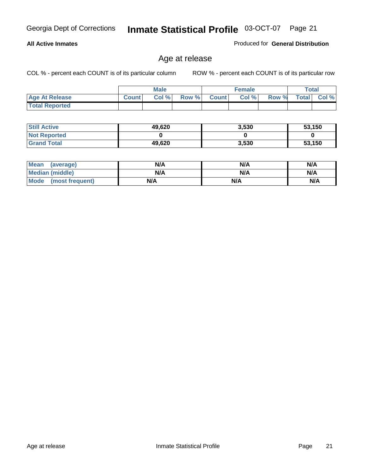#### **All Active Inmates**

Produced for **General Distribution**

### Age at release

|                       | <b>Male</b>  |       |       | <b>Female</b> |       |       | Total        |       |
|-----------------------|--------------|-------|-------|---------------|-------|-------|--------------|-------|
| <b>Age At Release</b> | <b>Count</b> | Col % | Row % | <b>Count</b>  | Col % | Row % | <b>Total</b> | Col % |
| <b>Total Reported</b> |              |       |       |               |       |       |              |       |

| <b>Still Active</b> | 49,620 | 3,530 | 53,150 |
|---------------------|--------|-------|--------|
| <b>Not Reported</b> |        |       |        |
| <b>Grand Total</b>  | 49,620 | 3,530 | 53,150 |

| Mean (average)       | N/A | N/A | N/A |
|----------------------|-----|-----|-----|
| Median (middle)      | N/A | N/A | N/A |
| Mode (most frequent) | N/A | N/A | N/A |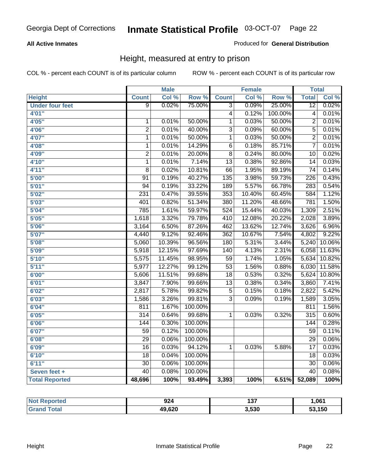#### **All Active Inmates**

#### Produced for **General Distribution**

### Height, measured at entry to prison

|                        |                  | <b>Male</b> |                  |                  | <b>Female</b> |                  | <b>Total</b>     |        |
|------------------------|------------------|-------------|------------------|------------------|---------------|------------------|------------------|--------|
| <b>Height</b>          | <b>Count</b>     | Col %       | Row <sup>%</sup> | <b>Count</b>     | Col %         | Row <sup>%</sup> | <b>Total</b>     | Col %  |
| <b>Under four feet</b> | $\overline{9}$   | 0.02%       | 75.00%           | $\overline{3}$   | 0.09%         | 25.00%           | $\overline{12}$  | 0.02%  |
| 4'01"                  |                  |             |                  | $\overline{4}$   | 0.12%         | 100.00%          | 4                | 0.01%  |
| 4'05''                 | 1                | 0.01%       | 50.00%           | $\overline{1}$   | 0.03%         | 50.00%           | $\overline{2}$   | 0.01%  |
| 4'06"                  | $\overline{2}$   | 0.01%       | 40.00%           | $\overline{3}$   | 0.09%         | 60.00%           | $\overline{5}$   | 0.01%  |
| 4'07"                  | 1                | 0.01%       | 50.00%           | $\overline{1}$   | 0.03%         | 50.00%           | $\overline{2}$   | 0.01%  |
| 4'08"                  | 1                | 0.01%       | 14.29%           | 6                | 0.18%         | 85.71%           | 7                | 0.01%  |
| 4'09''                 | $\overline{2}$   | 0.01%       | 20.00%           | 8                | 0.24%         | 80.00%           | 10               | 0.02%  |
| 4'10"                  | 1                | 0.01%       | 7.14%            | $\overline{13}$  | 0.38%         | 92.86%           | 14               | 0.03%  |
| 4'11''                 | $\overline{8}$   | 0.02%       | 10.81%           | $\overline{66}$  | 1.95%         | 89.19%           | $\overline{74}$  | 0.14%  |
| 5'00''                 | $\overline{91}$  | 0.19%       | 40.27%           | 135              | 3.98%         | 59.73%           | 226              | 0.43%  |
| 5'01''                 | $\overline{94}$  | 0.19%       | 33.22%           | 189              | 5.57%         | 66.78%           | 283              | 0.54%  |
| 5'02"                  | 231              | 0.47%       | 39.55%           | 353              | 10.40%        | 60.45%           | 584              | 1.12%  |
| 5'03''                 | 401              | 0.82%       | 51.34%           | 380              | 11.20%        | 48.66%           | 781              | 1.50%  |
| 5'04''                 | 785              | 1.61%       | 59.97%           | 524              | 15.44%        | 40.03%           | 1,309            | 2.51%  |
| 5'05''                 | 1,618            | 3.32%       | 79.78%           | 410              | 12.08%        | 20.22%           | 2,028            | 3.89%  |
| 5'06''                 | 3,164            | 6.50%       | 87.26%           | 462              | 13.62%        | 12.74%           | 3,626            | 6.96%  |
| 5'07''                 | 4,440            | 9.12%       | 92.46%           | 362              | 10.67%        | 7.54%            | 4,802            | 9.22%  |
| 5'08''                 | 5,060            | 10.39%      | 96.56%           | 180              | 5.31%         | 3.44%            | 5,240            | 10.06% |
| 5'09''                 | 5,918            | 12.15%      | 97.69%           | $\overline{140}$ | 4.13%         | 2.31%            | 6,058            | 11.63% |
| 5'10''                 | 5,575            | 11.45%      | 98.95%           | $\overline{59}$  | 1.74%         | 1.05%            | 5,634            | 10.82% |
| 5'11''                 | 5,977            | 12.27%      | 99.12%           | $\overline{53}$  | 1.56%         | 0.88%            | 6,030            | 11.58% |
| 6'00''                 | 5,606            | 11.51%      | 99.68%           | $\overline{18}$  | 0.53%         | 0.32%            | 5,624            | 10.80% |
| 6'01''                 | 3,847            | 7.90%       | 99.66%           | $\overline{13}$  | 0.38%         | 0.34%            | 3,860            | 7.41%  |
| 6'02''                 | 2,817            | 5.78%       | 99.82%           | $\overline{5}$   | 0.15%         | 0.18%            | 2,822            | 5.42%  |
| 6'03''                 | 1,586            | 3.26%       | 99.81%           | $\overline{3}$   | 0.09%         | 0.19%            | 1,589            | 3.05%  |
| 6'04''                 | $\overline{811}$ | 1.67%       | 100.00%          |                  |               |                  | 811              | 1.56%  |
| 6'05''                 | $\overline{314}$ | 0.64%       | 99.68%           | 1                | 0.03%         | 0.32%            | $\overline{315}$ | 0.60%  |
| 6'06''                 | 144              | 0.30%       | 100.00%          |                  |               |                  | 144              | 0.28%  |
| 6'07''                 | 59               | 0.12%       | 100.00%          |                  |               |                  | $\overline{59}$  | 0.11%  |
| 6'08''                 | $\overline{29}$  | 0.06%       | 100.00%          |                  |               |                  | $\overline{29}$  | 0.06%  |
| 6'09''                 | $\overline{16}$  | 0.03%       | 94.12%           | $\mathbf{1}$     | 0.03%         | 5.88%            | $\overline{17}$  | 0.03%  |
| 6'10''                 | $\overline{18}$  | 0.04%       | 100.00%          |                  |               |                  | $\overline{18}$  | 0.03%  |
| 6'11''                 | $\overline{30}$  | 0.06%       | 100.00%          |                  |               |                  | $\overline{30}$  | 0.06%  |
| Seven feet +           | $\overline{40}$  | 0.08%       | 100.00%          |                  |               |                  | $\overline{40}$  | 0.08%  |
| <b>Total Reported</b>  | 48,696           | 100%        | 93.49%           | 3,393            | 100%          | 6.51%            | 52,089           | 100%   |

| <b>Not</b><br>Reported | 924    | .<br>וטו | ,061   |
|------------------------|--------|----------|--------|
| <b>Total</b><br>Gra    | 49,620 | 3,530    | 53,150 |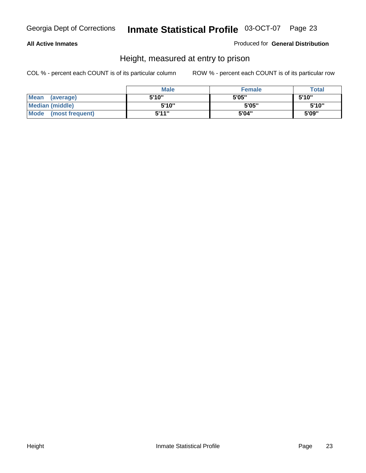#### **All Active Inmates**

#### Produced for **General Distribution**

### Height, measured at entry to prison

|                      | <b>Male</b> | <b>Female</b> | <b>Total</b> |
|----------------------|-------------|---------------|--------------|
| Mean (average)       | 5'10''      | 5'05"         | 5'10"        |
| Median (middle)      | 5'10''      | 5'05"         | 5'10''       |
| Mode (most frequent) | 5'11"       | 5'04"         | 5'09"        |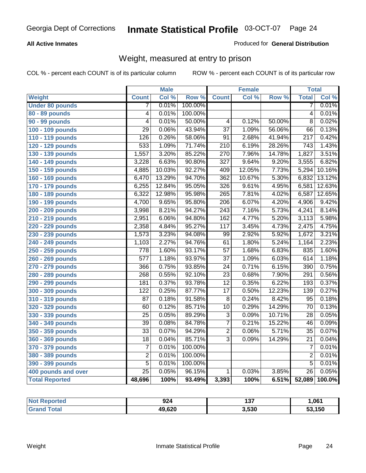#### **All Active Inmates**

#### Produced for **General Distribution**

### Weight, measured at entry to prison

|                        |                  | <b>Male</b> |         |                  | <b>Female</b> |        | <b>Total</b>     |        |
|------------------------|------------------|-------------|---------|------------------|---------------|--------|------------------|--------|
| <b>Weight</b>          | <b>Count</b>     | Col %       | Row %   | <b>Count</b>     | Col %         | Row %  | <b>Total</b>     | Col %  |
| <b>Under 80 pounds</b> | 7                | 0.01%       | 100.00% |                  |               |        | 7                | 0.01%  |
| 80 - 89 pounds         | $\overline{4}$   | 0.01%       | 100.00% |                  |               |        | $\overline{4}$   | 0.01%  |
| 90 - 99 pounds         | $\overline{4}$   | 0.01%       | 50.00%  | $\overline{4}$   | 0.12%         | 50.00% | $\overline{8}$   | 0.02%  |
| 100 - 109 pounds       | $\overline{29}$  | 0.06%       | 43.94%  | $\overline{37}$  | 1.09%         | 56.06% | 66               | 0.13%  |
| 110 - 119 pounds       | $\overline{126}$ | 0.26%       | 58.06%  | $\overline{91}$  | 2.68%         | 41.94% | $\overline{217}$ | 0.42%  |
| 120 - 129 pounds       | 533              | 1.09%       | 71.74%  | $\overline{210}$ | 6.19%         | 28.26% | 743              | 1.43%  |
| 130 - 139 pounds       | 1,557            | 3.20%       | 85.22%  | 270              | 7.96%         | 14.78% | 1,827            | 3.51%  |
| 140 - 149 pounds       | 3,228            | 6.63%       | 90.80%  | $\overline{327}$ | 9.64%         | 9.20%  | 3,555            | 6.82%  |
| 150 - 159 pounds       | 4,885            | 10.03%      | 92.27%  | 409              | 12.05%        | 7.73%  | 5,294            | 10.16% |
| 160 - 169 pounds       | 6,470            | 13.29%      | 94.70%  | $\overline{362}$ | 10.67%        | 5.30%  | 6,832            | 13.12% |
| 170 - 179 pounds       | 6,255            | 12.84%      | 95.05%  | $\overline{326}$ | 9.61%         | 4.95%  | 6,581            | 12.63% |
| 180 - 189 pounds       | 6,322            | 12.98%      | 95.98%  | 265              | 7.81%         | 4.02%  | 6,587            | 12.65% |
| 190 - 199 pounds       | 4,700            | 9.65%       | 95.80%  | $\overline{206}$ | 6.07%         | 4.20%  | 4,906            | 9.42%  |
| 200 - 209 pounds       | 3,998            | 8.21%       | 94.27%  | $\overline{243}$ | 7.16%         | 5.73%  | 4,241            | 8.14%  |
| 210 - 219 pounds       | 2,951            | 6.06%       | 94.80%  | 162              | 4.77%         | 5.20%  | 3,113            | 5.98%  |
| 220 - 229 pounds       | 2,358            | 4.84%       | 95.27%  | 117              | 3.45%         | 4.73%  | 2,475            | 4.75%  |
| 230 - 239 pounds       | 1,573            | 3.23%       | 94.08%  | $\overline{99}$  | 2.92%         | 5.92%  | 1,672            | 3.21%  |
| 240 - 249 pounds       | 1,103            | 2.27%       | 94.76%  | 61               | 1.80%         | 5.24%  | 1,164            | 2.23%  |
| 250 - 259 pounds       | $\overline{778}$ | 1.60%       | 93.17%  | $\overline{57}$  | 1.68%         | 6.83%  | 835              | 1.60%  |
| 260 - 269 pounds       | $\overline{577}$ | 1.18%       | 93.97%  | $\overline{37}$  | 1.09%         | 6.03%  | 614              | 1.18%  |
| 270 - 279 pounds       | 366              | 0.75%       | 93.85%  | 24               | 0.71%         | 6.15%  | 390              | 0.75%  |
| 280 - 289 pounds       | 268              | 0.55%       | 92.10%  | $\overline{23}$  | 0.68%         | 7.90%  | 291              | 0.56%  |
| 290 - 299 pounds       | 181              | 0.37%       | 93.78%  | $\overline{12}$  | 0.35%         | 6.22%  | 193              | 0.37%  |
| 300 - 309 pounds       | $\overline{122}$ | 0.25%       | 87.77%  | $\overline{17}$  | 0.50%         | 12.23% | 139              | 0.27%  |
| 310 - 319 pounds       | $\overline{87}$  | 0.18%       | 91.58%  | 8                | 0.24%         | 8.42%  | 95               | 0.18%  |
| 320 - 329 pounds       | 60               | 0.12%       | 85.71%  | $\overline{10}$  | 0.29%         | 14.29% | $\overline{70}$  | 0.13%  |
| 330 - 339 pounds       | $\overline{25}$  | 0.05%       | 89.29%  | 3                | 0.09%         | 10.71% | $\overline{28}$  | 0.05%  |
| 340 - 349 pounds       | $\overline{39}$  | 0.08%       | 84.78%  | $\overline{7}$   | 0.21%         | 15.22% | 46               | 0.09%  |
| 350 - 359 pounds       | $\overline{33}$  | 0.07%       | 94.29%  | $\overline{2}$   | 0.06%         | 5.71%  | $\overline{35}$  | 0.07%  |
| 360 - 369 pounds       | 18               | 0.04%       | 85.71%  | $\overline{3}$   | 0.09%         | 14.29% | $\overline{21}$  | 0.04%  |
| 370 - 379 pounds       | $\overline{7}$   | 0.01%       | 100.00% |                  |               |        | 7                | 0.01%  |
| 380 - 389 pounds       | $\overline{2}$   | 0.01%       | 100.00% |                  |               |        | $\overline{2}$   | 0.01%  |
| 390 - 399 pounds       | $\overline{5}$   | 0.01%       | 100.00% |                  |               |        | $\overline{5}$   | 0.01%  |
| 400 pounds and over    | $\overline{25}$  | 0.05%       | 96.15%  | 1                | 0.03%         | 3.85%  | $\overline{26}$  | 0.05%  |
| <b>Total Reported</b>  | 48,696           | 100%        | 93.49%  | 3,393            | 100%          | 6.51%  | 52,089           | 100.0% |

| Reported<br>' N∩t | 924    | 427<br>וטו | 1,061  |
|-------------------|--------|------------|--------|
| īota.<br>' Gra    | 49,620 | 3,530      | 53,150 |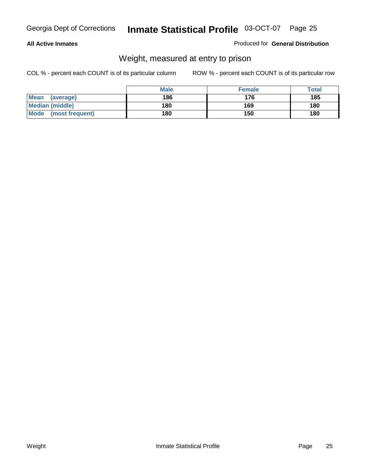#### **All Active Inmates**

#### Produced for **General Distribution**

### Weight, measured at entry to prison

|                          | <b>Male</b> | <b>Female</b> | Total |
|--------------------------|-------------|---------------|-------|
| <b>Mean</b><br>(average) | 186         | 176           | 185   |
| <b>Median (middle)</b>   | 180         | 169           | 180   |
| Mode<br>(most frequent)  | 180         | 150           | 180   |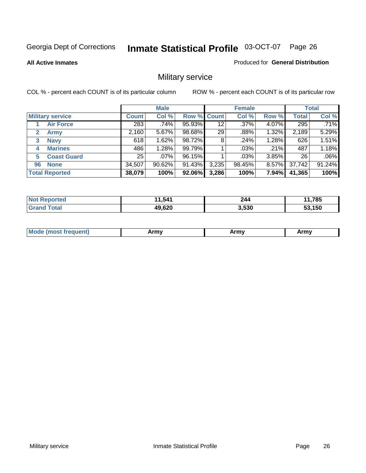**All Active Inmates**

#### Produced for **General Distribution**

### Military service

|                             |              | <b>Male</b> |             |                 | <b>Female</b> |          |              | <b>Total</b> |
|-----------------------------|--------------|-------------|-------------|-----------------|---------------|----------|--------------|--------------|
| <b>Military service</b>     | <b>Count</b> | Col %       | Row % Count |                 | Col %         | Row %    | <b>Total</b> | Col %        |
| <b>Air Force</b>            | 283          | $.74\%$     | 95.93%      | 12 <sup>°</sup> | $.37\%$       | 4.07%    | 295          | .71%         |
| $\mathbf{2}$<br><b>Army</b> | 2,160        | 5.67%       | 98.68%      | 29              | .88%          | 1.32%    | 2,189        | 5.29%        |
| <b>Navy</b><br>3            | 618          | 1.62%       | 98.72%      | 8               | .24%          | 1.28%    | 626          | 1.51%        |
| <b>Marines</b><br>4         | 486          | 1.28%       | 99.79%      |                 | .03%          | .21%     | 487          | 1.18%        |
| <b>Coast Guard</b><br>5     | 25           | $.07\%$     | 96.15%      |                 | .03%          | 3.85%    | 26           | $.06\%$      |
| <b>None</b><br>96           | 34,507       | 90.62%      | 91.43%      | 3,235           | 98.45%        | $8.57\%$ | 37,742       | 91.24%       |
| <b>Total Reported</b>       | 38,079       | 100%        | 92.06%      | 3,286           | 100%          | $7.94\%$ | 41,365       | 100%         |

| orted          | 1,541  | 244   | 1,785  |
|----------------|--------|-------|--------|
| NO:            | 44     |       |        |
| ™otar<br>Grand | 49,620 | 3,530 | 53.150 |

| <b>Mou</b><br><b>Army</b><br>ATIIV<br>41U -<br>$\sim$ 1111 $\sigma$ |  |
|---------------------------------------------------------------------|--|
|---------------------------------------------------------------------|--|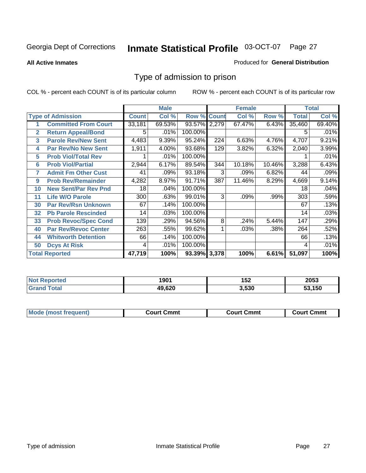#### **All Active Inmates**

#### Produced for **General Distribution**

### Type of admission to prison

|                |                             |              | <b>Male</b> |                    |     | <b>Female</b> |        |              | <b>Total</b> |
|----------------|-----------------------------|--------------|-------------|--------------------|-----|---------------|--------|--------------|--------------|
|                | <b>Type of Admission</b>    | <b>Count</b> | Col %       | <b>Row % Count</b> |     | Col %         | Row %  | <b>Total</b> | Col %        |
| 1              | <b>Committed From Court</b> | 33,181       | 69.53%      | 93.57% 2,279       |     | 67.47%        | 6.43%  | 35,460       | 69.40%       |
| $\overline{2}$ | <b>Return Appeal/Bond</b>   | 5.           | .01%        | 100.00%            |     |               |        | 5            | .01%         |
| 3              | <b>Parole Rev/New Sent</b>  | 4,483        | 9.39%       | 95.24%             | 224 | 6.63%         | 4.76%  | 4,707        | 9.21%        |
| 4              | <b>Par Rev/No New Sent</b>  | 1,911        | 4.00%       | 93.68%             | 129 | 3.82%         | 6.32%  | 2,040        | 3.99%        |
| 5              | <b>Prob Viol/Total Rev</b>  |              | .01%        | 100.00%            |     |               |        |              | .01%         |
| 6              | <b>Prob Viol/Partial</b>    | 2,944        | 6.17%       | 89.54%             | 344 | 10.18%        | 10.46% | 3,288        | 6.43%        |
| 7              | <b>Admit Fm Other Cust</b>  | 41           | .09%        | 93.18%             | 3   | .09%          | 6.82%  | 44           | .09%         |
| 9              | <b>Prob Rev/Remainder</b>   | 4,282        | 8.97%       | 91.71%             | 387 | 11.46%        | 8.29%  | 4,669        | 9.14%        |
| 10             | <b>New Sent/Par Rev Pnd</b> | 18           | .04%        | 100.00%            |     |               |        | 18           | .04%         |
| 11             | <b>Life W/O Parole</b>      | 300          | .63%        | 99.01%             | 3   | .09%          | .99%   | 303          | .59%         |
| 30             | <b>Par Rev/Rsn Unknown</b>  | 67           | .14%        | 100.00%            |     |               |        | 67           | .13%         |
| 32             | <b>Pb Parole Rescinded</b>  | 14           | .03%        | 100.00%            |     |               |        | 14           | .03%         |
| 33             | <b>Prob Revoc/Spec Cond</b> | 139          | .29%        | 94.56%             | 8   | .24%          | 5.44%  | 147          | .29%         |
| 40             | <b>Par Rev/Revoc Center</b> | 263          | .55%        | 99.62%             |     | .03%          | .38%   | 264          | .52%         |
| 44             | <b>Whitworth Detention</b>  | 66           | .14%        | 100.00%            |     |               |        | 66           | .13%         |
| 50             | <b>Dcys At Risk</b>         | 4            | .01%        | 100.00%            |     |               |        | 4            | .01%         |
|                | <b>Total Reported</b>       | 47,719       | 100%        | 93.39% 3,378       |     | 100%          | 6.61%  | 51,097       | 100%         |

| Reported<br><b>NOT</b> | 1901   | 152   | 2053 |
|------------------------|--------|-------|------|
| <b>ota</b><br>Gr       | 19.620 | 3,530 | .150 |

| Mou.<br>uent)<br>most trea | Court Cmmt | Cmmt<br>COULLET. | Cmm<br>∶ourt |
|----------------------------|------------|------------------|--------------|
|                            |            |                  |              |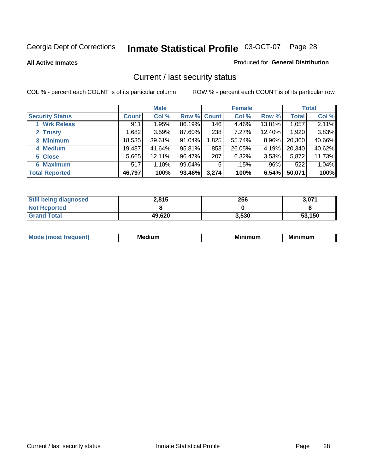**All Active Inmates**

#### Produced for **General Distribution**

### Current / last security status

|                        |              | <b>Male</b> |                    |       | <b>Female</b> |         |              | <b>Total</b> |
|------------------------|--------------|-------------|--------------------|-------|---------------|---------|--------------|--------------|
| <b>Security Status</b> | <b>Count</b> | Col %       | <b>Row % Count</b> |       | Col %         | Row %   | <b>Total</b> | Col %        |
| 1 Wrk Releas           | 911          | 1.95%       | 86.19%             | 146   | 4.46%         | 13.81%  | 1,057        | 2.11%        |
| 2 Trusty               | .682         | 3.59%       | 87.60%             | 238   | 7.27%         | 12.40%  | 1,920        | 3.83%        |
| 3 Minimum              | 18,535       | 39.61%      | 91.04%             | 1,825 | 55.74%        | 8.96%   | 20,360       | 40.66%       |
| 4 Medium               | 19,487       | 41.64%      | 95.81%             | 853   | 26.05%        | 4.19%   | 20,340       | 40.62%       |
| 5 Close                | 5,665        | 12.11%      | 96.47%             | 207   | 6.32%         | 3.53%   | 5,872        | 11.73%       |
| 6 Maximum              | 517          | 1.10%       | 99.04%             | 5     | .15%          | $.96\%$ | 522          | 1.04%        |
| <b>Total Reported</b>  | 46,797       | 100%        | 93.46%             | 3,274 | 100%          | 6.54%   | 50,071       | 100%         |

| <b>Still being diagnosed</b> | 2,815  | 256   | 3,071  |
|------------------------------|--------|-------|--------|
| <b>Not Reported</b>          |        |       |        |
| <b>Grand Total</b>           | 49,620 | 3,530 | 53,150 |

| M | <br><br> | ALLAST |
|---|----------|--------|
|   |          |        |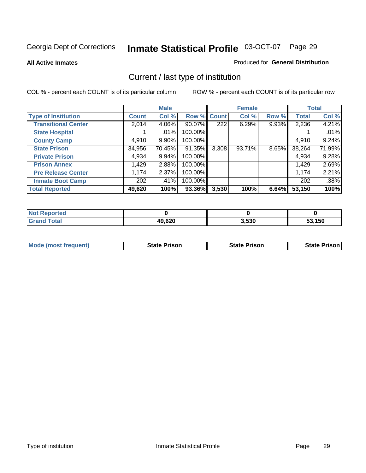**All Active Inmates**

#### Produced for **General Distribution**

### Current / last type of institution

|                            |              | <b>Male</b> |             |       | <b>Female</b> |       |              | <b>Total</b> |
|----------------------------|--------------|-------------|-------------|-------|---------------|-------|--------------|--------------|
| <b>Type of Institution</b> | <b>Count</b> | Col %       | Row % Count |       | Col %         | Row % | <b>Total</b> | Col %        |
| <b>Transitional Center</b> | 2,014        | 4.06%       | 90.07%      | 222   | 6.29%         | 9.93% | 2,236        | 4.21%        |
| <b>State Hospital</b>      |              | $.01\%$     | 100.00%     |       |               |       |              | .01%         |
| <b>County Camp</b>         | 4,910        | 9.90%       | 100.00%     |       |               |       | 4,910        | 9.24%        |
| <b>State Prison</b>        | 34,956       | 70.45%      | 91.35%      | 3,308 | 93.71%        | 8.65% | 38,264       | 71.99%       |
| <b>Private Prison</b>      | 4,934        | $9.94\%$    | 100.00%     |       |               |       | 4,934        | 9.28%        |
| <b>Prison Annex</b>        | 1,429        | 2.88%       | 100.00%     |       |               |       | 1,429        | 2.69%        |
| <b>Pre Release Center</b>  | 1,174        | 2.37%       | 100.00%     |       |               |       | 1,174        | 2.21%        |
| <b>Inmate Boot Camp</b>    | 202          | .41%        | 100.00%     |       |               |       | 202          | .38%         |
| <b>Total Reported</b>      | 49,620       | 100%        | 93.36%      | 3,530 | 100%          | 6.64% | 53,150       | 100%         |

| <b>Not Reported</b> |        |       |        |
|---------------------|--------|-------|--------|
| <b>Grand Total</b>  | 49,620 | 3,530 | 53.150 |

| <b>Mode (most frequent)</b> | <b>State Prison</b> | <b>State Prison</b> | <b>State Prison I</b> |
|-----------------------------|---------------------|---------------------|-----------------------|
|                             |                     |                     |                       |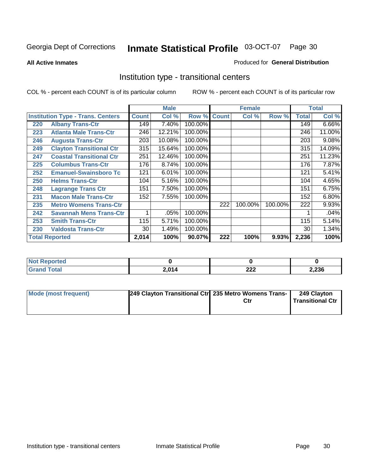**All Active Inmates**

#### Produced for **General Distribution**

### Institution type - transitional centers

|     |                                          |              | <b>Male</b> |         |              | <b>Female</b> |         |              | <b>Total</b> |
|-----|------------------------------------------|--------------|-------------|---------|--------------|---------------|---------|--------------|--------------|
|     | <b>Institution Type - Trans. Centers</b> | <b>Count</b> | Col %       | Row %   | <b>Count</b> | Col %         | Row %   | <b>Total</b> | Col %        |
| 220 | <b>Albany Trans-Ctr</b>                  | 149          | 7.40%       | 100.00% |              |               |         | 149          | 6.66%        |
| 223 | <b>Atlanta Male Trans-Ctr</b>            | 246          | 12.21%      | 100.00% |              |               |         | 246          | 11.00%       |
| 246 | <b>Augusta Trans-Ctr</b>                 | 203          | 10.08%      | 100.00% |              |               |         | 203          | 9.08%        |
| 249 | <b>Clayton Transitional Ctr</b>          | 315          | 15.64%      | 100.00% |              |               |         | 315          | 14.09%       |
| 247 | <b>Coastal Transitional Ctr</b>          | 251          | 12.46%      | 100.00% |              |               |         | 251          | 11.23%       |
| 225 | <b>Columbus Trans-Ctr</b>                | 176          | 8.74%       | 100.00% |              |               |         | 176          | 7.87%        |
| 252 | <b>Emanuel-Swainsboro Tc</b>             | 121          | 6.01%       | 100.00% |              |               |         | 121          | 5.41%        |
| 250 | <b>Helms Trans-Ctr</b>                   | 104          | 5.16%       | 100.00% |              |               |         | 104          | 4.65%        |
| 248 | <b>Lagrange Trans Ctr</b>                | 151          | 7.50%       | 100.00% |              |               |         | 151          | 6.75%        |
| 231 | <b>Macon Male Trans-Ctr</b>              | 152          | 7.55%       | 100.00% |              |               |         | 152          | 6.80%        |
| 235 | <b>Metro Womens Trans-Ctr</b>            |              |             |         | 222          | 100.00%       | 100.00% | 222          | 9.93%        |
| 242 | <b>Savannah Mens Trans-Ctr</b>           | 4            | .05%        | 100.00% |              |               |         |              | .04%         |
| 253 | <b>Smith Trans-Ctr</b>                   | 115          | 5.71%       | 100.00% |              |               |         | 115          | 5.14%        |
| 230 | <b>Valdosta Trans-Ctr</b>                | 30           | 1.49%       | 100.00% |              |               |         | 30           | 1.34%        |
|     | <b>Total Reported</b>                    | 2,014        | 100%        | 90.07%  | 222          | 100%          | 9.93%   | 2,236        | 100%         |

| <b>N</b><br>oortea |              |             |       |
|--------------------|--------------|-------------|-------|
| <b>otal</b>        | 2 በ14<br>2.V | ິດດດ<br>LLL | 2,236 |

| Mode (most frequent) | 249 Clayton Transitional Ctr 235 Metro Womens Trans- | 249 Clayton<br>Transitional Ctr |
|----------------------|------------------------------------------------------|---------------------------------|
|                      |                                                      |                                 |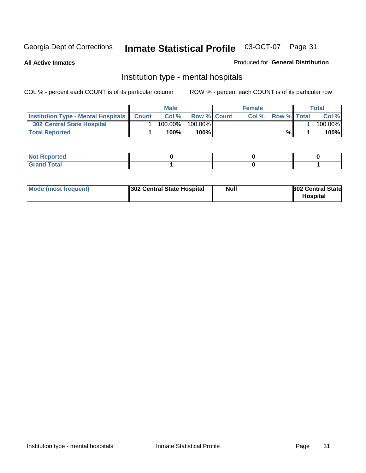**All Active Inmates**

#### Produced for **General Distribution**

### Institution type - mental hospitals

|                                                  | <b>Male</b> |                    | <b>Female</b> |                    | Total   |
|--------------------------------------------------|-------------|--------------------|---------------|--------------------|---------|
| <b>Institution Type - Mental Hospitals Count</b> | Col%        | <b>Row % Count</b> | Col%          | <b>Row % Total</b> | Col %   |
| <b>302 Central State Hospital</b>                | $100.00\%$  | 100.00%            |               |                    | 100.00% |
| <b>Total Reported</b>                            | 100%        | 100%               |               | %                  | 100%    |

| Not Reported |  |  |
|--------------|--|--|
| <b>otal</b>  |  |  |

| Mode (most frequent)<br>302 Central State Hospital | Null | <b>302 Central State</b><br><b>Hospital</b> |
|----------------------------------------------------|------|---------------------------------------------|
|----------------------------------------------------|------|---------------------------------------------|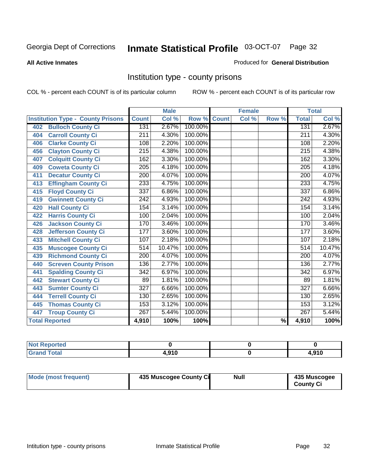#### **All Active Inmates**

#### Produced for **General Distribution**

### Institution type - county prisons

|                                          |                  | <b>Male</b> |         |              | <b>Female</b> |                          |                  | <b>Total</b> |
|------------------------------------------|------------------|-------------|---------|--------------|---------------|--------------------------|------------------|--------------|
| <b>Institution Type - County Prisons</b> | <b>Count</b>     | Col %       | Row %   | <b>Count</b> | Col %         | Row %                    | <b>Total</b>     | Col %        |
| <b>Bulloch County Ci</b><br>402          | 131              | 2.67%       | 100.00% |              |               |                          | 131              | 2.67%        |
| <b>Carroll County Ci</b><br>404          | $\overline{211}$ | 4.30%       | 100.00% |              |               |                          | $\overline{211}$ | 4.30%        |
| <b>Clarke County Ci</b><br>406           | 108              | 2.20%       | 100.00% |              |               |                          | 108              | 2.20%        |
| <b>Clayton County Ci</b><br>456          | 215              | 4.38%       | 100.00% |              |               |                          | 215              | 4.38%        |
| <b>Colquitt County Ci</b><br>407         | 162              | 3.30%       | 100.00% |              |               |                          | 162              | 3.30%        |
| <b>Coweta County Ci</b><br>409           | $\overline{205}$ | 4.18%       | 100.00% |              |               |                          | $\overline{205}$ | 4.18%        |
| <b>Decatur County Ci</b><br>411          | 200              | 4.07%       | 100.00% |              |               |                          | $\overline{200}$ | 4.07%        |
| <b>Effingham County Ci</b><br>413        | 233              | 4.75%       | 100.00% |              |               |                          | 233              | 4.75%        |
| <b>Floyd County Ci</b><br>415            | 337              | 6.86%       | 100.00% |              |               |                          | 337              | 6.86%        |
| <b>Gwinnett County Ci</b><br>419         | $\overline{242}$ | 4.93%       | 100.00% |              |               |                          | 242              | 4.93%        |
| <b>Hall County Ci</b><br>420             | 154              | 3.14%       | 100.00% |              |               |                          | 154              | 3.14%        |
| <b>Harris County Ci</b><br>422           | 100              | 2.04%       | 100.00% |              |               |                          | 100              | 2.04%        |
| <b>Jackson County Ci</b><br>426          | 170              | 3.46%       | 100.00% |              |               |                          | 170              | 3.46%        |
| <b>Jefferson County Ci</b><br>428        | 177              | 3.60%       | 100.00% |              |               |                          | 177              | 3.60%        |
| <b>Mitchell County Ci</b><br>433         | 107              | 2.18%       | 100.00% |              |               |                          | 107              | 2.18%        |
| <b>Muscogee County Ci</b><br>435         | 514              | 10.47%      | 100.00% |              |               |                          | 514              | 10.47%       |
| <b>Richmond County Ci</b><br>439         | 200              | 4.07%       | 100.00% |              |               |                          | 200              | 4.07%        |
| <b>Screven County Prison</b><br>440      | 136              | 2.77%       | 100.00% |              |               |                          | 136              | 2.77%        |
| <b>Spalding County Ci</b><br>441         | $\overline{342}$ | 6.97%       | 100.00% |              |               |                          | $\overline{342}$ | 6.97%        |
| <b>Stewart County Ci</b><br>442          | 89               | 1.81%       | 100.00% |              |               |                          | 89               | 1.81%        |
| <b>Sumter County Ci</b><br>443           | $\overline{327}$ | 6.66%       | 100.00% |              |               |                          | $\overline{327}$ | 6.66%        |
| <b>Terrell County Ci</b><br>444          | 130              | 2.65%       | 100.00% |              |               |                          | 130              | 2.65%        |
| <b>Thomas County Ci</b><br>445           | 153              | 3.12%       | 100.00% |              |               |                          | 153              | 3.12%        |
| <b>Troup County Ci</b><br>447            | $\overline{267}$ | 5.44%       | 100.00% |              |               |                          | $\overline{267}$ | 5.44%        |
| <b>Total Reported</b>                    | 4,910            | 100%        | 100%    |              |               | $\overline{\frac{9}{6}}$ | 4,910            | 100%         |

| -- | 0.40 | 4,910 |
|----|------|-------|

| Mode (most frequent) | 435 Muscogee County Ci | <b>Null</b> | 435 Muscogee     |
|----------------------|------------------------|-------------|------------------|
|                      |                        |             | <b>County Ci</b> |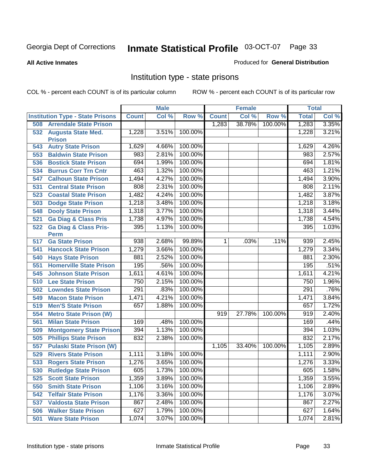#### **All Active Inmates**

#### Produced for **General Distribution**

### Institution type - state prisons

|     |                                                 |              | <b>Male</b> |         |              | <b>Female</b> |         | <b>Total</b> |       |
|-----|-------------------------------------------------|--------------|-------------|---------|--------------|---------------|---------|--------------|-------|
|     | <b>Institution Type - State Prisons</b>         | <b>Count</b> | Col %       | Row %   | <b>Count</b> | Col %         | Row %   | <b>Total</b> | CoI%  |
| 508 | <b>Arrendale State Prison</b>                   |              |             |         | 1,283        | 38.78%        | 100.00% | 1,283        | 3.35% |
| 532 | <b>Augusta State Med.</b><br><b>Prison</b>      | 1,228        | 3.51%       | 100.00% |              |               |         | 1,228        | 3.21% |
| 543 | <b>Autry State Prison</b>                       | 1,629        | 4.66%       | 100.00% |              |               |         | 1,629        | 4.26% |
| 553 | <b>Baldwin State Prison</b>                     | 983          | 2.81%       | 100.00% |              |               |         | 983          | 2.57% |
| 536 | <b>Bostick State Prison</b>                     | 694          | 1.99%       | 100.00% |              |               |         | 694          | 1.81% |
| 534 | <b>Burrus Corr Trn Cntr</b>                     | 463          | 1.32%       | 100.00% |              |               |         | 463          | 1.21% |
| 547 | <b>Calhoun State Prison</b>                     | 1,494        | 4.27%       | 100.00% |              |               |         | 1,494        | 3.90% |
| 531 | <b>Central State Prison</b>                     | 808          | 2.31%       | 100.00% |              |               |         | 808          | 2.11% |
| 523 | <b>Coastal State Prison</b>                     | 1,482        | 4.24%       | 100.00% |              |               |         | 1,482        | 3.87% |
| 503 | <b>Dodge State Prison</b>                       | 1,218        | 3.48%       | 100.00% |              |               |         | 1,218        | 3.18% |
| 548 | <b>Dooly State Prison</b>                       | 1,318        | 3.77%       | 100.00% |              |               |         | 1,318        | 3.44% |
| 521 | <b>Ga Diag &amp; Class Pris</b>                 | 1,738        | 4.97%       | 100.00% |              |               |         | 1,738        | 4.54% |
| 522 | <b>Ga Diag &amp; Class Pris-</b><br><b>Perm</b> | 395          | 1.13%       | 100.00% |              |               |         | 395          | 1.03% |
| 517 | <b>Ga State Prison</b>                          | 938          | 2.68%       | 99.89%  | 11           | .03%          | .11%    | 939          | 2.45% |
| 541 | <b>Hancock State Prison</b>                     | 1,279        | 3.66%       | 100.00% |              |               |         | 1,279        | 3.34% |
| 540 | <b>Hays State Prison</b>                        | 881          | 2.52%       | 100.00% |              |               |         | 881          | 2.30% |
| 551 | <b>Homerville State Prison</b>                  | 195          | .56%        | 100.00% |              |               |         | 195          | .51%  |
| 545 | <b>Johnson State Prison</b>                     | 1,611        | 4.61%       | 100.00% |              |               |         | 1,611        | 4.21% |
| 510 | <b>Lee State Prison</b>                         | 750          | 2.15%       | 100.00% |              |               |         | 750          | 1.96% |
| 502 | <b>Lowndes State Prison</b>                     | 291          | .83%        | 100.00% |              |               |         | 291          | .76%  |
| 549 | <b>Macon State Prison</b>                       | 1,471        | 4.21%       | 100.00% |              |               |         | 1,471        | 3.84% |
| 519 | <b>Men'S State Prison</b>                       | 657          | 1.88%       | 100.00% |              |               |         | 657          | 1.72% |
| 554 | <b>Metro State Prison (W)</b>                   |              |             |         | 919          | 27.78%        | 100.00% | 919          | 2.40% |
| 561 | <b>Milan State Prison</b>                       | 169          | .48%        | 100.00% |              |               |         | 169          | .44%  |
| 509 | <b>Montgomery State Prison</b>                  | 394          | 1.13%       | 100.00% |              |               |         | 394          | 1.03% |
| 505 | <b>Phillips State Prison</b>                    | 832          | 2.38%       | 100.00% |              |               |         | 832          | 2.17% |
| 557 | <b>Pulaski State Prison (W)</b>                 |              |             |         | 1,105        | 33.40%        | 100.00% | 1,105        | 2.89% |
| 529 | <b>Rivers State Prison</b>                      | 1,111        | 3.18%       | 100.00% |              |               |         | 1,111        | 2.90% |
| 533 | <b>Rogers State Prison</b>                      | 1,276        | 3.65%       | 100.00% |              |               |         | 1,276        | 3.33% |
| 530 | <b>Rutledge State Prison</b>                    | 605          | 1.73%       | 100.00% |              |               |         | 605          | 1.58% |
| 525 | <b>Scott State Prison</b>                       | 1,359        | 3.89%       | 100.00% |              |               |         | 1,359        | 3.55% |
| 550 | <b>Smith State Prison</b>                       | 1,106        | 3.16%       | 100.00% |              |               |         | 1,106        | 2.89% |
| 542 | <b>Telfair State Prison</b>                     | 1,176        | 3.36%       | 100.00% |              |               |         | 1,176        | 3.07% |
| 537 | <b>Valdosta State Prison</b>                    | 867          | 2.48%       | 100.00% |              |               |         | 867          | 2.27% |
| 506 | <b>Walker State Prison</b>                      | 627          | 1.79%       | 100.00% |              |               |         | 627          | 1.64% |
| 501 | <b>Ware State Prison</b>                        | 1,074        | 3.07%       | 100.00% |              |               |         | 1,074        | 2.81% |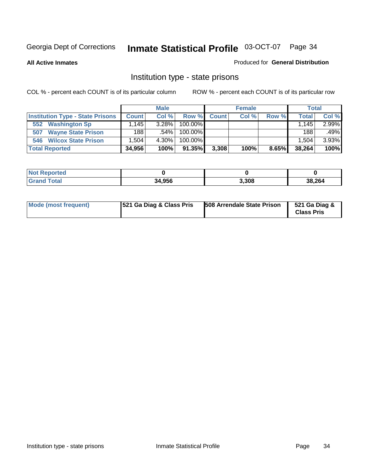**All Active Inmates**

#### Produced for **General Distribution**

### Institution type - state prisons

|                                         |              | <b>Male</b> |            |              | <b>Female</b> |       |        | <b>Total</b> |
|-----------------------------------------|--------------|-------------|------------|--------------|---------------|-------|--------|--------------|
| <b>Institution Type - State Prisons</b> | <b>Count</b> | Col%        | Row %      | <b>Count</b> | Col %         | Row % | Total  | Col %        |
| <b>Washington Sp</b><br>552             | .145         | $3.28\%$    | $100.00\%$ |              |               |       | 1.145  | 2.99%        |
| <b>Wayne State Prison</b><br>507        | 188          | $.54\%$     | $100.00\%$ |              |               |       | 188    | .49%         |
| <b>Wilcox State Prison</b><br>546       | .504         | 4.30%       | $100.00\%$ |              |               |       | 1.504  | 3.93%        |
| <b>Total Reported</b>                   | 34,956       | 100%        | 91.35%     | 3,308        | 100%          | 8.65% | 38,264 | 100%         |

| 'Not<br><b>Reported</b> |        |       |        |
|-------------------------|--------|-------|--------|
| <b>Grand Total</b>      | 34.956 | 3,308 | 38.264 |

| Mode (most frequent) | 521 Ga Diag & Class Pris | 508 Arrendale State Prison | 521 Ga Diag &<br><b>Class Pris</b> |
|----------------------|--------------------------|----------------------------|------------------------------------|
|----------------------|--------------------------|----------------------------|------------------------------------|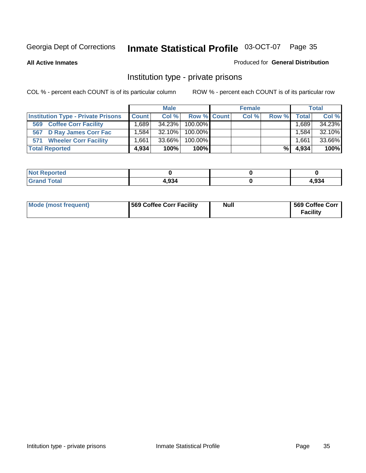**All Active Inmates**

#### Produced for **General Distribution**

### Institution type - private prisons

|                                           |                   | <b>Male</b> |             | <b>Female</b> |       |         | <b>Total</b> |
|-------------------------------------------|-------------------|-------------|-------------|---------------|-------|---------|--------------|
| <b>Institution Type - Private Prisons</b> | <b>Count</b>      | Col %       | Row % Count | Col %         | Row % | Total   | Col %        |
| <b>Coffee Corr Facility</b><br>569        | .689              | 34.23%      | 100.00%     |               |       | ∃689، ، | 34.23%       |
| 567 D Ray James Corr Fac                  | $.584$ $^{\circ}$ | $32.10\%$   | 100.00%     |               |       | .584    | 32.10%       |
| <b>Wheeler Corr Facility</b><br>571       | .661              | 33.66%      | 100.00%     |               |       | 1.661   | 33.66%       |
| <b>Total Reported</b>                     | 4,934             | 100%        | 100%        |               | %     | 4,934   | 100%         |

| rted<br>NOT                      |       |       |
|----------------------------------|-------|-------|
| <b>Total</b><br>$\mathbf{v}$ and | 4.934 | 4,934 |

| <b>Mode (most frequent)</b> | 569 Coffee Corr Facility | <b>Null</b> | 569 Coffee Corr<br><b>Facility</b> |
|-----------------------------|--------------------------|-------------|------------------------------------|
|-----------------------------|--------------------------|-------------|------------------------------------|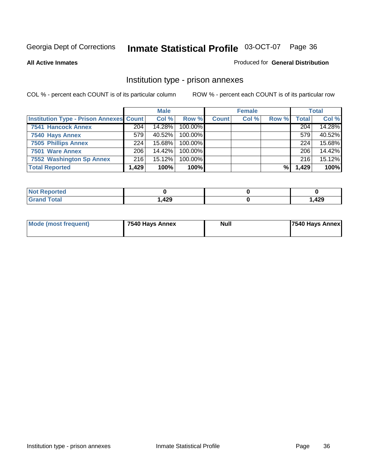#### **All Active Inmates**

#### Produced for **General Distribution**

### Institution type - prison annexes

|                                                |       | <b>Male</b> |            |              | <b>Female</b> |       |              | <b>Total</b> |
|------------------------------------------------|-------|-------------|------------|--------------|---------------|-------|--------------|--------------|
| <b>Institution Type - Prison Annexes Count</b> |       | Col %       | Row %      | <b>Count</b> | Col %         | Row % | <b>Total</b> | Col %        |
| <b>7541 Hancock Annex</b>                      | 204   | 14.28%      | 100.00%    |              |               |       | 204          | 14.28%       |
| 7540 Hays Annex                                | 579   | 40.52%      | 100.00%    |              |               |       | 579          | 40.52%       |
| <b>7505 Phillips Annex</b>                     | 224   | $15.68\%$   | $100.00\%$ |              |               |       | 224          | 15.68%       |
| 7501 Ware Annex                                | 206   | 14.42%      | $100.00\%$ |              |               |       | 206          | 14.42%       |
| 7552 Washington Sp Annex                       | 216   | 15.12%      | 100.00%    |              |               |       | 216          | 15.12%       |
| <b>Total Reported</b>                          | 1,429 | 100%        | 100%       |              |               | %     | 1,429        | 100%         |

| <b>Reported</b><br>$\cdot$ Not. |      |       |
|---------------------------------|------|-------|
| <b>Total</b><br><b>Grand</b>    | ,429 | 1,429 |

| Mode (most frequent) | 7540 Hays Annex | <b>Null</b> | 7540 Hays Annex |
|----------------------|-----------------|-------------|-----------------|
|                      |                 |             |                 |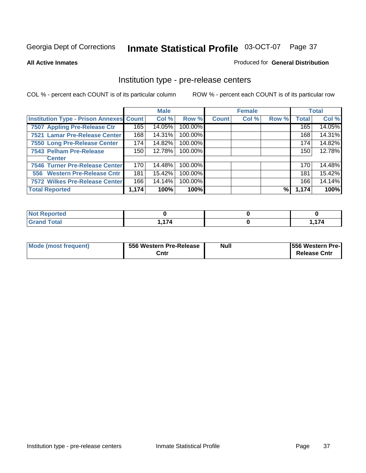### **All Active Inmates**

## Produced for **General Distribution**

## Institution type - pre-release centers

|                                                |       | <b>Male</b> |         |              | <b>Female</b> |       |              | <b>Total</b> |
|------------------------------------------------|-------|-------------|---------|--------------|---------------|-------|--------------|--------------|
| <b>Institution Type - Prison Annexes Count</b> |       | Col %       | Row %   | <b>Count</b> | Col %         | Row % | <b>Total</b> | Col %        |
| 7507 Appling Pre-Release Ctr                   | 165   | 14.05%      | 100.00% |              |               |       | 165          | 14.05%       |
| 7521 Lamar Pre-Release Center                  | 168   | 14.31%      | 100.00% |              |               |       | 168          | 14.31%       |
| 7550 Long Pre-Release Center                   | 174   | 14.82%      | 100.00% |              |               |       | 174          | 14.82%       |
| 7543 Pelham Pre-Release                        | 150   | 12.78%      | 100.00% |              |               |       | 150          | 12.78%       |
| <b>Center</b>                                  |       |             |         |              |               |       |              |              |
| 7546 Turner Pre-Release Center                 | 170   | 14.48%      | 100.00% |              |               |       | 170          | 14.48%       |
| 556 Western Pre-Release Cntr                   | 181   | 15.42%      | 100.00% |              |               |       | 181          | 15.42%       |
| 7572 Wilkes Pre-Release Center                 | 166   | 14.14%      | 100.00% |              |               |       | 166          | 14.14%       |
| <b>Total Reported</b>                          | 1,174 | 100%        | 100%    |              |               | %     | 1,174        | 100%         |

| B. I. 1<br>Reported     |     |                    |
|-------------------------|-----|--------------------|
| <b>Total</b><br>' Gran∟ | 171 | $\rightarrow$<br>. |

| Mode (most frequent) | 556 Western Pre-Release | <b>Null</b> | <b>1556 Western Pre-I</b> |
|----------------------|-------------------------|-------------|---------------------------|
|                      | Cntı                    |             | <b>Release Cntr</b>       |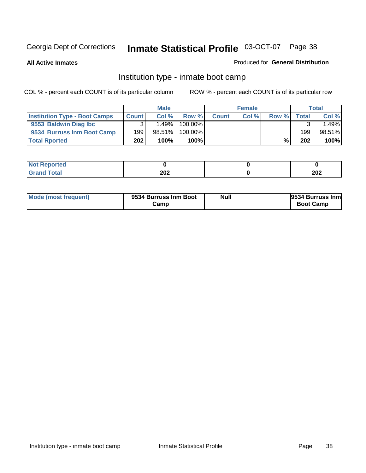**All Active Inmates**

## Produced for **General Distribution**

# Institution type - inmate boot camp

|                                      |              | <b>Male</b> |            |              | <b>Female</b> |       |        | <b>Total</b> |
|--------------------------------------|--------------|-------------|------------|--------------|---------------|-------|--------|--------------|
| <b>Institution Type - Boot Camps</b> | <b>Count</b> | Col%        | Row %      | <b>Count</b> | Col %         | Row % | Totall | Col %        |
| 9553 Baldwin Diag Ibc                |              | $1.49\%$    | $100.00\%$ |              |               |       |        | .49%         |
| 9534 Burruss Inm Boot Camp           | 199          | $98.51\%$   | $100.00\%$ |              |               |       | 199    | 98.51%       |
| <b>Total Rported</b>                 | 202          | 100%        | 100%       |              |               | %     | 202    | 100%         |

| tea:                   |     |     |
|------------------------|-----|-----|
| $int^{\bullet}$<br>--- | 202 | 202 |

| Mode (most frequent) | 9534 Burruss Inm Boot<br>شcamp | Null | <b>9534 Burruss Inm</b><br><b>Boot Camp</b> |
|----------------------|--------------------------------|------|---------------------------------------------|
|----------------------|--------------------------------|------|---------------------------------------------|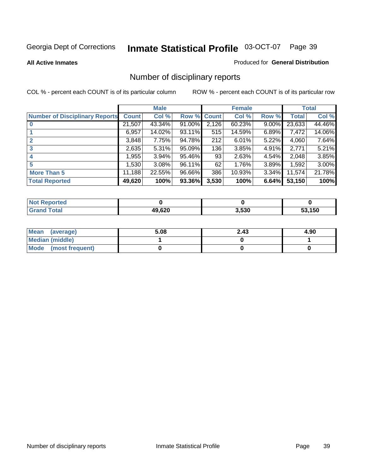**All Active Inmates**

### Produced for **General Distribution**

# Number of disciplinary reports

|                                       |              | <b>Male</b> |        |              | <b>Female</b> |          |              | <b>Total</b> |
|---------------------------------------|--------------|-------------|--------|--------------|---------------|----------|--------------|--------------|
| <b>Number of Disciplinary Reports</b> | <b>Count</b> | Col %       | Row %  | <b>Count</b> | Col %         | Row %    | <b>Total</b> | Col %        |
|                                       | 21,507       | 43.34%      | 91.00% | 2,126        | 60.23%        | $9.00\%$ | 23,633       | 44.46%       |
|                                       | 6,957        | 14.02%      | 93.11% | 515          | 14.59%        | 6.89%    | 7,472        | 14.06%       |
| 2                                     | 3,848        | 7.75%       | 94.78% | 212          | 6.01%         | $5.22\%$ | 4,060        | 7.64%        |
| 3                                     | 2,635        | 5.31%       | 95.09% | 136          | 3.85%         | $4.91\%$ | 2,771        | 5.21%        |
|                                       | .955         | $3.94\%$    | 95.46% | 93           | 2.63%         | $4.54\%$ | 2,048        | 3.85%        |
| 5                                     | 530, 1       | $3.08\%$    | 96.11% | 62           | 1.76%         | 3.89%    | 1,592        | 3.00%        |
| <b>More Than 5</b>                    | 11,188       | 22.55%      | 96.66% | 386          | 10.93%        | 3.34%    | 11,574       | 21.78%       |
| <b>Total Reported</b>                 | 49,620       | 100%        | 93.36% | 3,530        | 100%          | 6.64%    | 53,150       | 100%         |

| N         |       |       |      |
|-----------|-------|-------|------|
| $\sim$ 10 | 10.00 | 3.530 | .150 |

| Mean (average)       | 5.08 | 2.43 | 4.90 |
|----------------------|------|------|------|
| Median (middle)      |      |      |      |
| Mode (most frequent) |      |      |      |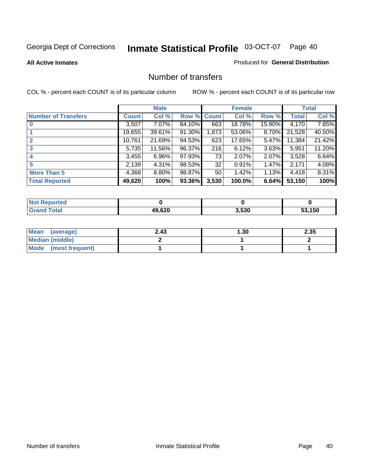### **All Active Inmates**

## Produced for **General Distribution**

## Number of transfers

|                            |         | <b>Male</b> |        |              | <b>Female</b> |          |              | <b>Total</b> |
|----------------------------|---------|-------------|--------|--------------|---------------|----------|--------------|--------------|
| <b>Number of Transfers</b> | Count l | Col %       | Row %  | <b>Count</b> | Col %         | Row %    | <b>Total</b> | Col %        |
|                            | 3,507   | $7.07\%$    | 84.10% | 663          | 18.78%        | 15.90%   | 4,170        | 7.85%        |
|                            | 19,655  | 39.61%      | 91.30% | 1,873        | 53.06%        | 8.70%    | 21,528       | 40.50%       |
|                            | 10,761  | 21.69%      | 94.53% | 623          | 17.65%        | 5.47%    | 11,384       | 21.42%       |
| 3                          | 5,735   | 11.56%      | 96.37% | 216          | 6.12%         | 3.63%    | 5,951        | 11.20%       |
|                            | 3,455   | 6.96%       | 97.93% | 73           | 2.07%         | $2.07\%$ | 3,528        | 6.64%        |
| 5                          | 2,139   | 4.31%       | 98.53% | 32           | 0.91%         | $1.47\%$ | 2,171        | 4.08%        |
| <b>More Than 5</b>         | 4,368   | $8.80\%$    | 98.87% | 50           | 1.42%         | $1.13\%$ | 4,418        | 8.31%        |
| <b>Total Reported</b>      | 49,620  | 100%        | 93.36% | 3,530        | 100.0%        | 6.64%    | 53,150       | 100%         |

| N         |       |       |      |
|-----------|-------|-------|------|
| $\sim$ 10 | 10.00 | 3.530 | .150 |

| Mean (average)       | 2.43 | l .30 | 2.35 |
|----------------------|------|-------|------|
| Median (middle)      |      |       |      |
| Mode (most frequent) |      |       |      |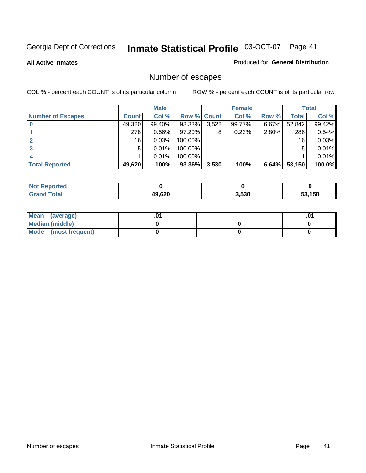**All Active Inmates**

### Produced for **General Distribution**

# Number of escapes

|                          |              | <b>Male</b> |                    |       | <b>Female</b> |          |              | <b>Total</b> |
|--------------------------|--------------|-------------|--------------------|-------|---------------|----------|--------------|--------------|
| <b>Number of Escapes</b> | <b>Count</b> | Col %       | <b>Row % Count</b> |       | Col %         | Row %    | <b>Total</b> | Col %        |
|                          | 49,320       | 99.40%      | 93.33%             | 3,522 | 99.77%        | $6.67\%$ | 52,842       | 99.42%       |
|                          | 278          | 0.56%       | $97.20\%$          | 8     | 0.23%         | $2.80\%$ | 286          | 0.54%        |
|                          | 16           | 0.03%       | 100.00%            |       |               |          | 16           | 0.03%        |
|                          | 5            | 0.01%       | 100.00%            |       |               |          |              | 0.01%        |
|                          |              | 0.01%       | $100.00\%$         |       |               |          |              | 0.01%        |
| <b>Total Reported</b>    | 49,620       | 100%        | 93.36%             | 3,530 | 100%          | 6.64%    | 53,150       | 100.0%       |

| <b>Reported</b><br><b>Not</b> |        |       |        |
|-------------------------------|--------|-------|--------|
| Total                         | 49.620 | 3,530 | 53.150 |

| Mean (average)       |  | .01 |
|----------------------|--|-----|
| Median (middle)      |  |     |
| Mode (most frequent) |  |     |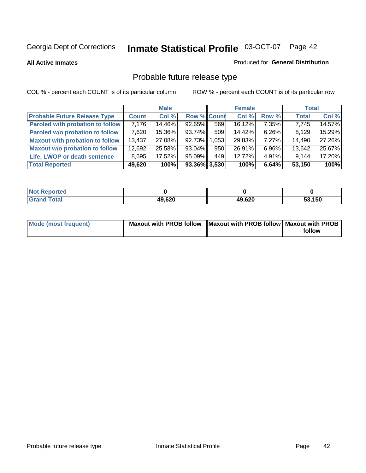**All Active Inmates**

## Produced for **General Distribution**

# Probable future release type

|                                         |              | <b>Male</b> |                    |       | <b>Female</b> |          | <b>Total</b> |        |
|-----------------------------------------|--------------|-------------|--------------------|-------|---------------|----------|--------------|--------|
| <b>Probable Future Release Type</b>     | <b>Count</b> | Col %       | <b>Row % Count</b> |       | Col %         | Row %    | <b>Total</b> | Col %  |
| <b>Paroled with probation to follow</b> | 7,176        | 14.46%      | $92.65\%$          | 569   | 16.12%        | $7.35\%$ | 7,745        | 14.57% |
| Paroled w/o probation to follow         | 7,620        | 15.36%      | $93.74\%$          | 509   | 14.42%        | $6.26\%$ | 8.129        | 15.29% |
| <b>Maxout with probation to follow</b>  | 13,437       | 27.08%      | 92.73%             | 1,053 | 29.83%        | $7.27\%$ | 14,490       | 27.26% |
| <b>Maxout w/o probation to follow</b>   | 12,692       | 25.58%      | $93.04\%$          | 950   | 26.91%        | $6.96\%$ | 13,642       | 25.67% |
| Life, LWOP or death sentence            | 8,695        | 17.52%      | $95.09\%$          | 449   | 12.72%        | $4.91\%$ | 9,144        | 17.20% |
| <b>Total Reported</b>                   | 49,620       | 100%        | $93.36\%$ 3,530    |       | 100%          | 6.64%    | 53,150       | 100%   |

| <b>Not</b><br>Reported |        |        |        |
|------------------------|--------|--------|--------|
| Total<br><b>Grand</b>  | 49,620 | 49,620 | 53,150 |

| Mode (most frequent) | Maxout with PROB follow   Maxout with PROB follow   Maxout with PROB |        |
|----------------------|----------------------------------------------------------------------|--------|
|                      |                                                                      | follow |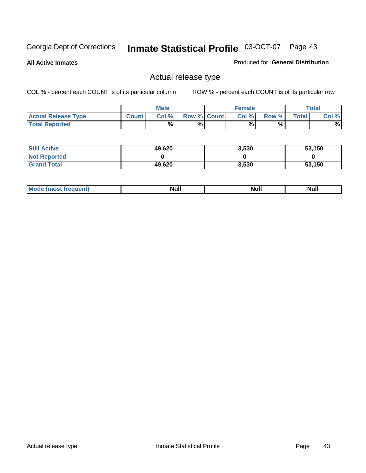**All Active Inmates**

## Produced for **General Distribution**

# Actual release type

|                            |              | <b>Male</b> |                    | <b>Female</b> |       |       | Total |
|----------------------------|--------------|-------------|--------------------|---------------|-------|-------|-------|
| <b>Actual Release Type</b> | <b>Count</b> | Col %       | <b>Row % Count</b> | Col %1        | Row % | Total | Col % |
| <b>Total Reported</b>      |              | %           | %                  | %             | %     |       | %     |

| <b>Still Active</b> | 49,620 | 3,530 | 53,150 |
|---------------------|--------|-------|--------|
| <b>Not Reported</b> |        |       |        |
| <b>Grand Total</b>  | 49,620 | 3,530 | 53,150 |

| M<br>____<br>_____ | NI | Null | $\cdots$ |
|--------------------|----|------|----------|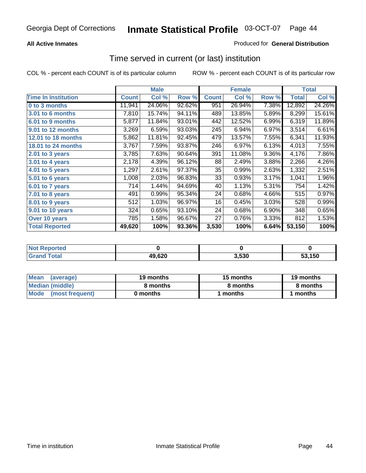## **All Active Inmates**

## Produced for **General Distribution**

## Time served in current (or last) institution

|                            |              | <b>Male</b> |        |              | <b>Female</b> |       |                    | <b>Total</b> |
|----------------------------|--------------|-------------|--------|--------------|---------------|-------|--------------------|--------------|
| <b>Time In Institution</b> | <b>Count</b> | Col %       | Row %  | <b>Count</b> | Col %         | Row % | Total              | Col %        |
| 0 to 3 months              | 11,941       | 24.06%      | 92.62% | 951          | 26.94%        | 7.38% | 12,892             | 24.26%       |
| 3.01 to 6 months           | 7,810        | 15.74%      | 94.11% | 489          | 13.85%        | 5.89% | 8,299              | 15.61%       |
| 6.01 to 9 months           | 5,877        | 11.84%      | 93.01% | 442          | 12.52%        | 6.99% | 6,319              | 11.89%       |
| 9.01 to 12 months          | 3,269        | 6.59%       | 93.03% | 245          | 6.94%         | 6.97% | $\overline{3,514}$ | 6.61%        |
| 12.01 to 18 months         | 5,862        | 11.81%      | 92.45% | 479          | 13.57%        | 7.55% | 6,341              | 11.93%       |
| <b>18.01 to 24 months</b>  | 3,767        | 7.59%       | 93.87% | 246          | 6.97%         | 6.13% | 4,013              | 7.55%        |
| 2.01 to 3 years            | 3,785        | 7.63%       | 90.64% | 391          | 11.08%        | 9.36% | 4,176              | 7.86%        |
| 3.01 to 4 years            | 2,178        | 4.39%       | 96.12% | 88           | 2.49%         | 3.88% | 2,266              | 4.26%        |
| 4.01 to 5 years            | 1,297        | 2.61%       | 97.37% | 35           | 0.99%         | 2.63% | 1,332              | 2.51%        |
| 5.01 to 6 years            | 1,008        | 2.03%       | 96.83% | 33           | 0.93%         | 3.17% | 1,041              | 1.96%        |
| 6.01 to 7 years            | 714          | 1.44%       | 94.69% | 40           | 1.13%         | 5.31% | 754                | 1.42%        |
| 7.01 to 8 years            | 491          | 0.99%       | 95.34% | 24           | 0.68%         | 4.66% | 515                | 0.97%        |
| 8.01 to 9 years            | 512          | 1.03%       | 96.97% | 16           | 0.45%         | 3.03% | 528                | 0.99%        |
| 9.01 to 10 years           | 324          | 0.65%       | 93.10% | 24           | 0.68%         | 6.90% | 348                | 0.65%        |
| Over 10 years              | 785          | 1.58%       | 96.67% | 27           | 0.76%         | 3.33% | 812                | 1.53%        |
| <b>Total Reported</b>      | 49,620       | 100%        | 93.36% | 3,530        | 100%          | 6.64% | 53,150             | 100%         |

| orted<br>N |        |      |      |
|------------|--------|------|------|
| `ofai      | 49,620 | .530 | .150 |

| <b>Mean</b><br>(average) | 19 months | 15 months | 19 months |  |
|--------------------------|-----------|-----------|-----------|--|
| Median (middle)          | 8 months  | 8 months  | 8 months  |  |
| Mode<br>(most frequent)  | 0 months  | 1 months  | months    |  |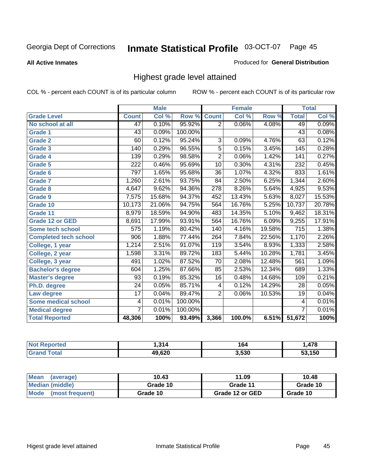**All Active Inmates**

## Produced for **General Distribution**

# Highest grade level attained

|                              |                 | <b>Male</b> |         |                  | <b>Female</b> |        |                  | <b>Total</b> |
|------------------------------|-----------------|-------------|---------|------------------|---------------|--------|------------------|--------------|
| <b>Grade Level</b>           | <b>Count</b>    | Col %       | Row %   | <b>Count</b>     | Col %         | Row %  | <b>Total</b>     | Col %        |
| No school at all             | 47              | 0.10%       | 95.92%  | $\overline{2}$   | 0.06%         | 4.08%  | 49               | 0.09%        |
| Grade 1                      | $\overline{43}$ | 0.09%       | 100.00% |                  |               |        | $\overline{43}$  | 0.08%        |
| <b>Grade 2</b>               | 60              | 0.12%       | 95.24%  | 3                | 0.09%         | 4.76%  | 63               | 0.12%        |
| <b>Grade 3</b>               | 140             | 0.29%       | 96.55%  | 5                | 0.15%         | 3.45%  | 145              | 0.28%        |
| Grade 4                      | 139             | 0.29%       | 98.58%  | $\overline{2}$   | 0.06%         | 1.42%  | $\overline{141}$ | 0.27%        |
| Grade 5                      | 222             | 0.46%       | 95.69%  | $\overline{10}$  | 0.30%         | 4.31%  | 232              | 0.45%        |
| Grade 6                      | 797             | 1.65%       | 95.68%  | $\overline{36}$  | 1.07%         | 4.32%  | 833              | 1.61%        |
| <b>Grade 7</b>               | 1,260           | 2.61%       | 93.75%  | 84               | 2.50%         | 6.25%  | 1,344            | 2.60%        |
| <b>Grade 8</b>               | 4,647           | 9.62%       | 94.36%  | $\overline{278}$ | 8.26%         | 5.64%  | 4,925            | 9.53%        |
| Grade 9                      | 7,575           | 15.68%      | 94.37%  | 452              | 13.43%        | 5.63%  | 8,027            | 15.53%       |
| Grade 10                     | 10,173          | 21.06%      | 94.75%  | 564              | 16.76%        | 5.25%  | 10,737           | 20.78%       |
| Grade 11                     | 8,979           | 18.59%      | 94.90%  | 483              | 14.35%        | 5.10%  | 9,462            | 18.31%       |
| <b>Grade 12 or GED</b>       | 8,691           | 17.99%      | 93.91%  | 564              | 16.76%        | 6.09%  | 9,255            | 17.91%       |
| <b>Some tech school</b>      | 575             | 1.19%       | 80.42%  | 140              | 4.16%         | 19.58% | 715              | 1.38%        |
| <b>Completed tech school</b> | 906             | 1.88%       | 77.44%  | 264              | 7.84%         | 22.56% | 1,170            | 2.26%        |
| College, 1 year              | 1,214           | 2.51%       | 91.07%  | 119              | 3.54%         | 8.93%  | 1,333            | 2.58%        |
| College, 2 year              | 1,598           | 3.31%       | 89.72%  | 183              | 5.44%         | 10.28% | 1,781            | 3.45%        |
| College, 3 year              | 491             | 1.02%       | 87.52%  | $\overline{70}$  | 2.08%         | 12.48% | 561              | 1.09%        |
| <b>Bachelor's degree</b>     | 604             | 1.25%       | 87.66%  | 85               | 2.53%         | 12.34% | 689              | 1.33%        |
| <b>Master's degree</b>       | 93              | 0.19%       | 85.32%  | 16               | 0.48%         | 14.68% | 109              | 0.21%        |
| Ph.D. degree                 | $\overline{24}$ | 0.05%       | 85.71%  | 4                | 0.12%         | 14.29% | 28               | 0.05%        |
| Law degree                   | $\overline{17}$ | 0.04%       | 89.47%  | $\overline{2}$   | 0.06%         | 10.53% | 19               | 0.04%        |
| <b>Some medical school</b>   | 4               | 0.01%       | 100.00% |                  |               |        | 4                | 0.01%        |
| <b>Medical degree</b>        | 7               | 0.01%       | 100.00% |                  |               |        | $\overline{7}$   | 0.01%        |
| <b>Total Reported</b>        | 48,306          | 100%        | 93.49%  | 3,366            | 100.0%        | 6.51%  | 51,672           | 100%         |

| 314    | 164   | 470    |
|--------|-------|--------|
| 49.620 | 3,530 | 53.150 |

| <b>Mean</b><br>(average)       | 10.43    | 11.09           | 10.48    |
|--------------------------------|----------|-----------------|----------|
| Median (middle)                | Grade 10 | Grade 11        | Grade 10 |
| <b>Mode</b><br>(most frequent) | Grade 10 | Grade 12 or GED | Grade 10 |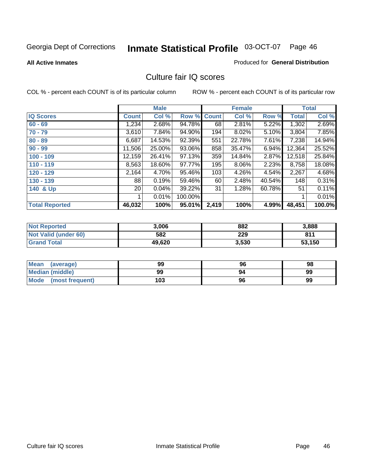**All Active Inmates**

## Produced for **General Distribution**

## Culture fair IQ scores

|                       |              | <b>Male</b> |         |              | <b>Female</b> |        |              | <b>Total</b> |
|-----------------------|--------------|-------------|---------|--------------|---------------|--------|--------------|--------------|
| <b>IQ Scores</b>      | <b>Count</b> | Col %       | Row %   | <b>Count</b> | Col %         | Row %  | <b>Total</b> | Col %        |
| $60 - 69$             | 1,234        | 2.68%       | 94.78%  | 68           | 2.81%         | 5.22%  | 1,302        | 2.69%        |
| $70 - 79$             | 3,610        | 7.84%       | 94.90%  | 194          | 8.02%         | 5.10%  | 3,804        | 7.85%        |
| $80 - 89$             | 6,687        | 14.53%      | 92.39%  | 551          | 22.78%        | 7.61%  | 7,238        | 14.94%       |
| $90 - 99$             | 11,506       | 25.00%      | 93.06%  | 858          | 35.47%        | 6.94%  | 12,364       | 25.52%       |
| $100 - 109$           | 12,159       | 26.41%      | 97.13%  | 359          | 14.84%        | 2.87%  | 12,518       | 25.84%       |
| $110 - 119$           | 8,563        | 18.60%      | 97.77%  | 195          | 8.06%         | 2.23%  | 8,758        | 18.08%       |
| 120 - 129             | 2,164        | 4.70%       | 95.46%  | 103          | 4.26%         | 4.54%  | 2,267        | 4.68%        |
| 130 - 139             | 88           | 0.19%       | 59.46%  | 60           | 2.48%         | 40.54% | 148          | 0.31%        |
| 140 & Up              | 20           | 0.04%       | 39.22%  | 31           | 1.28%         | 60.78% | 51           | 0.11%        |
|                       |              | 0.01%       | 100.00% |              |               |        |              | 0.01%        |
| <b>Total Reported</b> | 46,032       | 100%        | 95.01%  | 2,419        | 100%          | 4.99%  | 48,451       | 100.0%       |

| <b>Not Reported</b>  | 3,006  | 882   | 3,888  |
|----------------------|--------|-------|--------|
| Not Valid (under 60) | 582    | 229   | 811    |
| <b>Grand Total</b>   | 49,620 | 3,530 | 53,150 |

| <b>Mean</b><br>(average) | 99  | 96 | 98 |
|--------------------------|-----|----|----|
| <b>Median (middle)</b>   | 99  | 94 | 99 |
| Mode (most frequent)     | 103 | 96 | 99 |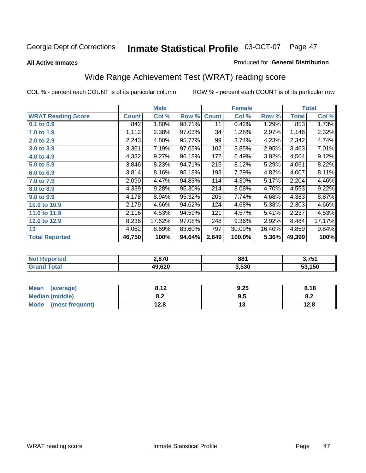#### **All Active Inmates**

## Produced for **General Distribution**

# Wide Range Achievement Test (WRAT) reading score

|                           |              | <b>Male</b> |        |              | <b>Female</b> |        |              | <b>Total</b> |
|---------------------------|--------------|-------------|--------|--------------|---------------|--------|--------------|--------------|
| <b>WRAT Reading Score</b> | <b>Count</b> | Col %       | Row %  | <b>Count</b> | Col %         | Row %  | <b>Total</b> | Col %        |
| 0.1 to 0.9                | 842          | 1.80%       | 98.71% | 11           | 0.42%         | 1.29%  | 853          | 1.73%        |
| 1.0 to 1.9                | 1,112        | 2.38%       | 97.03% | 34           | 1.28%         | 2.97%  | 1,146        | 2.32%        |
| 2.0 to 2.9                | 2,243        | 4.80%       | 95.77% | 99           | 3.74%         | 4.23%  | 2,342        | 4.74%        |
| 3.0 to 3.9                | 3,361        | 7.19%       | 97.05% | 102          | 3.85%         | 2.95%  | 3,463        | 7.01%        |
| 4.0 to 4.9                | 4,332        | 9.27%       | 96.18% | 172          | 6.49%         | 3.82%  | 4,504        | 9.12%        |
| 5.0 to 5.9                | 3,846        | 8.23%       | 94.71% | 215          | 8.12%         | 5.29%  | 4,061        | 8.22%        |
| 6.0 to 6.9                | 3,814        | 8.16%       | 95.18% | 193          | 7.29%         | 4.82%  | 4,007        | 8.11%        |
| 7.0 to 7.9                | 2,090        | 4.47%       | 94.83% | 114          | 4.30%         | 5.17%  | 2,204        | 4.46%        |
| 8.0 to 8.9                | 4,339        | 9.28%       | 95.30% | 214          | 8.08%         | 4.70%  | 4,553        | 9.22%        |
| 9.0 to 9.9                | 4,178        | 8.94%       | 95.32% | 205          | 7.74%         | 4.68%  | 4,383        | 8.87%        |
| 10.0 to 10.9              | 2,179        | 4.66%       | 94.62% | 124          | 4.68%         | 5.38%  | 2,303        | 4.66%        |
| 11.0 to 11.9              | 2,116        | 4.53%       | 94.59% | 121          | 4.57%         | 5.41%  | 2,237        | 4.53%        |
| 12.0 to 12.9              | 8,236        | 17.62%      | 97.08% | 248          | 9.36%         | 2.92%  | 8,484        | 17.17%       |
| 13                        | 4,062        | 8.69%       | 83.60% | 797          | 30.09%        | 16.40% | 4,859        | 9.84%        |
| <b>Total Reported</b>     | 46,750       | 100%        | 94.64% | 2,649        | 100.0%        | 5.36%  | 49,399       | 100%         |

| n er | הלם ו  | 881   | 9 7 E 4 |
|------|--------|-------|---------|
|      | 49,620 | 3,530 | .150    |

| <b>Mean</b><br>(average) | 2 1 2         | 9.25 | 8.18       |
|--------------------------|---------------|------|------------|
| <b>Median (middle)</b>   | י ה<br>o.z    | ນ.ບ  | о о<br>v.z |
| Mode<br>(most frequent)  | 1 ລ Q<br>⊦∠.o | טו   | 12.8       |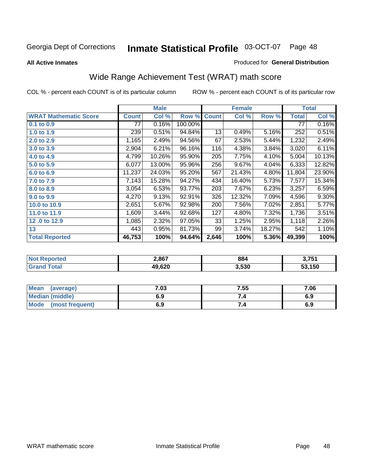**All Active Inmates**

## Produced for **General Distribution**

# Wide Range Achievement Test (WRAT) math score

|                              |              | <b>Male</b> |         |              | <b>Female</b> |        |              | <b>Total</b> |
|------------------------------|--------------|-------------|---------|--------------|---------------|--------|--------------|--------------|
| <b>WRAT Mathematic Score</b> | <b>Count</b> | Col %       | Row %   | <b>Count</b> | Col %         | Row %  | <b>Total</b> | Col %        |
| 0.1 to 0.9                   | 77           | 0.16%       | 100.00% |              |               |        | 77           | 0.16%        |
| 1.0 to 1.9                   | 239          | 0.51%       | 94.84%  | 13           | 0.49%         | 5.16%  | 252          | 0.51%        |
| 2.0 to 2.9                   | 1,165        | 2.49%       | 94.56%  | 67           | 2.53%         | 5.44%  | 1,232        | 2.49%        |
| 3.0 to 3.9                   | 2,904        | 6.21%       | 96.16%  | 116          | 4.38%         | 3.84%  | 3,020        | 6.11%        |
| 4.0 to 4.9                   | 4,799        | 10.26%      | 95.90%  | 205          | 7.75%         | 4.10%  | 5,004        | 10.13%       |
| 5.0 to 5.9                   | 6,077        | 13.00%      | 95.96%  | 256          | 9.67%         | 4.04%  | 6,333        | 12.82%       |
| 6.0 to 6.9                   | 11,237       | 24.03%      | 95.20%  | 567          | 21.43%        | 4.80%  | 11,804       | 23.90%       |
| 7.0 to 7.9                   | 7,143        | 15.28%      | 94.27%  | 434          | 16.40%        | 5.73%  | 7,577        | 15.34%       |
| 8.0 to 8.9                   | 3,054        | 6.53%       | 93.77%  | 203          | 7.67%         | 6.23%  | 3,257        | 6.59%        |
| 9.0 to 9.9                   | 4,270        | 9.13%       | 92.91%  | 326          | 12.32%        | 7.09%  | 4,596        | $9.30\%$     |
| 10.0 to 10.9                 | 2,651        | 5.67%       | 92.98%  | 200          | 7.56%         | 7.02%  | 2,851        | 5.77%        |
| 11.0 to 11.9                 | 1,609        | 3.44%       | 92.68%  | 127          | 4.80%         | 7.32%  | 1,736        | 3.51%        |
| 12.0 to 12.9                 | 1,085        | 2.32%       | 97.05%  | 33           | 1.25%         | 2.95%  | 1,118        | 2.26%        |
| 13                           | 443          | 0.95%       | 81.73%  | 99           | 3.74%         | 18.27% | 542          | 1.10%        |
| <b>Total Reported</b>        | 46,753       | 100%        | 94.64%  | 2,646        | 100%          | 5.36%  | 49,399       | 100%         |

| orteo       | 2,867  | 884   | 2.754  |
|-------------|--------|-------|--------|
| <b>otal</b> | 19,620 | 3,530 | 53.150 |

| <b>Mean</b><br>(average) | .03 | 7.55 | 7.06 |
|--------------------------|-----|------|------|
| Median (middle)          | 6.9 |      | 6.9  |
| Mode<br>(most frequent)  | 6.9 | 7.4  | 6.9  |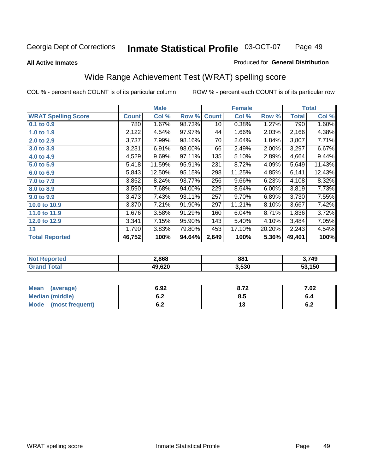## **All Active Inmates**

## Produced for **General Distribution**

# Wide Range Achievement Test (WRAT) spelling score

|                            |              | <b>Male</b> |        |              | <b>Female</b> |        |              | <b>Total</b> |
|----------------------------|--------------|-------------|--------|--------------|---------------|--------|--------------|--------------|
| <b>WRAT Spelling Score</b> | <b>Count</b> | Col %       | Row %  | <b>Count</b> | Col %         | Row %  | <b>Total</b> | Col %        |
| $0.1$ to $0.9$             | 780          | 1.67%       | 98.73% | 10           | 0.38%         | 1.27%  | 790          | 1.60%        |
| 1.0 to 1.9                 | 2,122        | 4.54%       | 97.97% | 44           | 1.66%         | 2.03%  | 2,166        | 4.38%        |
| 2.0 to 2.9                 | 3,737        | 7.99%       | 98.16% | 70           | 2.64%         | 1.84%  | 3,807        | 7.71%        |
| 3.0 to 3.9                 | 3,231        | 6.91%       | 98.00% | 66           | 2.49%         | 2.00%  | 3,297        | 6.67%        |
| 4.0 to 4.9                 | 4,529        | 9.69%       | 97.11% | 135          | 5.10%         | 2.89%  | 4,664        | 9.44%        |
| 5.0 to 5.9                 | 5,418        | $11.59\%$   | 95.91% | 231          | 8.72%         | 4.09%  | 5,649        | 11.43%       |
| 6.0 to 6.9                 | 5,843        | 12.50%      | 95.15% | 298          | 11.25%        | 4.85%  | 6,141        | 12.43%       |
| 7.0 to 7.9                 | 3,852        | 8.24%       | 93.77% | 256          | 9.66%         | 6.23%  | 4,108        | 8.32%        |
| 8.0 to 8.9                 | 3,590        | 7.68%       | 94.00% | 229          | 8.64%         | 6.00%  | 3,819        | 7.73%        |
| 9.0 to 9.9                 | 3,473        | 7.43%       | 93.11% | 257          | 9.70%         | 6.89%  | 3,730        | 7.55%        |
| 10.0 to 10.9               | 3,370        | 7.21%       | 91.90% | 297          | 11.21%        | 8.10%  | 3,667        | 7.42%        |
| 11.0 to 11.9               | 1,676        | 3.58%       | 91.29% | 160          | 6.04%         | 8.71%  | 1,836        | 3.72%        |
| 12.0 to 12.9               | 3,341        | 7.15%       | 95.90% | 143          | 5.40%         | 4.10%  | 3,484        | 7.05%        |
| 13                         | 1,790        | 3.83%       | 79.80% | 453          | 17.10%        | 20.20% | 2,243        | 4.54%        |
| <b>Total Reported</b>      | 46,752       | 100%        | 94.64% | 2,649        | 100%          | 5.36%  | 49,401       | 100%         |

| 2,868  | 881   | $^{\backprime}$ ,749 |
|--------|-------|----------------------|
| 49,620 | 3,530 | .150                 |

| <b>Mean</b><br>(average)       | 6.92               | o 70<br>0.14 | 7.02 |
|--------------------------------|--------------------|--------------|------|
| Median (middle)                | <u>. . </u><br>ο.Ζ | ბ.მ          |      |
| <b>Mode</b><br>(most frequent) | . .<br>U.Z         | . .          | υ.Ζ  |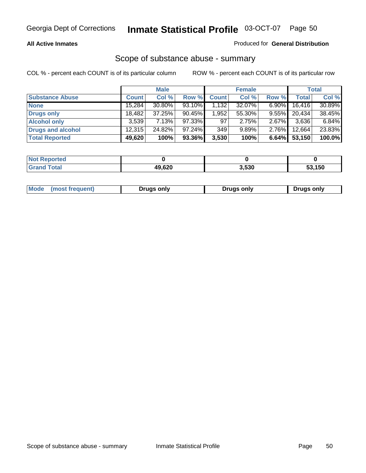## **All Active Inmates**

## Produced for **General Distribution**

## Scope of substance abuse - summary

|                        |              | <b>Male</b> |           |              | <b>Female</b> |          |              | <b>Total</b> |
|------------------------|--------------|-------------|-----------|--------------|---------------|----------|--------------|--------------|
| <b>Substance Abuse</b> | <b>Count</b> | Col %       | Row %     | <b>Count</b> | Col %         | Row %    | <b>Total</b> | Col %        |
| <b>None</b>            | 15,284       | 30.80%      | 93.10%    | 1,132        | 32.07%        | $6.90\%$ | 16,416       | 30.89%       |
| <b>Drugs only</b>      | 18.482       | 37.25%      | $90.45\%$ | 1,952        | 55.30%        | $9.55\%$ | 20,434       | 38.45%       |
| <b>Alcohol only</b>    | 3,539        | 7.13%       | 97.33%    | 97           | 2.75%         | $2.67\%$ | 3,636        | 6.84%        |
| Drugs and alcohol      | 12.315       | 24.82%      | $97.24\%$ | 349          | 9.89%         | $2.76\%$ | 12,664       | 23.83%       |
| <b>Total Reported</b>  | 49,620       | 100%        | 93.36%    | 3,530        | 100%          | 6.64%    | 53,150       | 100.0%       |

| <b>Not Reported</b>   |        |       |        |
|-----------------------|--------|-------|--------|
| Гоtal<br><b>Grand</b> | 49,620 | 3,530 | 53,150 |

| Drugs only | Mode<br>(most frequent) | Drugs only | Drugs only |
|------------|-------------------------|------------|------------|
|------------|-------------------------|------------|------------|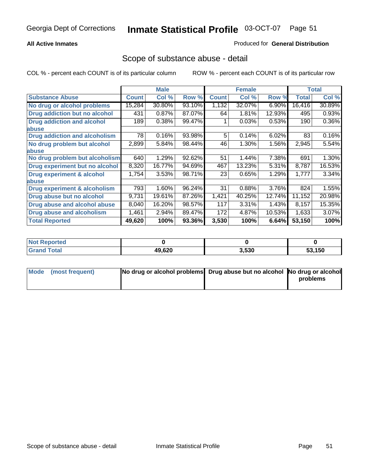## **All Active Inmates**

## Produced for **General Distribution**

## Scope of substance abuse - detail

|                                      |              | <b>Male</b> |        |              | <b>Female</b> |        |              | <b>Total</b> |
|--------------------------------------|--------------|-------------|--------|--------------|---------------|--------|--------------|--------------|
| <b>Substance Abuse</b>               | <b>Count</b> | Col %       | Row %  | <b>Count</b> | Col %         | Row %  | <b>Total</b> | Col %        |
| No drug or alcohol problems          | 15,284       | 30.80%      | 93.10% | 1,132        | 32.07%        | 6.90%  | 16,416       | 30.89%       |
| Drug addiction but no alcohol        | 431          | 0.87%       | 87.07% | 64           | 1.81%         | 12.93% | 495          | 0.93%        |
| <b>Drug addiction and alcohol</b>    | 189          | 0.38%       | 99.47% |              | 0.03%         | 0.53%  | 190          | $0.36\%$     |
| abuse                                |              |             |        |              |               |        |              |              |
| <b>Drug addiction and alcoholism</b> | 78           | 0.16%       | 93.98% | 5            | 0.14%         | 6.02%  | 83           | 0.16%        |
| No drug problem but alcohol          | 2,899        | 5.84%       | 98.44% | 46           | 1.30%         | 1.56%  | 2,945        | 5.54%        |
| abuse                                |              |             |        |              |               |        |              |              |
| No drug problem but alcoholism       | 640          | 1.29%       | 92.62% | 51           | 1.44%         | 7.38%  | 691          | 1.30%        |
| Drug experiment but no alcohol       | 8,320        | 16.77%      | 94.69% | 467          | 13.23%        | 5.31%  | 8,787        | 16.53%       |
| <b>Drug experiment &amp; alcohol</b> | 1,754        | 3.53%       | 98.71% | 23           | 0.65%         | 1.29%  | 1,777        | 3.34%        |
| <b>labuse</b>                        |              |             |        |              |               |        |              |              |
| Drug experiment & alcoholism         | 793          | 1.60%       | 96.24% | 31           | 0.88%         | 3.76%  | 824          | 1.55%        |
| Drug abuse but no alcohol            | 9,731        | 19.61%      | 87.26% | 1,421        | 40.25%        | 12.74% | 11,152       | 20.98%       |
| Drug abuse and alcohol abuse         | 8,040        | 16.20%      | 98.57% | 117          | 3.31%         | 1.43%  | 8,157        | 15.35%       |
| <b>Drug abuse and alcoholism</b>     | 1,461        | 2.94%       | 89.47% | 172          | 4.87%         | 10.53% | 1,633        | 3.07%        |
| <b>Total Reported</b>                | 49,620       | 100%        | 93.36% | 3,530        | 100%          | 6.64%  | 53,150       | 100%         |

| <b>Not Reported</b> |        |       |        |
|---------------------|--------|-------|--------|
| Total               | 49,620 | 3.530 | 53.150 |

| Mode (most frequent) | No drug or alcohol problems Drug abuse but no alcohol No drug or alcohol |          |
|----------------------|--------------------------------------------------------------------------|----------|
|                      |                                                                          | problems |
|                      |                                                                          |          |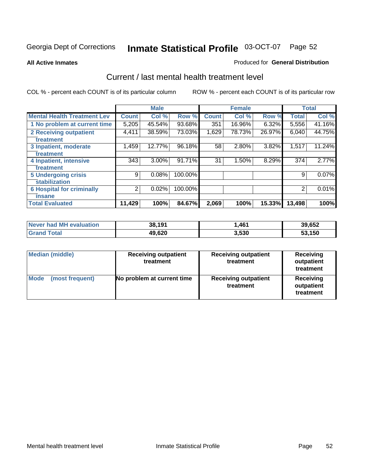### **All Active Inmates**

### Produced for **General Distribution**

## Current / last mental health treatment level

|                                    |              | <b>Male</b> |         |              | <b>Female</b> |          |              | <b>Total</b> |
|------------------------------------|--------------|-------------|---------|--------------|---------------|----------|--------------|--------------|
| <b>Mental Health Treatment Lev</b> | <b>Count</b> | Col%        | Row %   | <b>Count</b> | Col%          | Row %    | <b>Total</b> | Col %        |
| 1 No problem at current time       | 5,205        | 45.54%      | 93.68%  | 351          | 16.96%        | $6.32\%$ | 5,556        | 41.16%       |
| <b>2 Receiving outpatient</b>      | 4,411        | 38.59%      | 73.03%  | 1,629        | 78.73%        | 26.97%   | 6,040        | 44.75%       |
| treatment                          |              |             |         |              |               |          |              |              |
| 3 Inpatient, moderate              | 1,459        | 12.77%      | 96.18%  | 58           | 2.80%         | 3.82%    | 1,517        | 11.24%       |
| treatment                          |              |             |         |              |               |          |              |              |
| 4 Inpatient, intensive             | 343          | $3.00\%$    | 91.71%  | 31           | 1.50%         | 8.29%    | 374          | 2.77%        |
| treatment                          |              |             |         |              |               |          |              |              |
| <b>5 Undergoing crisis</b>         | 9            | 0.08%       | 100.00% |              |               |          | 9            | 0.07%        |
| stabilization                      |              |             |         |              |               |          |              |              |
| <b>6 Hospital for criminally</b>   | 2            | 0.02%       | 100.00% |              |               |          | 2            | 0.01%        |
| insane                             |              |             |         |              |               |          |              |              |
| <b>Total Evaluated</b>             | 11,429       | 100%        | 84.67%  | 2,069        | 100%          | 15.33%   | 13,498       | 100%         |

| Never had MH evaluation | 38,191 | 1,461 | 39,652 |
|-------------------------|--------|-------|--------|
| <b>Grand Total</b>      | 49,620 | 3,530 | 53,150 |

| Median (middle)         | <b>Receiving outpatient</b><br>treatment | <b>Receiving outpatient</b><br>treatment | <b>Receiving</b><br>outpatient<br>treatment |
|-------------------------|------------------------------------------|------------------------------------------|---------------------------------------------|
| Mode<br>(most frequent) | No problem at current time               | <b>Receiving outpatient</b><br>treatment | Receiving<br>outpatient<br>treatment        |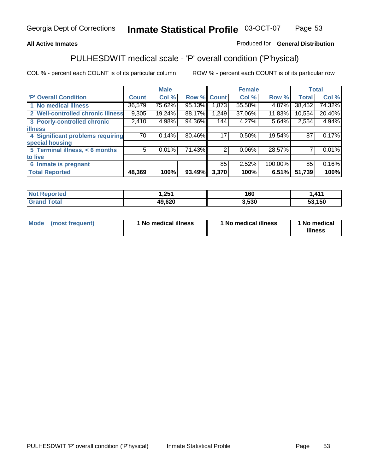## **All Active Inmates**

## Produced for **General Distribution**

# PULHESDWIT medical scale - 'P' overall condition ('P'hysical)

|                                   |              | <b>Male</b> |        |              | <b>Female</b> |         |              | <b>Total</b> |
|-----------------------------------|--------------|-------------|--------|--------------|---------------|---------|--------------|--------------|
| 'P' Overall Condition             | <b>Count</b> | Col %       | Row %  | <b>Count</b> | Col %         | Row %   | <b>Total</b> | Col %        |
| 1 No medical illness              | 36,579       | 75.62%      | 95.13% | 1,873        | 55.58%        | 4.87%   | 38,452       | 74.32%       |
| 2 Well-controlled chronic illness | 9,305        | 19.24%      | 88.17% | 1,249        | 37.06%        | 11.83%  | 10,554       | 20.40%       |
| 3 Poorly-controlled chronic       | 2,410        | 4.98%       | 94.36% | 144          | 4.27%         | 5.64%   | 2,554        | 4.94%        |
| <b>illness</b>                    |              |             |        |              |               |         |              |              |
| 4 Significant problems requiring  | 70           | 0.14%       | 80.46% | 17           | 0.50%         | 19.54%  | 87           | 0.17%        |
| special housing                   |              |             |        |              |               |         |              |              |
| 5 Terminal illness, < 6 months    | 5            | 0.01%       | 71.43% | 2            | 0.06%         | 28.57%  |              | 0.01%        |
| to live                           |              |             |        |              |               |         |              |              |
| Inmate is pregnant<br>6           |              |             |        | 85           | 2.52%         | 100.00% | 85           | 0.16%        |
| <b>Total Reported</b>             | 48,369       | 100%        | 93.49% | 3,370        | 100%          | 6.51%   | 51,739       | 100%         |

| <b>Not Reported</b> | 1,251  | 160   | 1,411  |
|---------------------|--------|-------|--------|
| <b>Grand Total</b>  | 49,620 | 3,530 | 53,150 |

| Mode (most frequent) | 1 No medical illness | 1 No medical illness | 1 No medical |
|----------------------|----------------------|----------------------|--------------|
|                      |                      |                      | illness      |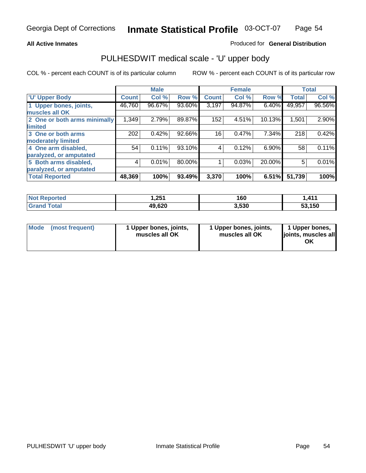## **All Active Inmates**

## Produced for **General Distribution**

## PULHESDWIT medical scale - 'U' upper body

|                              |              | <b>Male</b> |        |              | <b>Female</b> |          |              | <b>Total</b> |
|------------------------------|--------------|-------------|--------|--------------|---------------|----------|--------------|--------------|
| <b>U' Upper Body</b>         | <b>Count</b> | Col %       | Row %  | <b>Count</b> | Col %         | Row %    | <b>Total</b> | Col %        |
| 1 Upper bones, joints,       | 46,760       | 96.67%      | 93.60% | 3,197        | 94.87%        | 6.40%    | 49,957       | 96.56%       |
| muscles all OK               |              |             |        |              |               |          |              |              |
| 2 One or both arms minimally | 1,349        | 2.79%       | 89.87% | 152          | 4.51%         | 10.13%   | 1,501        | 2.90%        |
| limited                      |              |             |        |              |               |          |              |              |
| 3 One or both arms           | 202          | 0.42%       | 92.66% | 16           | 0.47%         | 7.34%    | 218          | 0.42%        |
| moderately limited           |              |             |        |              |               |          |              |              |
| 4 One arm disabled,          | 54           | 0.11%       | 93.10% | 4            | 0.12%         | $6.90\%$ | 58           | 0.11%        |
| paralyzed, or amputated      |              |             |        |              |               |          |              |              |
| 5 Both arms disabled,        | 4            | 0.01%       | 80.00% |              | 0.03%         | 20.00%   | 5            | 0.01%        |
| paralyzed, or amputated      |              |             |        |              |               |          |              |              |
| <b>Total Reported</b>        | 48,369       | 100%        | 93.49% | 3,370        | 100%          | 6.51%    | 51,739       | 100%         |

| <b>Not Reported</b> | 1,251  | 160   | <b>411</b><br>. |
|---------------------|--------|-------|-----------------|
| Total<br>' Grand    | 49,620 | 3,530 | 53.150          |

| <b>Mode</b> | (most frequent) | 1 Upper bones, joints,<br>muscles all OK | 1 Upper bones, joints,<br>muscles all OK | 1 Upper bones,<br>joints, muscles all<br>ΟK |
|-------------|-----------------|------------------------------------------|------------------------------------------|---------------------------------------------|
|-------------|-----------------|------------------------------------------|------------------------------------------|---------------------------------------------|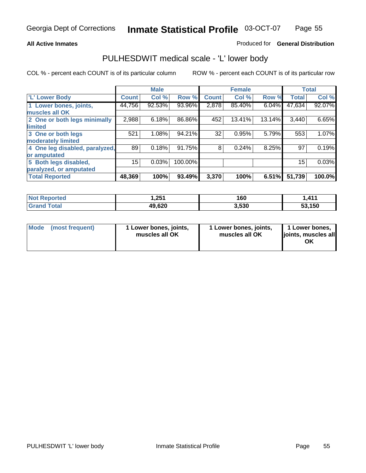## **All Active Inmates**

## Produced for **General Distribution**

## PULHESDWIT medical scale - 'L' lower body

|                                |                 | <b>Male</b> |         |              | <b>Female</b> |        |              | <b>Total</b> |
|--------------------------------|-----------------|-------------|---------|--------------|---------------|--------|--------------|--------------|
| <b>L' Lower Body</b>           | <b>Count</b>    | Col %       | Row %   | <b>Count</b> | Col %         | Row %  | <b>Total</b> | Col %        |
| 1 Lower bones, joints,         | 44,756          | 92.53%      | 93.96%  | 2,878        | 85.40%        | 6.04%  | 47,634       | 92.07%       |
| muscles all OK                 |                 |             |         |              |               |        |              |              |
| 2 One or both legs minimally   | 2,988           | 6.18%       | 86.86%  | 452          | 13.41%        | 13.14% | 3,440        | 6.65%        |
| limited                        |                 |             |         |              |               |        |              |              |
| 3 One or both legs             | 521             | 1.08%       | 94.21%  | 32           | 0.95%         | 5.79%  | 553          | 1.07%        |
| moderately limited             |                 |             |         |              |               |        |              |              |
| 4 One leg disabled, paralyzed, | 89              | 0.18%       | 91.75%  | 8            | 0.24%         | 8.25%  | 97           | 0.19%        |
| or amputated                   |                 |             |         |              |               |        |              |              |
| 5 Both legs disabled,          | 15 <sup>2</sup> | 0.03%       | 100.00% |              |               |        | 15           | 0.03%        |
| paralyzed, or amputated        |                 |             |         |              |               |        |              |              |
| <b>Total Reported</b>          | 48,369          | 100%        | 93.49%  | 3,370        | 100%          | 6.51%  | 51,739       | 100.0%       |

| <b>Not Reported</b>   | 251. ا | 160   | 411, ا |
|-----------------------|--------|-------|--------|
| $\tau$ otal<br>'Grand | 49,620 | 3,530 | 53,150 |

|  | Mode (most frequent) | 1 Lower bones, joints,<br>muscles all OK | 1 Lower bones, joints,<br>muscles all OK | 1 Lower bones,<br>joints, muscles all<br>OK |
|--|----------------------|------------------------------------------|------------------------------------------|---------------------------------------------|
|--|----------------------|------------------------------------------|------------------------------------------|---------------------------------------------|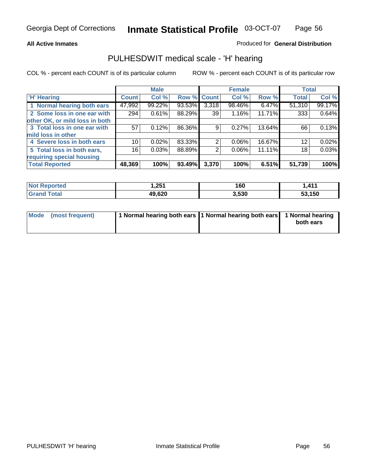## **All Active Inmates**

## Produced for **General Distribution**

## PULHESDWIT medical scale - 'H' hearing

|                                |              | <b>Male</b> |             |       | <b>Female</b> |        | <b>Total</b> |        |
|--------------------------------|--------------|-------------|-------------|-------|---------------|--------|--------------|--------|
| <b>H'</b> Hearing              | <b>Count</b> | Col %       | Row % Count |       | Col %         | Row %  | <b>Total</b> | Col %  |
| 1 Normal hearing both ears     | 47,992       | 99.22%      | 93.53%      | 3,318 | 98.46%        | 6.47%  | 51,310       | 99.17% |
| 2 Some loss in one ear with    | 294          | 0.61%       | 88.29%      | 39    | 1.16%         | 11.71% | 333          | 0.64%  |
| other OK, or mild loss in both |              |             |             |       |               |        |              |        |
| 3 Total loss in one ear with   | 57           | 0.12%       | 86.36%      | 9     | $0.27\%$      | 13.64% | 66           | 0.13%  |
| mild loss in other             |              |             |             |       |               |        |              |        |
| 4 Severe loss in both ears     | 10           | $0.02\%$    | 83.33%      | 2     | $0.06\%$      | 16.67% | 12           | 0.02%  |
| 5 Total loss in both ears,     | 16           | 0.03%       | 88.89%      | 2     | $0.06\%$      | 11.11% | 18           | 0.03%  |
| requiring special housing      |              |             |             |       |               |        |              |        |
| <b>Total Reported</b>          | 48,369       | 100%        | 93.49%      | 3,370 | 100%          | 6.51%  | 51,739       | 100%   |

| orted  | <b>OE4</b><br>. | 160   | 41'<br>. |
|--------|-----------------|-------|----------|
| $\sim$ | 49,620          | 3,530 | .150     |

| Mode (most frequent) | 1 Normal hearing both ears   1 Normal hearing both ears   1 Normal hearing |           |
|----------------------|----------------------------------------------------------------------------|-----------|
|                      |                                                                            | both ears |
|                      |                                                                            |           |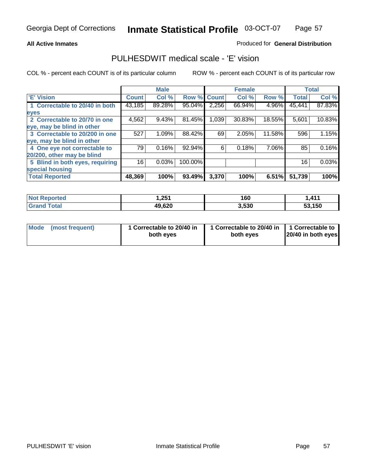## **All Active Inmates**

## Produced for **General Distribution**

## PULHESDWIT medical scale - 'E' vision

|                                 |              | <b>Male</b> |             |       | <b>Female</b> |        |              | <b>Total</b> |
|---------------------------------|--------------|-------------|-------------|-------|---------------|--------|--------------|--------------|
| 'E' Vision                      | <b>Count</b> | Col %       | Row % Count |       | Col %         | Row %  | <b>Total</b> | Col %        |
| 1 Correctable to 20/40 in both  | 43,185       | 89.28%      | 95.04%      | 2,256 | 66.94%        | 4.96%  | 45,441       | 87.83%       |
| eyes                            |              |             |             |       |               |        |              |              |
| 2 Correctable to 20/70 in one   | 4,562        | 9.43%       | 81.45%      | 1,039 | 30.83%        | 18.55% | 5,601        | 10.83%       |
| eye, may be blind in other      |              |             |             |       |               |        |              |              |
| 3 Correctable to 20/200 in one  | 527          | 1.09%       | 88.42%      | 69    | 2.05%         | 11.58% | 596          | 1.15%        |
| eye, may be blind in other      |              |             |             |       |               |        |              |              |
| 4 One eye not correctable to    | 79           | 0.16%       | 92.94%      | 6     | 0.18%         | 7.06%  | 85           | 0.16%        |
| 20/200, other may be blind      |              |             |             |       |               |        |              |              |
| 5 Blind in both eyes, requiring | 16           | 0.03%       | 100.00%     |       |               |        | 16           | 0.03%        |
| special housing                 |              |             |             |       |               |        |              |              |
| <b>Total Reported</b>           | 48,369       | 100%        | 93.49%      | 3,370 | 100%          | 6.51%  | 51,739       | 100%         |

| <b>Not Reported</b> | 251,ا  | 160   | <b>411</b> |
|---------------------|--------|-------|------------|
| Total<br>' Grand    | 49,620 | 3,530 | 53,150     |

| Mode | (most frequent) | 1 Correctable to 20/40 in<br>both eves | 1 Correctable to 20/40 in   1 Correctable to<br>both eves | 20/40 in both eyes |
|------|-----------------|----------------------------------------|-----------------------------------------------------------|--------------------|
|      |                 |                                        |                                                           |                    |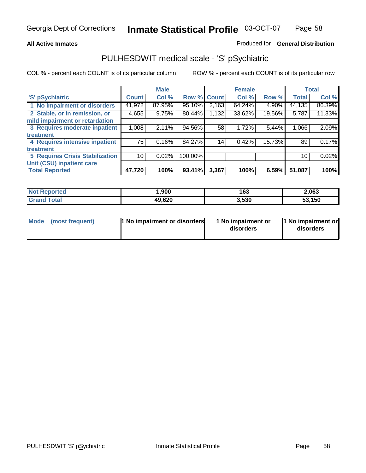## **All Active Inmates**

## Produced for **General Distribution**

# PULHESDWIT medical scale - 'S' pSychiatric

|                                        |              | <b>Male</b> |         |              | <b>Female</b> |        |              | <b>Total</b> |
|----------------------------------------|--------------|-------------|---------|--------------|---------------|--------|--------------|--------------|
| 'S' pSychiatric                        | <b>Count</b> | Col %       | Row %   | <b>Count</b> | Col %         | Row %  | <b>Total</b> | Col %        |
| 1 No impairment or disorders           | 41,972       | 87.95%      | 95.10%  | 2,163        | 64.24%        | 4.90%  | 44,135       | 86.39%       |
| 2 Stable, or in remission, or          | 4,655        | 9.75%       | 80.44%  | 1,132        | 33.62%        | 19.56% | 5,787        | 11.33%       |
| mild impairment or retardation         |              |             |         |              |               |        |              |              |
| 3 Requires moderate inpatient          | 1,008        | 2.11%       | 94.56%  | 58           | 1.72%         | 5.44%  | 1,066        | 2.09%        |
| treatment                              |              |             |         |              |               |        |              |              |
| 4 Requires intensive inpatient         | 75           | 0.16%       | 84.27%  | 14           | 0.42%         | 15.73% | 89           | 0.17%        |
| treatment                              |              |             |         |              |               |        |              |              |
| <b>5 Requires Crisis Stabilization</b> | 10           | 0.02%       | 100.00% |              |               |        | 10           | 0.02%        |
| Unit (CSU) inpatient care              |              |             |         |              |               |        |              |              |
| <b>Total Reported</b>                  | 47,720       | 100%        | 93.41%  | 3,367        | 100%          | 6.59%  | 51,087       | 100%         |

| <b>Not Reported</b>      | ,900   | 163   | 2,063  |
|--------------------------|--------|-------|--------|
| $\tau$ otal<br>' Grand . | 49,620 | 3,530 | 53,150 |

| Mode (most frequent) | <b>1</b> No impairment or disorders | 1 No impairment or<br>disorders | 1 No impairment or<br>disorders |
|----------------------|-------------------------------------|---------------------------------|---------------------------------|
|                      |                                     |                                 |                                 |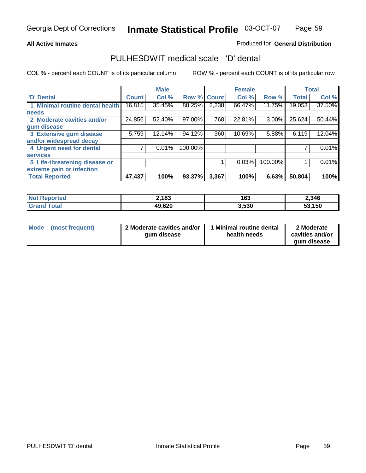## **All Active Inmates**

## Produced for **General Distribution**

## PULHESDWIT medical scale - 'D' dental

|                                 |              | <b>Male</b> |             |       | <b>Female</b> |         |              | <b>Total</b> |
|---------------------------------|--------------|-------------|-------------|-------|---------------|---------|--------------|--------------|
| <b>D' Dental</b>                | <b>Count</b> | Col %       | Row % Count |       | Col %         | Row %   | <b>Total</b> | Col %        |
| 1 Minimal routine dental health | 16,815       | 35.45%      | 88.25%      | 2,238 | 66.47%        | 11.75%  | 19,053       | 37.50%       |
| <b>needs</b>                    |              |             |             |       |               |         |              |              |
| 2 Moderate cavities and/or      | 24,856       | 52.40%      | 97.00%      | 768   | 22.81%        | 3.00%   | 25,624       | 50.44%       |
| gum disease                     |              |             |             |       |               |         |              |              |
| 3 Extensive gum disease         | 5,759        | 12.14%      | 94.12%      | 360   | 10.69%        | 5.88%   | 6,119        | 12.04%       |
| and/or widespread decay         |              |             |             |       |               |         |              |              |
| 4 Urgent need for dental        |              | 0.01%       | 100.00%     |       |               |         |              | 0.01%        |
| <b>services</b>                 |              |             |             |       |               |         |              |              |
| 5 Life-threatening disease or   |              |             |             |       | 0.03%         | 100.00% |              | 0.01%        |
| extreme pain or infection       |              |             |             |       |               |         |              |              |
| <b>Total Reported</b>           | 47,437       | 100%        | 93.37%      | 3,367 | 100%          | 6.63%   | 50,804       | 100%         |

| <b>Not Reported</b> | 2,183  | م م<br>נט ו | 2,346  |
|---------------------|--------|-------------|--------|
| <b>Grand Total</b>  | 49,620 | 3,530       | 53,150 |

| <b>Mode</b> | (most frequent) | 2 Moderate cavities and/or<br>qum disease | Minimal routine dental<br>health needs | 2 Moderate<br>cavities and/or |
|-------------|-----------------|-------------------------------------------|----------------------------------------|-------------------------------|
|             |                 |                                           |                                        | qum disease                   |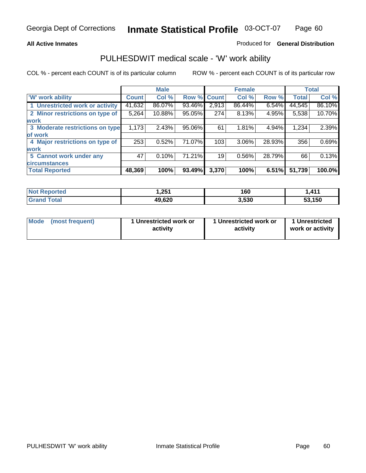## **All Active Inmates**

## Produced for **General Distribution**

## PULHESDWIT medical scale - 'W' work ability

|                                 |              | <b>Male</b> |        |              | <b>Female</b> |        |              | <b>Total</b> |
|---------------------------------|--------------|-------------|--------|--------------|---------------|--------|--------------|--------------|
| W' work ability                 | <b>Count</b> | Col %       | Row %  | <b>Count</b> | Col %         | Row %  | <b>Total</b> | Col %        |
| 1 Unrestricted work or activity | 41,632       | 86.07%      | 93.46% | 2,913        | 86.44%        | 6.54%  | 44,545       | 86.10%       |
| 2 Minor restrictions on type of | 5,264        | 10.88%      | 95.05% | 274          | 8.13%         | 4.95%  | 5,538        | 10.70%       |
| <b>work</b>                     |              |             |        |              |               |        |              |              |
| 3 Moderate restrictions on type | 1,173        | 2.43%       | 95.06% | 61           | 1.81%         | 4.94%  | 1,234        | 2.39%        |
| of work                         |              |             |        |              |               |        |              |              |
| 4 Major restrictions on type of | 253          | 0.52%       | 71.07% | 103          | 3.06%         | 28.93% | 356          | 0.69%        |
| <b>work</b>                     |              |             |        |              |               |        |              |              |
| 5 Cannot work under any         | 47           | 0.10%       | 71.21% | 19           | 0.56%         | 28.79% | 66           | 0.13%        |
| <b>circumstances</b>            |              |             |        |              |               |        |              |              |
| <b>Total Reported</b>           | 48,369       | 100%        | 93.49% | 3,370        | 100%          | 6.51%  | 51,739       | 100.0%       |

| <b>Not Reported</b> | 251. ا | 160   | 41 <sup>4</sup> |
|---------------------|--------|-------|-----------------|
| <b>Grand Total</b>  | 49,620 | 3,530 | 53,150          |

| Mode            | 1 Unrestricted work or | 1 Unrestricted work or | 1 Unrestricted   |
|-----------------|------------------------|------------------------|------------------|
| (most frequent) | activity               | activity               | work or activity |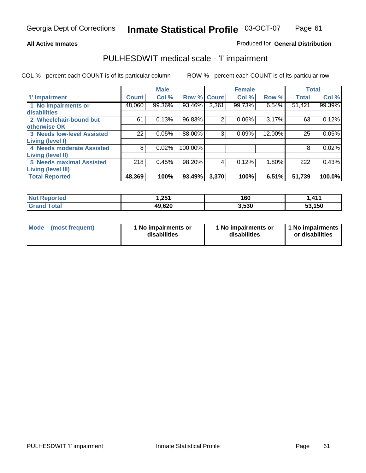## **All Active Inmates**

## Produced for **General Distribution**

# PULHESDWIT medical scale - 'I' impairment

|                                   |              | <b>Male</b> |             |                | <b>Female</b> |        | <b>Total</b> |        |
|-----------------------------------|--------------|-------------|-------------|----------------|---------------|--------|--------------|--------|
| <b>T' Impairment</b>              | <b>Count</b> | Col %       | Row % Count |                | Col %         | Row %  | <b>Total</b> | Col %  |
| 1 No impairments or               | 48,060       | 99.36%      | 93.46%      | 3,361          | 99.73%        | 6.54%  | 51,421       | 99.39% |
| disabilities                      |              |             |             |                |               |        |              |        |
| 2 Wheelchair-bound but            | 61           | 0.13%       | 96.83%      | $\overline{2}$ | 0.06%         | 3.17%  | 63           | 0.12%  |
| otherwise OK                      |              |             |             |                |               |        |              |        |
| <b>3 Needs low-level Assisted</b> | 22           | 0.05%       | 88.00%      | 3              | 0.09%         | 12.00% | 25           | 0.05%  |
| <b>Living (level I)</b>           |              |             |             |                |               |        |              |        |
| 4 Needs moderate Assisted         | 8            | 0.02%       | 100.00%     |                |               |        | 8            | 0.02%  |
| Living (level II)                 |              |             |             |                |               |        |              |        |
| <b>5 Needs maximal Assisted</b>   | 218          | 0.45%       | 98.20%      | 4              | 0.12%         | 1.80%  | 222          | 0.43%  |
| <b>Living (level III)</b>         |              |             |             |                |               |        |              |        |
| <b>Total Reported</b>             | 48,369       | 100%        | 93.49%      | 3,370          | 100%          | 6.51%  | 51,739       | 100.0% |

| <b>No</b><br>Reported | 251. ا | 160   | .411,     |
|-----------------------|--------|-------|-----------|
| ⊺otal<br>Gra          | 49,620 | 3.530 | 150<br>ວວ |

| <b>Mode</b> | (most frequent) | 1 No impairments or<br>disabilities | 1 No impairments or<br>disabilities | 1 1 No impairments<br>or disabilities |
|-------------|-----------------|-------------------------------------|-------------------------------------|---------------------------------------|
|-------------|-----------------|-------------------------------------|-------------------------------------|---------------------------------------|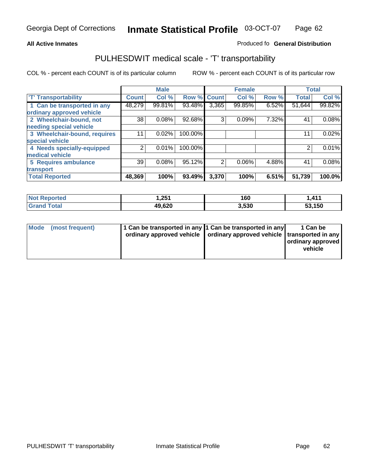#### **Inmate Statistical Profile** 03-OCT-07 Page Page 62

## **All Active Inmates Allowski** Produced fo **General Distribution**

## PULHESDWIT medical scale - 'T' transportability

|                              |              | <b>Male</b> |             |                | <b>Female</b> |       | <b>Total</b>   |        |
|------------------------------|--------------|-------------|-------------|----------------|---------------|-------|----------------|--------|
| <b>T' Transportability</b>   | <b>Count</b> | Col %       | Row % Count |                | Col %         | Row % | <b>Total</b>   | Col %  |
| 1 Can be transported in any  | 48,279       | 99.81%      | 93.48%      | 3,365          | 99.85%        | 6.52% | 51,644         | 99.82% |
| ordinary approved vehicle    |              |             |             |                |               |       |                |        |
| 2 Wheelchair-bound, not      | 38           | 0.08%       | 92.68%      | 3              | 0.09%         | 7.32% | 4 <sup>1</sup> | 0.08%  |
| needing special vehicle      |              |             |             |                |               |       |                |        |
| 3 Wheelchair-bound, requires |              | 0.02%       | 100.00%     |                |               |       | 11             | 0.02%  |
| special vehicle              |              |             |             |                |               |       |                |        |
| 4 Needs specially-equipped   | ⌒            | 0.01%       | 100.00%     |                |               |       |                | 0.01%  |
| medical vehicle              |              |             |             |                |               |       |                |        |
| <b>5 Requires ambulance</b>  | 39           | 0.08%       | 95.12%      | $\overline{2}$ | 0.06%         | 4.88% | 41             | 0.08%  |
| transport                    |              |             |             |                |               |       |                |        |
| <b>Total Reported</b>        | 48,369       | 100%        | 93.49%      | 3,370          | 100%          | 6.51% | 51,739         | 100.0% |

| <b>Not</b><br><b>Reported</b> | 1,251  | 160   | 1,411  |
|-------------------------------|--------|-------|--------|
| Гоtal<br><b>Grand</b>         | 49,620 | 3,530 | 53,150 |

| Mode (most frequent) | 1 Can be transported in any 1 Can be transported in any | ordinary approved vehicle   ordinary approved vehicle   transported in any | 1 Can be<br>ordinary approved<br>vehicle |
|----------------------|---------------------------------------------------------|----------------------------------------------------------------------------|------------------------------------------|
|                      |                                                         |                                                                            |                                          |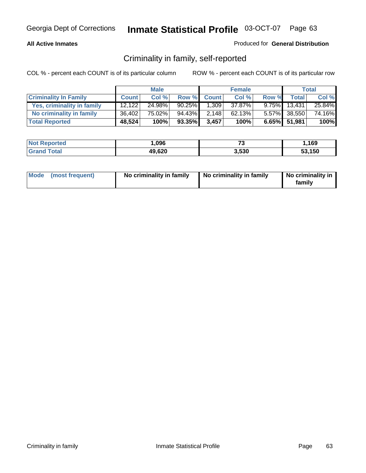## **All Active Inmates**

## Produced for **General Distribution**

# Criminality in family, self-reported

|                              |              | <b>Male</b> |           |              | <b>Female</b> |       |              | <b>Total</b> |
|------------------------------|--------------|-------------|-----------|--------------|---------------|-------|--------------|--------------|
| <b>Criminality In Family</b> | <b>Count</b> | Col %       | Row %     | <b>Count</b> | Col %         | Row % | <b>Total</b> | Col %        |
| Yes, criminality in family   | 12.122       | 24.98%      | $90.25\%$ | 1,309        | 37.87%        |       | 9.75% 13,431 | 25.84%       |
| No criminality in family     | 36,402       | 75.02%      | 94.43%    | 2,148        | 62.13%        |       | 5.57% 38,550 | 74.16%       |
| <b>Total Reported</b>        | 48,524       | 100%        | 93.35%    | 3,457        | 100%          |       | 6.65% 51,981 | 100%         |

| <b>Not Reported</b> | ,096   | --<br>ں. | .169   |
|---------------------|--------|----------|--------|
| <b>Grand Total</b>  | 49,620 | 3,530    | 53.150 |

|  | Mode (most frequent) | No criminality in family | No criminality in family | No criminality in<br>family |
|--|----------------------|--------------------------|--------------------------|-----------------------------|
|--|----------------------|--------------------------|--------------------------|-----------------------------|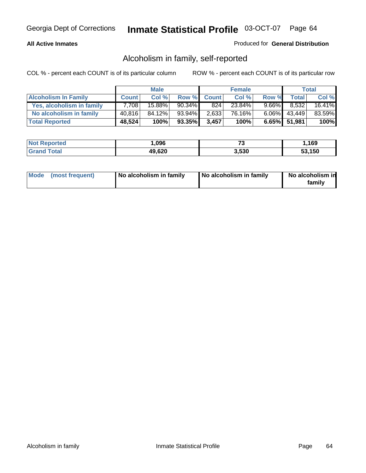## **All Active Inmates**

## Produced for **General Distribution**

# Alcoholism in family, self-reported

|                             |              | <b>Male</b> |           |              | <b>Female</b> |          |                 | <b>Total</b> |
|-----------------------------|--------------|-------------|-----------|--------------|---------------|----------|-----------------|--------------|
| <b>Alcoholism In Family</b> | <b>Count</b> | Col %       | Row %     | <b>Count</b> | Col %         | Row %    | <b>Total</b>    | Col %        |
| Yes, alcoholism in family   | 7.708        | 15.88%      | $90.34\%$ | 824          | 23.84%        | $9.66\%$ | 8,532           | 16.41%       |
| No alcoholism in family     | 40.816       | 84.12%      | 93.94%    | 2,633        | 76.16%        |          | $6.06\%$ 43,449 | 83.59%       |
| <b>Total Reported</b>       | 48,524       | 100%        | 93.35%    | 3,457        | 100%          |          | 6.65% 51,981    | 100%         |

| <b>Not Reported</b> | ,096   | --<br>ں. | .169   |
|---------------------|--------|----------|--------|
| <b>Grand Total</b>  | 49,620 | 3,530    | 53.150 |

|  | Mode (most frequent) | No alcoholism in family | No alcoholism in family | No alcoholism in<br>familv |
|--|----------------------|-------------------------|-------------------------|----------------------------|
|--|----------------------|-------------------------|-------------------------|----------------------------|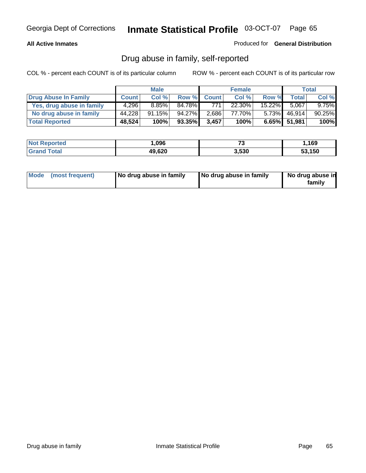## **All Active Inmates**

Produced for **General Distribution**

# Drug abuse in family, self-reported

|                           |              | <b>Male</b> |        |              | <b>Female</b> |          |              | <b>Total</b> |
|---------------------------|--------------|-------------|--------|--------------|---------------|----------|--------------|--------------|
| Drug Abuse In Family      | <b>Count</b> | Col %       | Row %  | <b>Count</b> | Col %         | Row %    | Total        | Col %        |
| Yes, drug abuse in family | 4,296        | $8.85\%$    | 84.78% | 771          | 22.30%        | 15.22%   | 5.067        | $9.75\%$     |
| No drug abuse in family   | 44,228       | 91.15%      | 94.27% | 2,686        | 77.70%        | $5.73\%$ | 46,914       | 90.25%       |
| <b>Total Reported</b>     | 48,524       | 100%        | 93.35% | 3,457        | 100%          |          | 6.65% 51,981 | 100%         |

| <b>Not Reported</b> | ,096   | --<br>ں. | .169   |
|---------------------|--------|----------|--------|
| <b>Grand Total</b>  | 49,620 | 3,530    | 53.150 |

|  | Mode (most frequent) | No drug abuse in family | No drug abuse in family | No drug abuse in<br>family |
|--|----------------------|-------------------------|-------------------------|----------------------------|
|--|----------------------|-------------------------|-------------------------|----------------------------|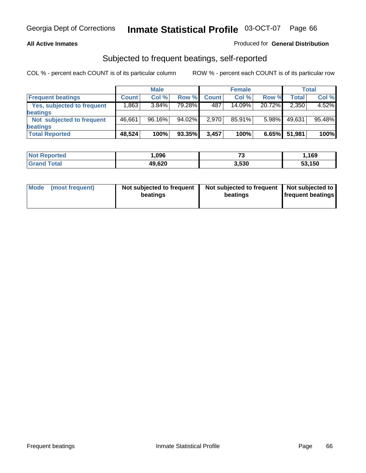## **All Active Inmates**

## Produced for **General Distribution**

## Subjected to frequent beatings, self-reported

|                                   |              | <b>Male</b> |           |              | <b>Female</b> |        |        | Total  |
|-----------------------------------|--------------|-------------|-----------|--------------|---------------|--------|--------|--------|
| <b>Frequent beatings</b>          | <b>Count</b> | Col %       | Row %     | <b>Count</b> | Col %         | Row %  | Total  | Col %  |
| <b>Yes, subjected to frequent</b> | .863         | 3.84%       | 79.28%    | 487          | 14.09%        | 20.72% | 2,350  | 4.52%  |
| beatings                          |              |             |           |              |               |        |        |        |
| Not subjected to frequent         | 46,661       | 96.16%      | $94.02\%$ | 2,970        | 85.91%        | 5.98%  | 49,631 | 95.48% |
| beatings                          |              |             |           |              |               |        |        |        |
| <b>Total Reported</b>             | 48,524       | 100%        | 93.35%    | 3,457        | 100%          | 6.65%  | 51,981 | 100%   |

| <b>Not Reported</b> | ,096   | $-$<br>ں ، | .169،  |
|---------------------|--------|------------|--------|
| <b>Total</b>        | 49,620 | 3,530      | 53,150 |

| Mode<br>(most frequent) | Not subjected to frequent<br>beatings | Not subjected to frequent   Not subjected to  <br>beatings | <b>frequent beatings</b> |  |
|-------------------------|---------------------------------------|------------------------------------------------------------|--------------------------|--|
|                         |                                       |                                                            |                          |  |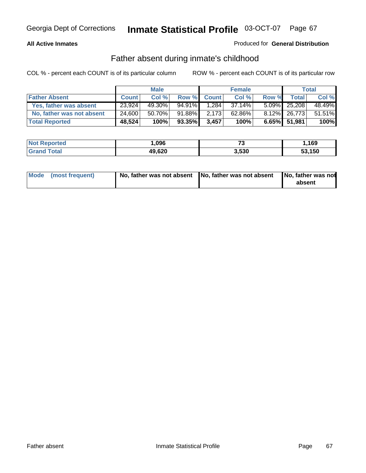## **All Active Inmates**

## Produced for **General Distribution**

# Father absent during inmate's childhood

|                           |              | <b>Male</b> |           |              | <b>Female</b> |       |              | Total  |
|---------------------------|--------------|-------------|-----------|--------------|---------------|-------|--------------|--------|
| <b>Father Absent</b>      | <b>Count</b> | Col %       | Row %     | <b>Count</b> | Col %         | Row % | <b>Total</b> | Col %  |
| Yes, father was absent    | 23,924       | 49.30%      | $94.91\%$ | 1.284        | 37.14%        |       | 5.09% 25,208 | 48.49% |
| No, father was not absent | 24,600       | 50.70%      | 91.88%    | 2,173        | 62.86%        |       | 8.12% 26,773 | 51.51% |
| <b>Total Reported</b>     | 48,524       | 100%        | 93.35%    | 3,457        | 100%          |       | 6.65% 51,981 | 100%   |

| <b>Not Reported</b> | ,096   | --<br>ر. | ,169   |
|---------------------|--------|----------|--------|
| <b>Grand Total</b>  | 49,620 | 3.530    | 53,150 |

|  | Mode (most frequent) |  |  | absent |
|--|----------------------|--|--|--------|
|--|----------------------|--|--|--------|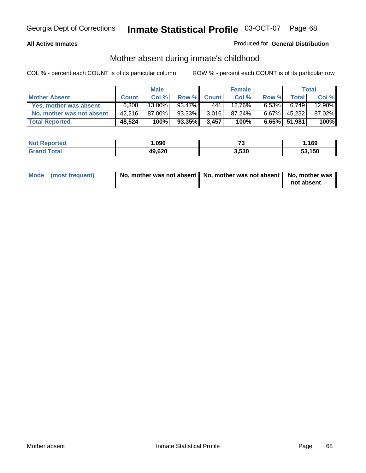## **All Active Inmates**

## Produced for **General Distribution**

# Mother absent during inmate's childhood

|                           |              | <b>Male</b> |        |              | <b>Female</b> |          |              | Total  |
|---------------------------|--------------|-------------|--------|--------------|---------------|----------|--------------|--------|
| <b>Mother Absent</b>      | <b>Count</b> | Col %       | Row %  | <b>Count</b> | Col %         | Row %    | Total        | Col %  |
| Yes, mother was absent    | 6.308        | $13.00\%$   | 93.47% | 441          | 12.76%        | $6.53\%$ | 6.749        | 12.98% |
| No, mother was not absent | 42,216       | 87.00%      | 93.33% | 3,016        | 87.24%        | $6.67\%$ | 45,232       | 87.02% |
| <b>Total Reported</b>     | 48,524       | 100%        | 93.35% | 3,457'       | 100%          |          | 6.65% 51,981 | 100%   |

| <b>Not Reported</b> | 096, ا | - -<br>ى. | .169،  |
|---------------------|--------|-----------|--------|
| Tota                | 49,620 | 3.530     | 53,150 |

| Mode (most frequent) | No, mother was not absent   No, mother was not absent   No, mother was | not absent |
|----------------------|------------------------------------------------------------------------|------------|
|----------------------|------------------------------------------------------------------------|------------|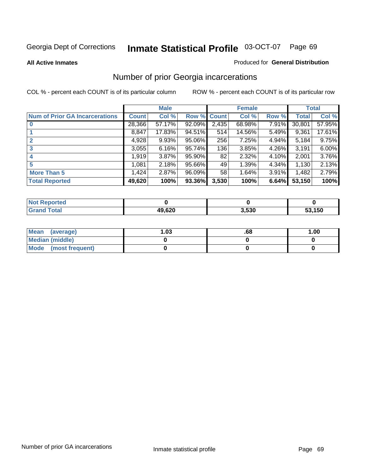### **All Active Inmates**

### Produced for **General Distribution**

# Number of prior Georgia incarcerations

|                                       |              | <b>Male</b> |        |              | <b>Female</b> |       |        | <b>Total</b> |
|---------------------------------------|--------------|-------------|--------|--------------|---------------|-------|--------|--------------|
| <b>Num of Prior GA Incarcerations</b> | <b>Count</b> | Col %       | Row %  | <b>Count</b> | Col %         | Row % | Total  | Col %        |
| $\bf{0}$                              | 28,366       | 57.17%      | 92.09% | 2,435        | 68.98%        | 7.91% | 30,801 | 57.95%       |
|                                       | 8,847        | 17.83%      | 94.51% | 514          | 14.56%        | 5.49% | 9,361  | 17.61%       |
|                                       | 4,928        | 9.93%       | 95.06% | 256          | 7.25%         | 4.94% | 5,184  | 9.75%        |
| 3                                     | 3,055        | 6.16%       | 95.74% | 136          | 3.85%         | 4.26% | 3,191  | 6.00%        |
|                                       | 1,919        | 3.87%       | 95.90% | 82           | 2.32%         | 4.10% | 2,001  | 3.76%        |
| 5                                     | 1,081        | 2.18%       | 95.66% | 49           | 1.39%         | 4.34% | 1,130  | 2.13%        |
| <b>More Than 5</b>                    | 1,424        | 2.87%       | 96.09% | 58           | 1.64%         | 3.91% | 1,482  | 2.79%        |
| <b>Total Reported</b>                 | 49,620       | 100%        | 93.36% | 3,530        | 100%          | 6.64% | 53,150 | 100%         |

| oorted<br>NO.        |        |       |        |
|----------------------|--------|-------|--------|
| <b>c</b> otal<br>Gra | 49,620 | 3,530 | 53,150 |

| Mean (average)       | l.O3 | .68 | 1.00 |
|----------------------|------|-----|------|
| Median (middle)      |      |     |      |
| Mode (most frequent) |      |     |      |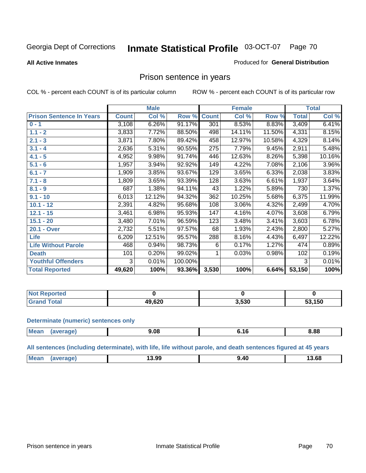### **All Active Inmates**

### Produced for **General Distribution**

## Prison sentence in years

COL % - percent each COUNT is of its particular column ROW % - percent each COUNT is of its particular row

|                                 |              | <b>Male</b> |         |              | <b>Female</b> |        |              | <b>Total</b> |
|---------------------------------|--------------|-------------|---------|--------------|---------------|--------|--------------|--------------|
| <b>Prison Sentence In Years</b> | <b>Count</b> | Col %       | Row %   | <b>Count</b> | Col %         | Row %  | <b>Total</b> | Col %        |
| $0 - 1$                         | 3,108        | 6.26%       | 91.17%  | 301          | 8.53%         | 8.83%  | 3,409        | 6.41%        |
| $1.1 - 2$                       | 3,833        | 7.72%       | 88.50%  | 498          | 14.11%        | 11.50% | 4,331        | 8.15%        |
| $2.1 - 3$                       | 3,871        | 7.80%       | 89.42%  | 458          | 12.97%        | 10.58% | 4,329        | 8.14%        |
| $3.1 - 4$                       | 2,636        | 5.31%       | 90.55%  | 275          | 7.79%         | 9.45%  | 2,911        | 5.48%        |
| $4.1 - 5$                       | 4,952        | 9.98%       | 91.74%  | 446          | 12.63%        | 8.26%  | 5,398        | 10.16%       |
| $5.1 - 6$                       | 1,957        | 3.94%       | 92.92%  | 149          | 4.22%         | 7.08%  | 2,106        | 3.96%        |
| $6.1 - 7$                       | 1,909        | 3.85%       | 93.67%  | 129          | 3.65%         | 6.33%  | 2,038        | 3.83%        |
| $7.1 - 8$                       | 1,809        | 3.65%       | 93.39%  | 128          | 3.63%         | 6.61%  | 1,937        | 3.64%        |
| $8.1 - 9$                       | 687          | 1.38%       | 94.11%  | 43           | 1.22%         | 5.89%  | 730          | 1.37%        |
| $9.1 - 10$                      | 6,013        | 12.12%      | 94.32%  | 362          | 10.25%        | 5.68%  | 6,375        | 11.99%       |
| $10.1 - 12$                     | 2,391        | 4.82%       | 95.68%  | 108          | 3.06%         | 4.32%  | 2,499        | 4.70%        |
| $12.1 - 15$                     | 3,461        | 6.98%       | 95.93%  | 147          | 4.16%         | 4.07%  | 3,608        | 6.79%        |
| $15.1 - 20$                     | 3,480        | 7.01%       | 96.59%  | 123          | 3.48%         | 3.41%  | 3,603        | 6.78%        |
| 20.1 - Over                     | 2,732        | 5.51%       | 97.57%  | 68           | 1.93%         | 2.43%  | 2,800        | 5.27%        |
| <b>Life</b>                     | 6,209        | 12.51%      | 95.57%  | 288          | 8.16%         | 4.43%  | 6,497        | 12.22%       |
| <b>Life Without Parole</b>      | 468          | 0.94%       | 98.73%  | 6            | 0.17%         | 1.27%  | 474          | 0.89%        |
| <b>Death</b>                    | 101          | 0.20%       | 99.02%  |              | 0.03%         | 0.98%  | 102          | 0.19%        |
| <b>Youthful Offenders</b>       | 3            | 0.01%       | 100.00% |              |               |        | 3            | 0.01%        |
| <b>Total Reported</b>           | 49,620       | 100%        | 93.36%  | 3,530        | 100%          | 6.64%  | 53,150       | 100%         |

| <b>Not Reported</b> |       |       |               |
|---------------------|-------|-------|---------------|
| `otal<br>⊣Grari     | 9,620 | 3,530 | 53,150<br>ວວ. |

### **Determinate (numeric) sentences only**

| Mean | "ane. | 9.08<br>- - - | . .<br> | 8.88 |
|------|-------|---------------|---------|------|
|      |       |               |         |      |

**All sentences (including determinate), with life, life without parole, and death sentences figured at 45 years**

| Mean | iverage) | 13.99 | 13.68 |
|------|----------|-------|-------|
|      |          |       |       |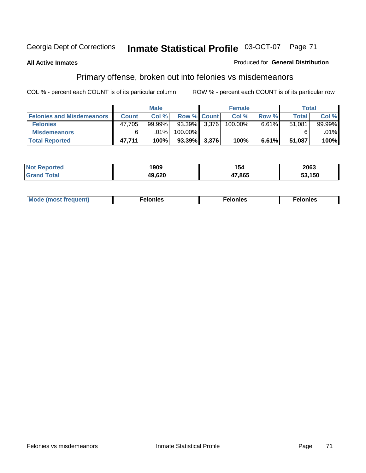## **All Active Inmates**

## Produced for **General Distribution**

# Primary offense, broken out into felonies vs misdemeanors

|                                  |              | <b>Male</b> |                 | <b>Female</b> |          | Total  |           |
|----------------------------------|--------------|-------------|-----------------|---------------|----------|--------|-----------|
| <b>Felonies and Misdemeanors</b> | <b>Count</b> | Col%        | Row % Count     | Col%          | Row %    | Total  | Col%      |
| <b>Felonies</b>                  | 47,705       | $99.99\%$   | 93.39% 3,376    | 100.00%       | $6.61\%$ | 51,081 | $99.99\%$ |
| <b>Misdemeanors</b>              |              | $.01\%$     | 100.00%         |               |          |        | $.01\%$   |
| <b>Total Reported</b>            | 47,711       | 100%        | $93.39\%$ 3,376 | 100%          | 6.61%    | 51,087 | 100%      |

| <b>Not</b><br>ted: | 1909 | I 54   | 2063   |
|--------------------|------|--------|--------|
|                    | ,620 | 17,865 | 53.150 |

| Mode (most frequent) | elonies | elonies | onies |
|----------------------|---------|---------|-------|
|                      |         |         |       |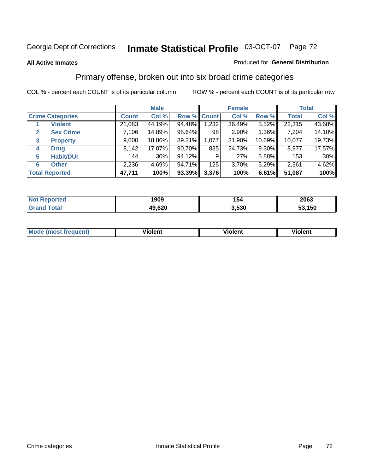## **All Active Inmates**

## Produced for **General Distribution**

# Primary offense, broken out into six broad crime categories

|                                  |              | <b>Male</b> |        |             | <b>Female</b> |          |              | <b>Total</b> |
|----------------------------------|--------------|-------------|--------|-------------|---------------|----------|--------------|--------------|
| <b>Crime Categories</b>          | <b>Count</b> | Col %       |        | Row % Count | Col %         | Row %    | <b>Total</b> | Col %        |
| <b>Violent</b>                   | 21,083       | 44.19%      | 94.48% | 1,232       | 36.49%        | 5.52%    | 22,315       | 43.68%       |
| <b>Sex Crime</b><br>$\mathbf{2}$ | 7,106        | 14.89%      | 98.64% | 98          | 2.90%         | 1.36%    | 7,204        | 14.10%       |
| $\mathbf{3}$<br><b>Property</b>  | 9,000        | 18.86%      | 89.31% | 1,077       | 31.90%        | 10.69%   | 10,077       | 19.73%       |
| <b>Drug</b><br>4                 | 8,142        | 17.07%      | 90.70% | 835         | 24.73%        | $9.30\%$ | 8,977        | 17.57%       |
| <b>Habit/DUI</b><br>5            | 144          | $.30\%$     | 94.12% | 9           | $.27\%$       | 5.88%    | 153          | $.30\%$      |
| <b>Other</b><br>6                | 2,236        | 4.69%       | 94.71% | 125         | 3.70%         | 5.29%    | 2,361        | 4.62%        |
| <b>Total Reported</b>            | 47,711       | 100%        | 93.39% | 3,376       | 100%          | 6.61%    | 51,087       | 100%         |

| orted<br>NO | 1909   | 154   | 2063   |
|-------------|--------|-------|--------|
| <b>otal</b> | 49,620 | 3.530 | 53,150 |

| IМ      | .        | $-$      | -------- |
|---------|----------|----------|----------|
| 1119000 | -------- | -------- |          |
|         |          |          |          |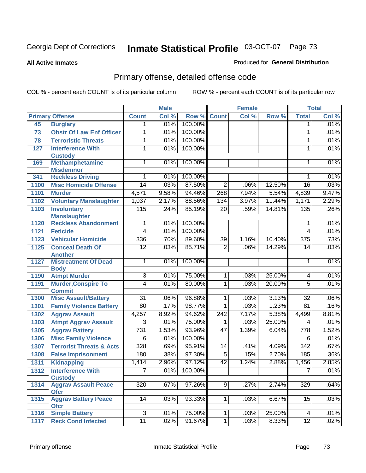#### **All Active Inmates**

### Produced for **General Distribution**

# Primary offense, detailed offense code

|      |                                                    |                 | <b>Male</b> |         |                 | <b>Female</b> |        |                  | <b>Total</b> |
|------|----------------------------------------------------|-----------------|-------------|---------|-----------------|---------------|--------|------------------|--------------|
|      | <b>Primary Offense</b>                             | <b>Count</b>    | Col %       | Row %   | <b>Count</b>    | Col %         | Row %  | <b>Total</b>     | Col %        |
| 45   | <b>Burglary</b>                                    | $\mathbf 1$     | .01%        | 100.00% |                 |               |        | $\mathbf{1}$     | .01%         |
| 73   | <b>Obstr Of Law Enf Officer</b>                    | 1               | .01%        | 100.00% |                 |               |        | 1                | .01%         |
| 78   | <b>Terroristic Threats</b>                         | 1               | .01%        | 100.00% |                 |               |        | 1                | .01%         |
| 127  | <b>Interference With</b>                           | 1               | .01%        | 100.00% |                 |               |        | 1                | .01%         |
|      | <b>Custody</b>                                     |                 |             |         |                 |               |        |                  |              |
| 169  | <b>Methamphetamine</b>                             | $\mathbf{1}$    | .01%        | 100.00% |                 |               |        | 1                | .01%         |
|      | <b>Misdemnor</b>                                   |                 |             |         |                 |               |        |                  |              |
| 341  | <b>Reckless Driving</b>                            | 1               | .01%        | 100.00% |                 |               |        | 1                | .01%         |
| 1100 | <b>Misc Homicide Offense</b>                       | $\overline{14}$ | .03%        | 87.50%  | $\overline{2}$  | .06%          | 12.50% | $\overline{16}$  | .03%         |
| 1101 | <b>Murder</b>                                      | 4,571           | 9.58%       | 94.46%  | 268             | 7.94%         | 5.54%  | 4,839            | 9.47%        |
| 1102 | <b>Voluntary Manslaughter</b>                      | 1,037           | 2.17%       | 88.56%  | 134             | 3.97%         | 11.44% | 1,171            | 2.29%        |
| 1103 | <b>Involuntary</b>                                 | 115             | .24%        | 85.19%  | $\overline{20}$ | .59%          | 14.81% | 135              | .26%         |
| 1120 | <b>Manslaughter</b><br><b>Reckless Abandonment</b> | 1               | .01%        | 100.00% |                 |               |        | 1                | .01%         |
| 1121 | <b>Feticide</b>                                    | $\overline{4}$  | .01%        | 100.00% |                 |               |        | 4                | .01%         |
| 1123 | <b>Vehicular Homicide</b>                          | 336             | .70%        | 89.60%  | 39              | 1.16%         | 10.40% | $\overline{375}$ | .73%         |
| 1125 | <b>Conceal Death Of</b>                            | $\overline{12}$ | .03%        | 85.71%  | $\overline{2}$  | .06%          | 14.29% | 14               | .03%         |
|      | <b>Another</b>                                     |                 |             |         |                 |               |        |                  |              |
| 1127 | <b>Mistreatment Of Dead</b>                        | 1               | .01%        | 100.00% |                 |               |        | 1                | .01%         |
|      | <b>Body</b>                                        |                 |             |         |                 |               |        |                  |              |
| 1190 | <b>Atmpt Murder</b>                                | $\overline{3}$  | .01%        | 75.00%  | $\mathbf{1}$    | .03%          | 25.00% | 4                | .01%         |
| 1191 | <b>Murder, Conspire To</b>                         | $\overline{4}$  | .01%        | 80.00%  | $\mathbf{1}$    | .03%          | 20.00% | $\overline{5}$   | .01%         |
|      | <b>Commit</b>                                      |                 |             |         |                 |               |        |                  |              |
| 1300 | <b>Misc Assault/Battery</b>                        | $\overline{31}$ | .06%        | 96.88%  | $\mathbf 1$     | .03%          | 3.13%  | $\overline{32}$  | .06%         |
| 1301 | <b>Family Violence Battery</b>                     | 80              | .17%        | 98.77%  | 1               | .03%          | 1.23%  | $\overline{81}$  | .16%         |
| 1302 | <b>Aggrav Assault</b>                              | 4,257           | 8.92%       | 94.62%  | 242             | 7.17%         | 5.38%  | 4,499            | 8.81%        |
| 1303 | <b>Atmpt Aggrav Assault</b>                        | $\overline{3}$  | .01%        | 75.00%  | 1               | .03%          | 25.00% | 4                | .01%         |
| 1305 | <b>Aggrav Battery</b>                              | 731             | 1.53%       | 93.96%  | 47              | 1.39%         | 6.04%  | 778              | 1.52%        |
| 1306 | <b>Misc Family Violence</b>                        | $\overline{6}$  | .01%        | 100.00% |                 |               |        | $\overline{6}$   | .01%         |
| 1307 | <b>Terrorist Threats &amp; Acts</b>                | 328             | .69%        | 95.91%  | 14              | .41%          | 4.09%  | $\overline{342}$ | .67%         |
| 1308 | <b>False Imprisonment</b>                          | 180             | .38%        | 97.30%  | $\overline{5}$  | .15%          | 2.70%  | 185              | .36%         |
| 1311 | <b>Kidnapping</b>                                  | 1,414           | 2.96%       | 97.12%  | $\overline{42}$ | 1.24%         | 2.88%  | 1,456            | 2.85%        |
| 1312 | <b>Interference With</b>                           | $\overline{7}$  | .01%        | 100.00% |                 |               |        | $\overline{7}$   | .01%         |
|      | <b>Custody</b>                                     |                 |             |         |                 |               |        |                  |              |
| 1314 | <b>Aggrav Assault Peace</b>                        | 320             | .67%        | 97.26%  | 9               | .27%          | 2.74%  | 329              | .64%         |
|      | <b>Ofcr</b>                                        | 14              |             |         | 1 <sup>1</sup>  | .03%          | 6.67%  | 15               | .03%         |
| 1315 | <b>Aggrav Battery Peace</b><br><b>Ofcr</b>         |                 | .03%        | 93.33%  |                 |               |        |                  |              |
| 1316 | <b>Simple Battery</b>                              | $\overline{3}$  | .01%        | 75.00%  | 1.              | .03%          | 25.00% | 4                | .01%         |
| 1317 | <b>Reck Cond Infected</b>                          | 11              | .02%        | 91.67%  | $\overline{1}$  | .03%          | 8.33%  | $\overline{12}$  | .02%         |
|      |                                                    |                 |             |         |                 |               |        |                  |              |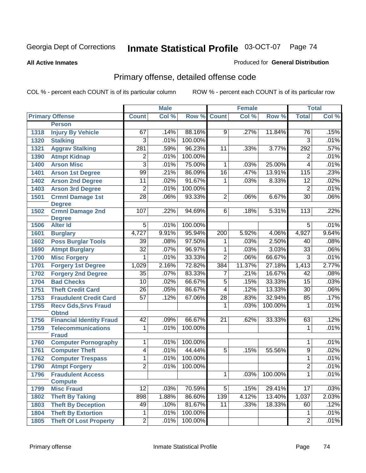#### **All Active Inmates**

### Produced for **General Distribution**

# Primary offense, detailed offense code

|      |                                  |                  | <b>Male</b> |         |                         | <b>Female</b> |         |                 | <b>Total</b> |
|------|----------------------------------|------------------|-------------|---------|-------------------------|---------------|---------|-----------------|--------------|
|      | <b>Primary Offense</b>           | <b>Count</b>     | Col %       | Row %   | <b>Count</b>            | Col %         | Row %   | <b>Total</b>    | Col %        |
|      | <b>Person</b>                    |                  |             |         |                         |               |         |                 |              |
| 1318 | <b>Injury By Vehicle</b>         | 67               | .14%        | 88.16%  | $\overline{9}$          | .27%          | 11.84%  | 76              | .15%         |
| 1320 | <b>Stalking</b>                  | 3                | .01%        | 100.00% |                         |               |         | $\overline{3}$  | .01%         |
| 1321 | <b>Aggrav Stalking</b>           | $\overline{281}$ | .59%        | 96.23%  | 11                      | .33%          | 3.77%   | 292             | .57%         |
| 1390 | <b>Atmpt Kidnap</b>              | $\overline{2}$   | .01%        | 100.00% |                         |               |         | $\overline{2}$  | .01%         |
| 1400 | <b>Arson Misc</b>                | $\overline{3}$   | .01%        | 75.00%  | $\mathbf{1}$            | .03%          | 25.00%  | 4               | .01%         |
| 1401 | <b>Arson 1st Degree</b>          | $\overline{99}$  | .21%        | 86.09%  | $\overline{16}$         | .47%          | 13.91%  | 115             | .23%         |
| 1402 | <b>Arson 2nd Degree</b>          | $\overline{11}$  | .02%        | 91.67%  | $\mathbf{1}$            | .03%          | 8.33%   | $\overline{12}$ | .02%         |
| 1403 | <b>Arson 3rd Degree</b>          | $\overline{2}$   | .01%        | 100.00% |                         |               |         | $\overline{2}$  | .01%         |
| 1501 | <b>Crmnl Damage 1st</b>          | $\overline{28}$  | .06%        | 93.33%  | $\overline{2}$          | .06%          | 6.67%   | $\overline{30}$ | .06%         |
|      | <b>Degree</b>                    |                  |             |         |                         |               |         |                 |              |
| 1502 | <b>Crmnl Damage 2nd</b>          | 107              | .22%        | 94.69%  | 6                       | .18%          | 5.31%   | 113             | .22%         |
| 1506 | <b>Degree</b><br><b>Alter Id</b> | $\overline{5}$   | .01%        | 100.00% |                         |               |         | $\overline{5}$  | .01%         |
| 1601 | <b>Burglary</b>                  | 4,727            | 9.91%       | 95.94%  | 200                     | 5.92%         | 4.06%   | 4,927           | 9.64%        |
| 1602 | <b>Poss Burglar Tools</b>        | $\overline{39}$  | .08%        | 97.50%  | 1                       | .03%          | 2.50%   | 40              | .08%         |
| 1690 | <b>Atmpt Burglary</b>            | $\overline{32}$  | .07%        | 96.97%  | 1                       | .03%          | 3.03%   | $\overline{33}$ | .06%         |
| 1700 | <b>Misc Forgery</b>              | 1                | .01%        | 33.33%  | $\overline{2}$          | .06%          | 66.67%  | $\overline{3}$  | .01%         |
| 1701 | <b>Forgery 1st Degree</b>        | 1,029            | 2.16%       | 72.82%  | 384                     | 11.37%        | 27.18%  | 1,413           | 2.77%        |
| 1702 | <b>Forgery 2nd Degree</b>        | $\overline{35}$  | .07%        | 83.33%  | 7                       | .21%          | 16.67%  | $\overline{42}$ | .08%         |
| 1704 | <b>Bad Checks</b>                | 10               | .02%        | 66.67%  | $\overline{5}$          | .15%          | 33.33%  | $\overline{15}$ | .03%         |
| 1751 | <b>Theft Credit Card</b>         | $\overline{26}$  | .05%        | 86.67%  | $\overline{4}$          | .12%          | 13.33%  | $\overline{30}$ | .06%         |
| 1753 | <b>Fraudulent Credit Card</b>    | $\overline{57}$  | .12%        | 67.06%  | $\overline{28}$         | .83%          | 32.94%  | 85              | .17%         |
| 1755 | <b>Recv Gds, Srvs Fraud</b>      |                  |             |         | $\overline{\mathbf{1}}$ | .03%          | 100.00% | 1               | .01%         |
|      | <b>Obtnd</b>                     |                  |             |         |                         |               |         |                 |              |
| 1756 | <b>Financial Identity Fraud</b>  | 42               | .09%        | 66.67%  | 21                      | .62%          | 33.33%  | 63              | .12%         |
| 1759 | <b>Telecommunications</b>        | 1                | .01%        | 100.00% |                         |               |         | 1               | .01%         |
|      | <b>Fraud</b>                     |                  |             |         |                         |               |         |                 |              |
| 1760 | <b>Computer Pornography</b>      | 1                | .01%        | 100.00% |                         |               |         | 1               | .01%         |
| 1761 | <b>Computer Theft</b>            | $\overline{4}$   | .01%        | 44.44%  | $\overline{5}$          | .15%          | 55.56%  | $\overline{9}$  | .02%         |
| 1762 | <b>Computer Trespass</b>         | 1                | .01%        | 100.00% |                         |               |         | 1               | .01%         |
| 1790 | <b>Atmpt Forgery</b>             | $\overline{2}$   | .01%        | 100.00% |                         |               |         | $\overline{2}$  | .01%         |
| 1796 | <b>Fraudulent Access</b>         |                  |             |         | 1                       | .03%          | 100.00% | 1               | .01%         |
|      | <b>Compute</b>                   |                  |             |         |                         |               |         |                 |              |
| 1799 | <b>Misc Fraud</b>                | $\overline{12}$  | .03%        | 70.59%  | $\overline{5}$          | .15%          | 29.41%  | 17              | .03%         |
| 1802 | <b>Theft By Taking</b>           | 898              | 1.88%       | 86.60%  | 139                     | 4.12%         | 13.40%  | 1,037           | 2.03%        |
| 1803 | <b>Theft By Deception</b>        | 49               | .10%        | 81.67%  | 11                      | .33%          | 18.33%  | 60              | .12%         |
| 1804 | <b>Theft By Extortion</b>        | 1                | .01%        | 100.00% |                         |               |         | 1               | .01%         |
| 1805 | <b>Theft Of Lost Property</b>    | $\overline{2}$   | .01%        | 100.00% |                         |               |         | $\overline{2}$  | .01%         |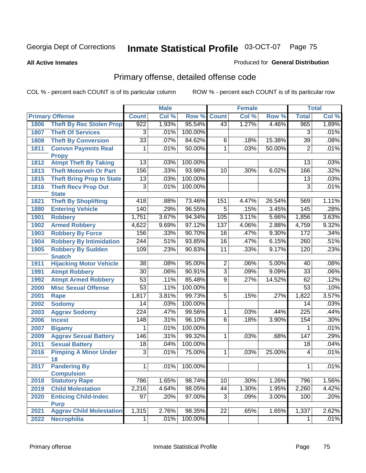#### **All Active Inmates**

### Produced for **General Distribution**

# Primary offense, detailed offense code

|      |                                            | <b>Male</b>      |       |         |                 | <b>Female</b> | <b>Total</b> |                 |       |
|------|--------------------------------------------|------------------|-------|---------|-----------------|---------------|--------------|-----------------|-------|
|      | <b>Primary Offense</b>                     | <b>Count</b>     | Col % | Row %   | <b>Count</b>    | Col %         | Row %        | <b>Total</b>    | Col % |
| 1806 | <b>Theft By Rec Stolen Prop</b>            | 922              | 1.93% | 95.54%  | 43              | 1.27%         | 4.46%        | 965             | 1.89% |
| 1807 | <b>Theft Of Services</b>                   | 3                | .01%  | 100.00% |                 |               |              | 3               | .01%  |
| 1808 | <b>Theft By Conversion</b>                 | $\overline{33}$  | .07%  | 84.62%  | $\overline{6}$  | .18%          | 15.38%       | 39              | .08%  |
| 1811 | <b>Convsn Paymnts Real</b>                 | 1                | .01%  | 50.00%  | $\overline{1}$  | .03%          | 50.00%       | $\overline{2}$  | .01%  |
|      | <b>Propy</b>                               |                  |       |         |                 |               |              |                 |       |
| 1812 | <b>Atmpt Theft By Taking</b>               | $\overline{13}$  | .03%  | 100.00% |                 |               |              | 13              | .03%  |
| 1813 | <b>Theft Motorveh Or Part</b>              | 156              | .33%  | 93.98%  | $\overline{10}$ | .30%          | 6.02%        | 166             | .32%  |
| 1815 | <b>Theft Bring Prop In State</b>           | 13               | .03%  | 100.00% |                 |               |              | 13              | .03%  |
| 1816 | <b>Theft Recv Prop Out</b><br><b>State</b> | $\overline{3}$   | .01%  | 100.00% |                 |               |              | $\overline{3}$  | .01%  |
| 1821 | <b>Theft By Shoplifting</b>                | 418              | .88%  | 73.46%  | 151             | 4.47%         | 26.54%       | 569             | 1.11% |
| 1880 | <b>Entering Vehicle</b>                    | 140              | .29%  | 96.55%  | $\overline{5}$  | .15%          | 3.45%        | 145             | .28%  |
| 1901 | <b>Robbery</b>                             | 1,751            | 3.67% | 94.34%  | 105             | 3.11%         | 5.66%        | 1,856           | 3.63% |
| 1902 | <b>Armed Robbery</b>                       | 4,622            | 9.69% | 97.12%  | 137             | 4.06%         | 2.88%        | 4,759           | 9.32% |
| 1903 | <b>Robbery By Force</b>                    | 156              | .33%  | 90.70%  | 16              | .47%          | 9.30%        | 172             | .34%  |
| 1904 | <b>Robbery By Intimidation</b>             | $\overline{244}$ | .51%  | 93.85%  | $\overline{16}$ | .47%          | 6.15%        | 260             | .51%  |
| 1905 | <b>Robbery By Sudden</b>                   | 109              | .23%  | 90.83%  | $\overline{11}$ | .33%          | 9.17%        | 120             | .23%  |
|      | <b>Snatch</b>                              |                  |       |         |                 |               |              |                 |       |
| 1911 | <b>Hijacking Motor Vehicle</b>             | $\overline{38}$  | .08%  | 95.00%  | $\overline{2}$  | .06%          | 5.00%        | 40              | .08%  |
| 1991 | <b>Atmpt Robbery</b>                       | $\overline{30}$  | .06%  | 90.91%  | $\overline{3}$  | .09%          | 9.09%        | $\overline{33}$ | .06%  |
| 1992 | <b>Atmpt Armed Robbery</b>                 | $\overline{53}$  | .11%  | 85.48%  | $\overline{9}$  | .27%          | 14.52%       | 62              | .12%  |
| 2000 | <b>Misc Sexual Offense</b>                 | $\overline{53}$  | .11%  | 100.00% |                 |               |              | 53              | .10%  |
| 2001 | Rape                                       | 1,817            | 3.81% | 99.73%  | $\overline{5}$  | .15%          | .27%         | 1,822           | 3.57% |
| 2002 | <b>Sodomy</b>                              | 14               | .03%  | 100.00% |                 |               |              | 14              | .03%  |
| 2003 | <b>Aggrav Sodomy</b>                       | 224              | .47%  | 99.56%  | $\overline{1}$  | .03%          | .44%         | 225             | .44%  |
| 2006 | <b>Incest</b>                              | 148              | .31%  | 96.10%  | $\overline{6}$  | .18%          | 3.90%        | 154             | .30%  |
| 2007 | <b>Bigamy</b>                              | 1                | .01%  | 100.00% |                 |               |              | 1               | .01%  |
| 2009 | <b>Aggrav Sexual Battery</b>               | 146              | .31%  | 99.32%  | 1               | .03%          | .68%         | 147             | .29%  |
| 2011 | <b>Sexual Battery</b>                      | $\overline{18}$  | .04%  | 100.00% |                 |               |              | $\overline{18}$ | .04%  |
| 2016 | <b>Pimping A Minor Under</b><br>18         | $\overline{3}$   | .01%  | 75.00%  | 1               | .03%          | 25.00%       | 4               | .01%  |
| 2017 | <b>Pandering By</b><br><b>Compulsion</b>   | 1                | .01%  | 100.00% |                 |               |              | 1               | .01%  |
| 2018 | <b>Statutory Rape</b>                      | 786              | 1.65% | 98.74%  | 10              | .30%          | 1.26%        | 796             | 1.56% |
| 2019 | <b>Child Molestation</b>                   | 2,216            | 4.64% | 98.05%  | 44              | 1.30%         | 1.95%        | 2,260           | 4.42% |
| 2020 | <b>Enticing Child-Indec</b>                | $\overline{97}$  | .20%  | 97.00%  | $\overline{3}$  | .09%          | 3.00%        | 100             | .20%  |
|      | <b>Purp</b>                                |                  |       |         |                 |               |              |                 |       |
| 2021 | <b>Aggrav Child Molestation</b>            | 1,315            | 2.76% | 98.35%  | $\overline{22}$ | .65%          | 1.65%        | 1,337           | 2.62% |
| 2022 | <b>Necrophilia</b>                         | $\overline{1}$   | .01%  | 100.00% |                 |               |              | 1               | .01%  |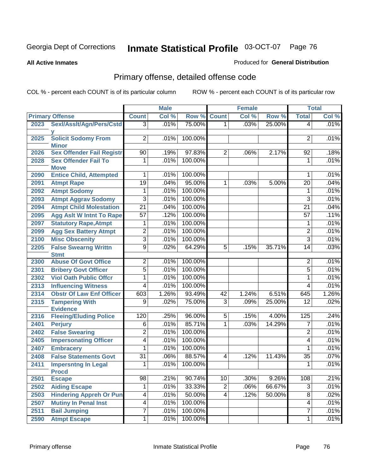**All Active Inmates**

### Produced for **General Distribution**

# Primary offense, detailed offense code

|      |                                            |                 | <b>Male</b> |         |                | <b>Female</b> |        |                 | <b>Total</b> |
|------|--------------------------------------------|-----------------|-------------|---------|----------------|---------------|--------|-----------------|--------------|
|      | <b>Primary Offense</b>                     | <b>Count</b>    | Col %       | Row %   | <b>Count</b>   | Col %         | Row %  | <b>Total</b>    | Col %        |
| 2023 | Sexl/Asslt/Agn/Pers/Cstd                   | $\overline{3}$  | .01%        | 75.00%  | 1 <sup>1</sup> | .03%          | 25.00% | $\overline{4}$  | .01%         |
| 2025 | <b>Solicit Sodomy From</b><br><b>Minor</b> | $\overline{2}$  | .01%        | 100.00% |                |               |        | 2               | .01%         |
| 2026 | <b>Sex Offender Fail Registr</b>           | 90              | .19%        | 97.83%  | $\overline{2}$ | .06%          | 2.17%  | 92              | .18%         |
| 2028 | <b>Sex Offender Fail To</b><br><b>Move</b> | 1               | .01%        | 100.00% |                |               |        | 1               | .01%         |
| 2090 | <b>Entice Child, Attempted</b>             | 1               | .01%        | 100.00% |                |               |        | 1               | .01%         |
| 2091 | <b>Atmpt Rape</b>                          | 19              | .04%        | 95.00%  | 1              | .03%          | 5.00%  | $\overline{20}$ | .04%         |
| 2092 | <b>Atmpt Sodomy</b>                        | 1               | .01%        | 100.00% |                |               |        | 1               | .01%         |
| 2093 | <b>Atmpt Aggrav Sodomy</b>                 | $\overline{3}$  | .01%        | 100.00% |                |               |        | $\overline{3}$  | .01%         |
| 2094 | <b>Atmpt Child Molestation</b>             | $\overline{21}$ | .04%        | 100.00% |                |               |        | $\overline{21}$ | .04%         |
| 2095 | <b>Agg Aslt W Intnt To Rape</b>            | $\overline{57}$ | .12%        | 100.00% |                |               |        | $\overline{57}$ | .11%         |
| 2097 | <b>Statutory Rape, Atmpt</b>               | 1               | .01%        | 100.00% |                |               |        | 1               | .01%         |
| 2099 | <b>Agg Sex Battery Atmpt</b>               | $\overline{2}$  | .01%        | 100.00% |                |               |        | $\overline{2}$  | .01%         |
| 2100 | <b>Misc Obscenity</b>                      | $\overline{3}$  | .01%        | 100.00% |                |               |        | 3               | .01%         |
| 2205 | <b>False Swearng Writtn</b><br><b>Stmt</b> | $\overline{9}$  | .02%        | 64.29%  | $\overline{5}$ | .15%          | 35.71% | 14              | .03%         |
| 2300 | <b>Abuse Of Govt Office</b>                | $\overline{2}$  | .01%        | 100.00% |                |               |        | $\overline{2}$  | .01%         |
| 2301 | <b>Bribery Govt Officer</b>                | $\overline{5}$  | .01%        | 100.00% |                |               |        | $\overline{5}$  | .01%         |
| 2302 | <b>Viol Oath Public Offcr</b>              | 1               | .01%        | 100.00% |                |               |        | $\mathbf{1}$    | .01%         |
| 2313 | <b>Influencing Witness</b>                 | $\overline{4}$  | .01%        | 100.00% |                |               |        | 4               | .01%         |
| 2314 | <b>Obstr Of Law Enf Officer</b>            | 603             | 1.26%       | 93.49%  | 42             | 1.24%         | 6.51%  | 645             | 1.26%        |
| 2315 | <b>Tampering With</b><br><b>Evidence</b>   | 9               | .02%        | 75.00%  | $\overline{3}$ | .09%          | 25.00% | $\overline{12}$ | .02%         |
| 2316 | <b>Fleeing/Eluding Police</b>              | 120             | .25%        | 96.00%  | $\overline{5}$ | .15%          | 4.00%  | 125             | .24%         |
| 2401 | <b>Perjury</b>                             | 6               | .01%        | 85.71%  | 1              | .03%          | 14.29% | 7               | .01%         |
| 2402 | <b>False Swearing</b>                      | $\overline{2}$  | .01%        | 100.00% |                |               |        | $\overline{2}$  | .01%         |
| 2405 | <b>Impersonating Officer</b>               | 4               | .01%        | 100.00% |                |               |        | 4               | .01%         |
| 2407 | <b>Embracery</b>                           | 1               | .01%        | 100.00% |                |               |        | 1               | .01%         |
| 2408 | <b>False Statements Govt</b>               | $\overline{31}$ | .06%        | 88.57%  | $\overline{4}$ | .12%          | 11.43% | $\overline{35}$ | .07%         |
| 2411 | <b>Impersntng In Legal</b><br><b>Procd</b> | 1               | .01%        | 100.00% |                |               |        | 1               | .01%         |
| 2501 | <b>Escape</b>                              | $\overline{98}$ | .21%        | 90.74%  | 10             | .30%          | 9.26%  | 108             | .21%         |
| 2502 | <b>Aiding Escape</b>                       | 1               | .01%        | 33.33%  | $\overline{2}$ | $.06\%$       | 66.67% | $\overline{3}$  | .01%         |
| 2503 | <b>Hindering Appreh Or Pun</b>             | $\overline{4}$  | .01%        | 50.00%  | $\overline{4}$ | .12%          | 50.00% | $\overline{8}$  | .02%         |
| 2507 | <b>Mutiny In Penal Inst</b>                | $\overline{4}$  | .01%        | 100.00% |                |               |        | 4               | .01%         |
| 2511 | <b>Bail Jumping</b>                        | $\overline{7}$  | .01%        | 100.00% |                |               |        | 7               | .01%         |
| 2590 | <b>Atmpt Escape</b>                        | 1               | .01%        | 100.00% |                |               |        | 1               | .01%         |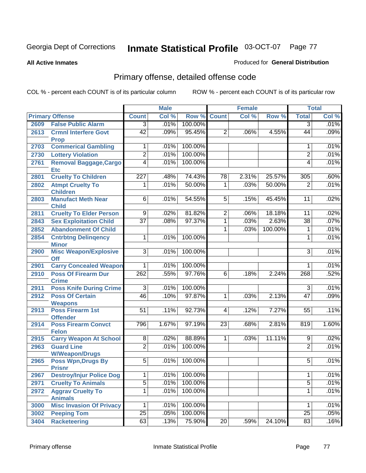#### **All Active Inmates**

### Produced for **General Distribution**

# Primary offense, detailed offense code

|      |                                            |                  | <b>Male</b> |         |                 | <b>Female</b> |         |                 | <b>Total</b> |
|------|--------------------------------------------|------------------|-------------|---------|-----------------|---------------|---------|-----------------|--------------|
|      | <b>Primary Offense</b>                     | <b>Count</b>     | Col %       | Row %   | <b>Count</b>    | Col %         | Row %   | <b>Total</b>    | Col %        |
| 2609 | <b>False Public Alarm</b>                  | $\overline{3}$   | .01%        | 100.00% |                 |               |         | $\overline{3}$  | .01%         |
| 2613 | <b>Crmnl Interfere Govt</b><br><b>Prop</b> | $\overline{42}$  | .09%        | 95.45%  | $\overline{2}$  | .06%          | 4.55%   | 44              | .09%         |
| 2703 | <b>Commerical Gambling</b>                 | 1                | .01%        | 100.00% |                 |               |         | 1               | .01%         |
| 2730 | <b>Lottery Violation</b>                   | $\overline{2}$   | .01%        | 100.00% |                 |               |         | $\overline{2}$  | .01%         |
| 2761 | Removal Baggage, Cargo<br><b>Etc</b>       | $\overline{4}$   | .01%        | 100.00% |                 |               |         | 4               | .01%         |
| 2801 | <b>Cruelty To Children</b>                 | $\overline{227}$ | .48%        | 74.43%  | 78              | 2.31%         | 25.57%  | 305             | .60%         |
| 2802 | <b>Atmpt Cruelty To</b><br><b>Children</b> | $\overline{1}$   | .01%        | 50.00%  | $\overline{1}$  | .03%          | 50.00%  | $\overline{2}$  | .01%         |
| 2803 | <b>Manufact Meth Near</b><br><b>Child</b>  | $\overline{6}$   | .01%        | 54.55%  | $\overline{5}$  | .15%          | 45.45%  | $\overline{11}$ | .02%         |
| 2811 | <b>Cruelty To Elder Person</b>             | $\overline{9}$   | .02%        | 81.82%  | $\overline{2}$  | .06%          | 18.18%  | 11              | .02%         |
| 2843 | <b>Sex Exploitation Child</b>              | $\overline{37}$  | .08%        | 97.37%  | 1               | .03%          | 2.63%   | $\overline{38}$ | .07%         |
| 2852 | <b>Abandonment Of Child</b>                |                  |             |         | 1               | .03%          | 100.00% | 1               | .01%         |
| 2854 | <b>Cntrbtng Delingency</b>                 | 1                | .01%        | 100.00% |                 |               |         | 1               | .01%         |
|      | <b>Minor</b>                               |                  |             |         |                 |               |         |                 |              |
| 2900 | <b>Misc Weapon/Explosive</b><br><b>Off</b> | 3                | .01%        | 100.00% |                 |               |         | $\overline{3}$  | .01%         |
| 2901 | <b>Carry Concealed Weapon</b>              | $\mathbf{1}$     | .01%        | 100.00% |                 |               |         | 1               | .01%         |
| 2910 | <b>Poss Of Firearm Dur</b><br><b>Crime</b> | 262              | .55%        | 97.76%  | $\overline{6}$  | .18%          | 2.24%   | 268             | .52%         |
| 2911 | <b>Poss Knife During Crime</b>             | $\overline{3}$   | .01%        | 100.00% |                 |               |         | $\overline{3}$  | .01%         |
| 2912 | <b>Poss Of Certain</b><br><b>Weapons</b>   | 46               | .10%        | 97.87%  | $\overline{1}$  | .03%          | 2.13%   | $\overline{47}$ | .09%         |
| 2913 | <b>Poss Firearm 1st</b><br><b>Offender</b> | $\overline{51}$  | .11%        | 92.73%  | $\overline{4}$  | .12%          | 7.27%   | 55              | .11%         |
| 2914 | <b>Poss Firearm Convct</b><br><b>Felon</b> | 796              | 1.67%       | 97.19%  | 23              | .68%          | 2.81%   | 819             | 1.60%        |
| 2915 | <b>Carry Weapon At School</b>              | $\overline{8}$   | .02%        | 88.89%  | $\mathbf{1}$    | .03%          | 11.11%  | 9               | .02%         |
| 2963 | <b>Guard Line</b><br><b>W/Weapon/Drugs</b> | $\overline{2}$   | .01%        | 100.00% |                 |               |         | $\overline{2}$  | .01%         |
| 2965 | <b>Poss Wpn, Drugs By</b><br><b>Prisnr</b> | $\overline{5}$   | .01%        | 100.00% |                 |               |         | 5               | .01%         |
| 2967 | <b>Destroy/Injur Police Dog</b>            | $\mathbf{1}$     | .01%        | 100.00% |                 |               |         | 1               | .01%         |
| 2971 | <b>Cruelty To Animals</b>                  | $\overline{5}$   | .01%        | 100.00% |                 |               |         | $\overline{5}$  | .01%         |
| 2972 | <b>Aggrav Cruelty To</b><br><b>Animals</b> | $\overline{1}$   | .01%        | 100.00% |                 |               |         | $\mathbf{1}$    | .01%         |
| 3000 | <b>Misc Invasion Of Privacy</b>            | $\overline{1}$   | .01%        | 100.00% |                 |               |         | 1               | .01%         |
| 3002 | <b>Peeping Tom</b>                         | $\overline{25}$  | .05%        | 100.00% |                 |               |         | $\overline{25}$ | .05%         |
| 3404 | <b>Racketeering</b>                        | 63               | .13%        | 75.90%  | $\overline{20}$ | .59%          | 24.10%  | 83              | .16%         |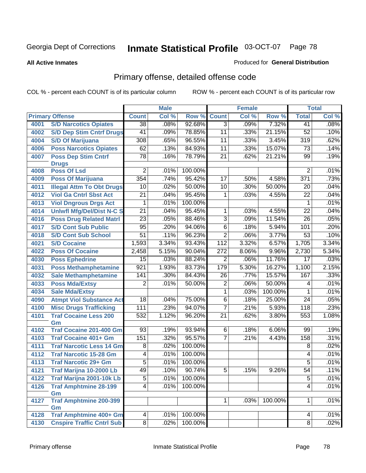#### **All Active Inmates**

### Produced for **General Distribution**

# Primary offense, detailed offense code

|      |                                     | <b>Male</b>     |       |         |                  | <b>Female</b> | <b>Total</b> |                     |       |
|------|-------------------------------------|-----------------|-------|---------|------------------|---------------|--------------|---------------------|-------|
|      | <b>Primary Offense</b>              | <b>Count</b>    | Col % | Row %   | <b>Count</b>     | Col %         | Row %        | <b>Total</b>        | Col % |
| 4001 | <b>S/D Narcotics Opiates</b>        | $\overline{38}$ | .08%  | 92.68%  | $\overline{3}$   | .09%          | 7.32%        | 41                  | .08%  |
| 4002 | <b>S/D Dep Stim Cntrf Drugs</b>     | $\overline{41}$ | .09%  | 78.85%  | 11               | .33%          | 21.15%       | 52                  | .10%  |
| 4004 | <b>S/D Of Marijuana</b>             | 308             | .65%  | 96.55%  | $\overline{11}$  | .33%          | 3.45%        | 319                 | .62%  |
| 4006 | <b>Poss Narcotics Opiates</b>       | 62              | .13%  | 84.93%  | $\overline{11}$  | .33%          | 15.07%       | $\overline{73}$     | .14%  |
| 4007 | <b>Poss Dep Stim Cntrf</b>          | $\overline{78}$ | .16%  | 78.79%  | $\overline{21}$  | .62%          | 21.21%       | 99                  | .19%  |
|      | <b>Drugs</b>                        |                 |       |         |                  |               |              |                     |       |
| 4008 | <b>Poss Of Lsd</b>                  | $\overline{2}$  | .01%  | 100.00% |                  |               |              | $\overline{2}$      | .01%  |
| 4009 | <b>Poss Of Marijuana</b>            | 354             | .74%  | 95.42%  | $\overline{17}$  | .50%          | 4.58%        | $\overline{371}$    | .73%  |
| 4011 | <b>Illegal Attm To Obt Drugs</b>    | 10              | .02%  | 50.00%  | $\overline{10}$  | .30%          | 50.00%       | 20                  | .04%  |
| 4012 | <b>Viol Ga Cntrl Sbst Act</b>       | $\overline{21}$ | .04%  | 95.45%  | 1                | .03%          | 4.55%        | 22                  | .04%  |
| 4013 | <b>Viol Dngrous Drgs Act</b>        | 1               | .01%  | 100.00% |                  |               |              | 1                   | .01%  |
| 4014 | <b>Uniwfl Mfg/Del/Dist N-C S</b>    | $\overline{21}$ | .04%  | 95.45%  | $\mathbf{1}$     | .03%          | 4.55%        | $\overline{22}$     | .04%  |
| 4016 | <b>Poss Drug Related Matri</b>      | $\overline{23}$ | .05%  | 88.46%  | $\overline{3}$   | .09%          | 11.54%       | 26                  | .05%  |
| 4017 | <b>S/D Cont Sub Public</b>          | 95              | .20%  | 94.06%  | $\overline{6}$   | .18%          | 5.94%        | 101                 | .20%  |
| 4018 | <b>S/D Cont Sub School</b>          | $\overline{51}$ | .11%  | 96.23%  | $\overline{2}$   | .06%          | 3.77%        | $\overline{53}$     | .10%  |
| 4021 | <b>S/D Cocaine</b>                  | 1,593           | 3.34% | 93.43%  | $\overline{112}$ | 3.32%         | 6.57%        | 1,705               | 3.34% |
| 4022 | <b>Poss Of Cocaine</b>              | 2,458           | 5.15% | 90.04%  | 272              | 8.06%         | 9.96%        | 2,730               | 5.34% |
| 4030 | <b>Poss Ephedrine</b>               | $\overline{15}$ | .03%  | 88.24%  | $\overline{2}$   | .06%          | 11.76%       | $\overline{17}$     | .03%  |
| 4031 | <b>Poss Methamphetamine</b>         | 921             | 1.93% | 83.73%  | 179              | 5.30%         | 16.27%       | 1,100               | 2.15% |
| 4032 | <b>Sale Methamphetamine</b>         | 141             | .30%  | 84.43%  | 26               | .77%          | 15.57%       | 167                 | .33%  |
| 4033 | <b>Poss Mda/Extsy</b>               | 2               | .01%  | 50.00%  | $\overline{2}$   | .06%          | 50.00%       | 4                   | .01%  |
| 4034 | <b>Sale Mda/Extsy</b>               |                 |       |         | 1                | .03%          | 100.00%      | 1                   | .01%  |
| 4090 | <b>Atmpt Viol Substance Act</b>     | $\overline{18}$ | .04%  | 75.00%  | $\overline{6}$   | .18%          | 25.00%       | $\overline{24}$     | .05%  |
| 4100 | <b>Misc Drugs Trafficking</b>       | 111             | .23%  | 94.07%  | $\overline{7}$   | .21%          | 5.93%        | 118                 | .23%  |
| 4101 | <b>Traf Cocaine Less 200</b>        | 532             | 1.12% | 96.20%  | $\overline{21}$  | .62%          | 3.80%        | 553                 | 1.08% |
|      | Gm                                  |                 |       |         |                  |               |              |                     |       |
| 4102 | <b>Traf Cocaine 201-400 Gm</b>      | $\overline{93}$ | .19%  | 93.94%  | 6                | .18%          | 6.06%        | 99                  | .19%  |
| 4103 | <b>Traf Cocaine 401+ Gm</b>         | 151             | .32%  | 95.57%  | $\overline{7}$   | .21%          | 4.43%        | 158                 | .31%  |
| 4111 | <b>Traf Narcotic Less 14 Gm</b>     | $\overline{8}$  | .02%  | 100.00% |                  |               |              | $\overline{8}$      | .02%  |
| 4112 | <b>Traf Narcotic 15-28 Gm</b>       | 4               | .01%  | 100.00% |                  |               |              | 4                   | .01%  |
| 4113 | <b>Traf Narcotic 29+ Gm</b>         | 5               | .01%  | 100.00% |                  |               |              | $\overline{5}$      | .01%  |
| 4121 | Traf Marijna 10-2000 Lb             | 49              | .10%  | 90.74%  | $\overline{5}$   | 15%           | $9.26\%$     | $\overline{54}$     | .11%  |
| 4122 | Traf Marijna 2001-10k Lb            | $\overline{5}$  | .01%  | 100.00% |                  |               |              | $\overline{5}$      | .01%  |
| 4126 | <b>Traf Amphtmine 28-199</b>        | $\overline{4}$  | .01%  | 100.00% |                  |               |              | $\overline{4}$      | .01%  |
|      | Gm                                  |                 |       |         |                  |               |              |                     |       |
| 4127 | <b>Traf Amphtmine 200-399</b>       |                 |       |         | 1                | .03%          | 100.00%      | 1                   | .01%  |
|      | Gm<br><b>Traf Amphtmine 400+ Gm</b> |                 | .01%  | 100.00% |                  |               |              |                     | .01%  |
| 4128 |                                     | 4               |       |         |                  |               |              | 4<br>$\overline{8}$ |       |
| 4130 | <b>Cnspire Traffic Cntrl Sub</b>    | $\infty$        | .02%  | 100.00% |                  |               |              |                     | .02%  |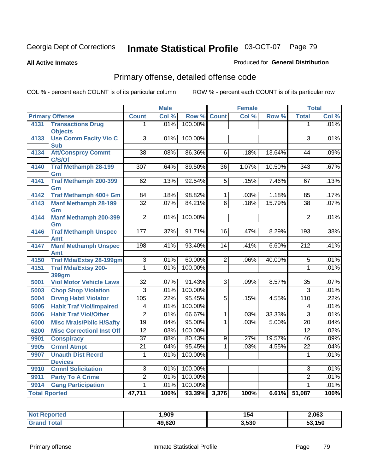**All Active Inmates**

### Produced for **General Distribution**

# Primary offense, detailed offense code

|                      |                                           |                 | <b>Male</b> |         |                 | <b>Female</b> |        | <b>Total</b>     |       |
|----------------------|-------------------------------------------|-----------------|-------------|---------|-----------------|---------------|--------|------------------|-------|
|                      | <b>Primary Offense</b>                    | <b>Count</b>    | Col %       | Row %   | Count           | Col %         | Row %  | <b>Total</b>     | Col % |
| 4131                 | <b>Transactions Drug</b>                  | 1               | .01%        | 100.00% |                 |               |        | 1                | .01%  |
|                      | <b>Objects</b>                            |                 |             |         |                 |               |        |                  |       |
| 4133                 | <b>Use Comm Facity Vio C</b>              | $\overline{3}$  | .01%        | 100.00% |                 |               |        | $\overline{3}$   | .01%  |
|                      | <b>Sub</b>                                |                 |             |         |                 |               |        |                  |       |
| 4134                 | <b>Att/Consprcy Commt</b><br>C/S/Of       | $\overline{38}$ | .08%        | 86.36%  | $\overline{6}$  | .18%          | 13.64% | 44               | .09%  |
| 4140                 | <b>Traf Methamph 28-199</b>               | 307             | .64%        | 89.50%  | $\overline{36}$ | 1.07%         | 10.50% | 343              | .67%  |
|                      | Gm                                        |                 |             |         |                 |               |        |                  |       |
| 4141                 | <b>Traf Methamph 200-399</b>              | 62              | .13%        | 92.54%  | $\overline{5}$  | .15%          | 7.46%  | 67               | .13%  |
|                      | Gm                                        |                 |             |         |                 |               |        |                  |       |
| 4142                 | Traf Methamph 400+ Gm                     | 84              | .18%        | 98.82%  | $\overline{1}$  | .03%          | 1.18%  | 85               | .17%  |
| 4143                 | <b>Manf Methamph 28-199</b>               | $\overline{32}$ | .07%        | 84.21%  | $\overline{6}$  | .18%          | 15.79% | $\overline{38}$  | .07%  |
|                      | Gm                                        |                 |             |         |                 |               |        |                  |       |
| 4144                 | <b>Manf Methamph 200-399</b>              | $\overline{2}$  | .01%        | 100.00% |                 |               |        | $\overline{2}$   | .01%  |
|                      | Gm                                        | 177             | .37%        | 91.71%  | $\overline{16}$ |               | 8.29%  | 193              | .38%  |
| 4146                 | <b>Traf Methamph Unspec</b><br><b>Amt</b> |                 |             |         |                 | .47%          |        |                  |       |
| 4147                 | <b>Manf Methamph Unspec</b>               | 198             | .41%        | 93.40%  | 14              | .41%          | 6.60%  | $\overline{212}$ | .41%  |
|                      | Amt                                       |                 |             |         |                 |               |        |                  |       |
| 4150                 | <b>Traf Mda/Extsy 28-199gm</b>            | $\overline{3}$  | .01%        | 60.00%  | $\overline{2}$  | .06%          | 40.00% | $\overline{5}$   | .01%  |
| 4151                 | <b>Traf Mda/Extsy 200-</b>                | $\overline{1}$  | .01%        | 100.00% |                 |               |        | $\overline{1}$   | .01%  |
|                      | 399gm                                     |                 |             |         |                 |               |        |                  |       |
| 5001                 | <b>Viol Motor Vehicle Laws</b>            | $\overline{32}$ | .07%        | 91.43%  | $\overline{3}$  | .09%          | 8.57%  | $\overline{35}$  | .07%  |
| 5003                 | <b>Chop Shop Violation</b>                | $\overline{3}$  | .01%        | 100.00% |                 |               |        | $\overline{3}$   | .01%  |
| 5004                 | <b>Drvng Habtl Violator</b>               | 105             | .22%        | 95.45%  | $\overline{5}$  | .15%          | 4.55%  | 110              | .22%  |
| 5005                 | <b>Habit Traf Viol/Impaired</b>           | $\overline{4}$  | .01%        | 100.00% |                 |               |        | $\overline{4}$   | .01%  |
| 5006                 | <b>Habit Traf Viol/Other</b>              | $\overline{2}$  | .01%        | 66.67%  | 1               | .03%          | 33.33% | $\overline{3}$   | .01%  |
| 6000                 | <b>Misc Mrals/Pblic H/Safty</b>           | 19              | .04%        | 95.00%  | 1               | .03%          | 5.00%  | $\overline{20}$  | .04%  |
| 6200                 | <b>Misc CorrectionI Inst Off</b>          | $\overline{12}$ | .03%        | 100.00% |                 |               |        | $\overline{12}$  | .02%  |
| 9901                 | <b>Conspiracy</b>                         | $\overline{37}$ | .08%        | 80.43%  | $\overline{9}$  | .27%          | 19.57% | $\overline{46}$  | .09%  |
| 9905                 | <b>Crmnl Atmpt</b>                        | $\overline{21}$ | .04%        | 95.45%  | 1               | .03%          | 4.55%  | $\overline{22}$  | .04%  |
| 9907                 | <b>Unauth Dist Recrd</b>                  | 1               | .01%        | 100.00% |                 |               |        | 1                | .01%  |
|                      | <b>Devices</b>                            |                 |             |         |                 |               |        |                  |       |
| 9910                 | <b>Crmnl Solicitation</b>                 | $\overline{3}$  | .01%        | 100.00% |                 |               |        | $\overline{3}$   | .01%  |
| 9911                 | <b>Party To A Crime</b>                   | $\overline{2}$  | .01%        | 100.00% |                 |               |        | $\overline{2}$   | .01%  |
| 9914                 | <b>Gang Participation</b>                 | $\overline{1}$  | .01%        | 100.00% |                 |               |        | 1                | .01%  |
| <b>Total Rported</b> |                                           | 47,711          | 100%        | 93.39%  | 3,376           | 100%          | 6.61%  | 51,087           | 100%  |

| rted         | ,909   | 154   | 2,063        |
|--------------|--------|-------|--------------|
| <b>Total</b> | 49,620 | 3,530 | 53,150<br>აა |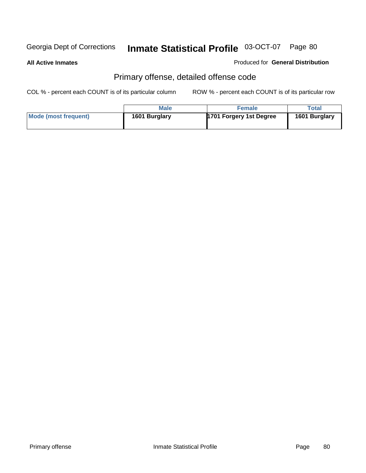**All Active Inmates**

Produced for **General Distribution**

# Primary offense, detailed offense code

|                      | Male          | <b>Female</b>           | Total         |
|----------------------|---------------|-------------------------|---------------|
| Mode (most frequent) | 1601 Burglary | 1701 Forgery 1st Degree | 1601 Burglary |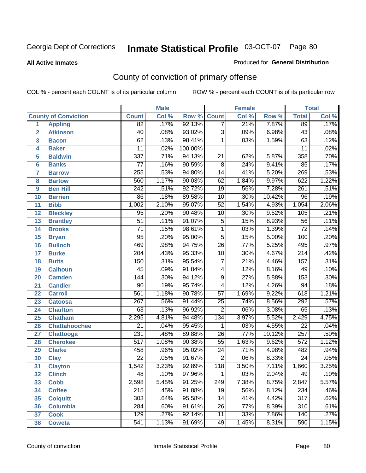#### **All Active Inmates**

#### Produced for **General Distribution**

# County of conviction of primary offense

|                         |                             |                  | <b>Male</b> |         |                  | <b>Female</b> |                  |                  | <b>Total</b> |
|-------------------------|-----------------------------|------------------|-------------|---------|------------------|---------------|------------------|------------------|--------------|
|                         | <b>County of Conviction</b> | <b>Count</b>     | Col %       | Row %   | <b>Count</b>     | Col %         | Row <sup>%</sup> | <b>Total</b>     | Col %        |
| 1                       | <b>Appling</b>              | $\overline{82}$  | .17%        | 92.13%  | $\overline{7}$   | .21%          | 7.87%            | 89               | .17%         |
| $\overline{2}$          | <b>Atkinson</b>             | 40               | .08%        | 93.02%  | $\overline{3}$   | .09%          | 6.98%            | 43               | .08%         |
| $\overline{\mathbf{3}}$ | <b>Bacon</b>                | $\overline{62}$  | .13%        | 98.41%  | 1                | .03%          | 1.59%            | 63               | .12%         |
| 4                       | <b>Baker</b>                | $\overline{11}$  | .02%        | 100.00% |                  |               |                  | $\overline{11}$  | .02%         |
| 5                       | <b>Baldwin</b>              | 337              | .71%        | 94.13%  | $\overline{21}$  | .62%          | 5.87%            | 358              | .70%         |
| 6                       | <b>Banks</b>                | $\overline{77}$  | .16%        | 90.59%  | $\overline{8}$   | .24%          | 9.41%            | $\overline{85}$  | .17%         |
| $\overline{\mathbf{7}}$ | <b>Barrow</b>               | 255              | .53%        | 94.80%  | $\overline{14}$  | .41%          | 5.20%            | 269              | .53%         |
| 8                       | <b>Bartow</b>               | 560              | 1.17%       | 90.03%  | 62               | 1.84%         | 9.97%            | 622              | 1.22%        |
| 9                       | <b>Ben Hill</b>             | $\overline{242}$ | .51%        | 92.72%  | $\overline{19}$  | .56%          | 7.28%            | $\overline{261}$ | .51%         |
| 10                      | <b>Berrien</b>              | $\overline{86}$  | .18%        | 89.58%  | $\overline{10}$  | .30%          | 10.42%           | $\overline{96}$  | .19%         |
| 11                      | <b>Bibb</b>                 | 1,002            | 2.10%       | 95.07%  | $\overline{52}$  | 1.54%         | 4.93%            | 1,054            | 2.06%        |
| 12                      | <b>Bleckley</b>             | $\overline{95}$  | .20%        | 90.48%  | $\overline{10}$  | .30%          | 9.52%            | 105              | .21%         |
| $\overline{13}$         | <b>Brantley</b>             | $\overline{51}$  | .11%        | 91.07%  | $\overline{5}$   | .15%          | 8.93%            | $\overline{56}$  | .11%         |
| $\overline{14}$         | <b>Brooks</b>               | $\overline{71}$  | .15%        | 98.61%  | $\overline{1}$   | .03%          | 1.39%            | $\overline{72}$  | .14%         |
| 15                      | <b>Bryan</b>                | $\overline{95}$  | .20%        | 95.00%  | $\overline{5}$   | .15%          | 5.00%            | 100              | .20%         |
| 16                      | <b>Bulloch</b>              | 469              | .98%        | 94.75%  | $\overline{26}$  | .77%          | 5.25%            | 495              | .97%         |
| $\overline{17}$         | <b>Burke</b>                | $\overline{204}$ | .43%        | 95.33%  | $\overline{10}$  | .30%          | 4.67%            | $\overline{214}$ | .42%         |
| 18                      | <b>Butts</b>                | 150              | .31%        | 95.54%  | $\overline{7}$   | .21%          | 4.46%            | $\overline{157}$ | .31%         |
| 19                      | <b>Calhoun</b>              | $\overline{45}$  | .09%        | 91.84%  | 4                | .12%          | 8.16%            | 49               | .10%         |
| 20                      | <b>Camden</b>               | 144              | .30%        | 94.12%  | $\overline{9}$   | .27%          | 5.88%            | 153              | .30%         |
| 21                      | <b>Candler</b>              | $\overline{90}$  | .19%        | 95.74%  | 4                | .12%          | 4.26%            | 94               | .18%         |
| $\overline{22}$         | <b>Carroll</b>              | 561              | 1.18%       | 90.78%  | $\overline{57}$  | 1.69%         | 9.22%            | 618              | 1.21%        |
| 23                      | <b>Catoosa</b>              | $\overline{267}$ | .56%        | 91.44%  | $\overline{25}$  | .74%          | 8.56%            | 292              | .57%         |
| 24                      | <b>Charlton</b>             | 63               | .13%        | 96.92%  | $\overline{2}$   | .06%          | 3.08%            | 65               | .13%         |
| 25                      | <b>Chatham</b>              | 2,295            | 4.81%       | 94.48%  | $\overline{134}$ | 3.97%         | 5.52%            | 2,429            | 4.75%        |
| 26                      | <b>Chattahoochee</b>        | $\overline{21}$  | .04%        | 95.45%  | 1                | .03%          | 4.55%            | $\overline{22}$  | .04%         |
| 27                      | <b>Chattooga</b>            | 231              | .48%        | 89.88%  | $\overline{26}$  | .77%          | 10.12%           | $\overline{257}$ | .50%         |
| 28                      | <b>Cherokee</b>             | $\overline{517}$ | 1.08%       | 90.38%  | $\overline{55}$  | 1.63%         | 9.62%            | $\overline{572}$ | 1.12%        |
| 29                      | <b>Clarke</b>               | 458              | .96%        | 95.02%  | $\overline{24}$  | .71%          | 4.98%            | 482              | .94%         |
| 30                      | <b>Clay</b>                 | $\overline{22}$  | .05%        | 91.67%  | $\overline{2}$   | .06%          | 8.33%            | $\overline{24}$  | .05%         |
| $\overline{31}$         | <b>Clayton</b>              | 1,542            | 3.23%       | 92.89%  | 118              | 3.50%         | 7.11%            | 1,660            | 3.25%        |
| 32                      | <b>Clinch</b>               | 48               | .10%        | 97.96%  | 1                | .03%          | 2.04%            | 49               | .10%         |
| 33                      | <b>Cobb</b>                 | 2,598            | 5.45%       | 91.25%  | 249              | 7.38%         | 8.75%            | 2,847            | 5.57%        |
| 34                      | <b>Coffee</b>               | $\overline{215}$ | .45%        | 91.88%  | $\overline{19}$  | .56%          | 8.12%            | 234              | .46%         |
| 35                      | <b>Colquitt</b>             | 303              | .64%        | 95.58%  | 14               | .41%          | 4.42%            | $\overline{317}$ | .62%         |
| 36                      | <b>Columbia</b>             | 284              | .60%        | 91.61%  | 26               | .77%          | 8.39%            | $\overline{310}$ | .61%         |
| 37                      | <b>Cook</b>                 | 129              | .27%        | 92.14%  | 11               | .33%          | 7.86%            | 140              | .27%         |
| 38                      | <b>Coweta</b>               | 541              | 1.13%       | 91.69%  | 49               | 1.45%         | 8.31%            | 590              | 1.15%        |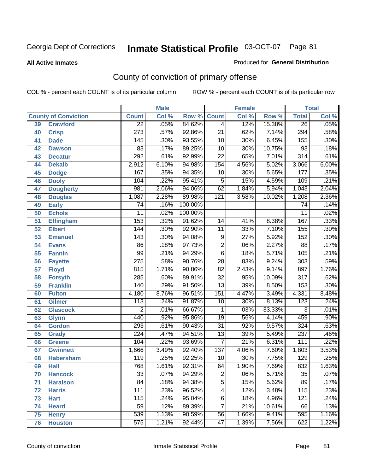#### **All Active Inmates**

#### Produced for **General Distribution**

# County of conviction of primary offense

|                 |                             |                  | <b>Male</b> |         | <b>Female</b>    |       |        | <b>Total</b>     |       |
|-----------------|-----------------------------|------------------|-------------|---------|------------------|-------|--------|------------------|-------|
|                 | <b>County of Conviction</b> | <b>Count</b>     | Col %       | Row %   | <b>Count</b>     | Col % | Row %  | <b>Total</b>     | Col % |
| 39              | <b>Crawford</b>             | $\overline{22}$  | .05%        | 84.62%  | $\overline{4}$   | .12%  | 15.38% | $\overline{26}$  | .05%  |
| 40              | <b>Crisp</b>                | $\overline{273}$ | .57%        | 92.86%  | $\overline{21}$  | .62%  | 7.14%  | 294              | .58%  |
| 41              | <b>Dade</b>                 | 145              | .30%        | 93.55%  | 10               | .30%  | 6.45%  | 155              | .30%  |
| 42              | <b>Dawson</b>               | 83               | .17%        | 89.25%  | $\overline{10}$  | .30%  | 10.75% | $\overline{93}$  | .18%  |
| 43              | <b>Decatur</b>              | 292              | .61%        | 92.99%  | $\overline{22}$  | .65%  | 7.01%  | $\overline{314}$ | .61%  |
| 44              | <b>Dekalb</b>               | 2,912            | 6.10%       | 94.98%  | 154              | 4.56% | 5.02%  | 3,066            | 6.00% |
| 45              | <b>Dodge</b>                | 167              | .35%        | 94.35%  | 10               | .30%  | 5.65%  | $\overline{177}$ | .35%  |
| 46              | <b>Dooly</b>                | $\overline{104}$ | .22%        | 95.41%  | $\overline{5}$   | .15%  | 4.59%  | 109              | .21%  |
| 47              | <b>Dougherty</b>            | 981              | 2.06%       | 94.06%  | 62               | 1.84% | 5.94%  | 1,043            | 2.04% |
| 48              | <b>Douglas</b>              | 1,087            | 2.28%       | 89.98%  | 121              | 3.58% | 10.02% | 1,208            | 2.36% |
| 49              | <b>Early</b>                | 74               | .16%        | 100.00% |                  |       |        | 74               | .14%  |
| 50              | <b>Echols</b>               | $\overline{11}$  | .02%        | 100.00% |                  |       |        | $\overline{11}$  | .02%  |
| $\overline{51}$ | <b>Effingham</b>            | 153              | .32%        | 91.62%  | 14               | .41%  | 8.38%  | 167              | .33%  |
| 52              | <b>Elbert</b>               | 144              | .30%        | 92.90%  | $\overline{11}$  | .33%  | 7.10%  | 155              | .30%  |
| 53              | <b>Emanuel</b>              | $\overline{143}$ | .30%        | 94.08%  | $\overline{9}$   | .27%  | 5.92%  | 152              | .30%  |
| 54              | <b>Evans</b>                | $\overline{86}$  | .18%        | 97.73%  | $\overline{2}$   | .06%  | 2.27%  | 88               | .17%  |
| 55              | <b>Fannin</b>               | 99               | .21%        | 94.29%  | $\overline{6}$   | .18%  | 5.71%  | 105              | .21%  |
| 56              | <b>Fayette</b>              | $\overline{275}$ | .58%        | 90.76%  | $\overline{28}$  | .83%  | 9.24%  | $\overline{303}$ | .59%  |
| 57              | <b>Floyd</b>                | 815              | 1.71%       | 90.86%  | $\overline{82}$  | 2.43% | 9.14%  | 897              | 1.76% |
| 58              | <b>Forsyth</b>              | 285              | .60%        | 89.91%  | $\overline{32}$  | .95%  | 10.09% | $\overline{317}$ | .62%  |
| 59              | <b>Franklin</b>             | 140              | .29%        | 91.50%  | $\overline{13}$  | .39%  | 8.50%  | 153              | .30%  |
| 60              | <b>Fulton</b>               | 4,180            | 8.76%       | 96.51%  | 151              | 4.47% | 3.49%  | 4,331            | 8.48% |
| 61              | Gilmer                      | $\overline{113}$ | .24%        | 91.87%  | 10               | .30%  | 8.13%  | $\overline{123}$ | .24%  |
| 62              | <b>Glascock</b>             | $\overline{2}$   | .01%        | 66.67%  | $\mathbf{1}$     | .03%  | 33.33% | $\overline{3}$   | .01%  |
| 63              | <b>Glynn</b>                | 440              | .92%        | 95.86%  | $\overline{19}$  | .56%  | 4.14%  | 459              | .90%  |
| 64              | <b>Gordon</b>               | 293              | .61%        | 90.43%  | $\overline{31}$  | .92%  | 9.57%  | 324              | .63%  |
| 65              | <b>Grady</b>                | $\overline{224}$ | .47%        | 94.51%  | $\overline{13}$  | .39%  | 5.49%  | 237              | .46%  |
| 66              | <b>Greene</b>               | 104              | .22%        | 93.69%  | $\overline{7}$   | .21%  | 6.31%  | $\overline{111}$ | .22%  |
| 67              | <b>Gwinnett</b>             | 1,666            | 3.49%       | 92.40%  | $\overline{137}$ | 4.06% | 7.60%  | 1,803            | 3.53% |
| 68              | <b>Habersham</b>            | $\overline{119}$ | .25%        | 92.25%  | 10               | .30%  | 7.75%  | $\overline{129}$ | .25%  |
| 69              | <b>Hall</b>                 | 768              | 1.61%       | 92.31%  | 64               | 1.90% | 7.69%  | 832              | 1.63% |
| 70              | <b>Hancock</b>              | 33               | .07%        | 94.29%  | 2                | .06%  | 5.71%  | $\overline{35}$  | .07%  |
| 71              | <b>Haralson</b>             | $\overline{84}$  | .18%        | 94.38%  | $\overline{5}$   | .15%  | 5.62%  | 89               | .17%  |
| 72              | <b>Harris</b>               | $\overline{111}$ | .23%        | 96.52%  | $\overline{4}$   | .12%  | 3.48%  | $\overline{115}$ | .23%  |
| 73              | <b>Hart</b>                 | 115              | .24%        | 95.04%  | $\overline{6}$   | .18%  | 4.96%  | 121              | .24%  |
| 74              | <b>Heard</b>                | $\overline{59}$  | .12%        | 89.39%  | $\overline{7}$   | .21%  | 10.61% | 66               | .13%  |
| 75              | <b>Henry</b>                | 539              | 1.13%       | 90.59%  | 56               | 1.66% | 9.41%  | 595              | 1.16% |
| 76              | <b>Houston</b>              | $\overline{575}$ | 1.21%       | 92.44%  | $\overline{47}$  | 1.39% | 7.56%  | 622              | 1.22% |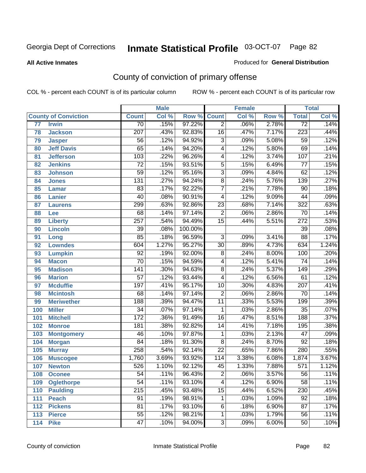#### **All Active Inmates**

#### Produced for **General Distribution**

# County of conviction of primary offense

|                 |                             |                  | <b>Male</b> |         | <b>Female</b>   |       |       | <b>Total</b>     |       |
|-----------------|-----------------------------|------------------|-------------|---------|-----------------|-------|-------|------------------|-------|
|                 | <b>County of Conviction</b> | <b>Count</b>     | Col %       | Row %   | <b>Count</b>    | Col % | Row % | <b>Total</b>     | Col % |
| $\overline{77}$ | <b>Irwin</b>                | $\overline{70}$  | .15%        | 97.22%  | $\overline{2}$  | .06%  | 2.78% | $\overline{72}$  | .14%  |
| 78              | <b>Jackson</b>              | 207              | .43%        | 92.83%  | 16              | .47%  | 7.17% | 223              | .44%  |
| 79              | <b>Jasper</b>               | $\overline{56}$  | .12%        | 94.92%  | $\overline{3}$  | .09%  | 5.08% | 59               | .12%  |
| 80              | <b>Jeff Davis</b>           | 65               | .14%        | 94.20%  | 4               | .12%  | 5.80% | 69               | .14%  |
| 81              | <b>Jefferson</b>            | 103              | .22%        | 96.26%  | 4               | .12%  | 3.74% | 107              | .21%  |
| 82              | <b>Jenkins</b>              | $\overline{72}$  | .15%        | 93.51%  | $\overline{5}$  | .15%  | 6.49% | $\overline{77}$  | .15%  |
| 83              | <b>Johnson</b>              | 59               | .12%        | 95.16%  | $\overline{3}$  | .09%  | 4.84% | 62               | .12%  |
| 84              | <b>Jones</b>                | 131              | .27%        | 94.24%  | $\overline{8}$  | .24%  | 5.76% | 139              | .27%  |
| 85              | <b>Lamar</b>                | 83               | .17%        | 92.22%  | $\overline{7}$  | .21%  | 7.78% | $\overline{90}$  | .18%  |
| 86              | <b>Lanier</b>               | 40               | .08%        | 90.91%  | 4               | .12%  | 9.09% | $\overline{44}$  | .09%  |
| 87              | <b>Laurens</b>              | 299              | .63%        | 92.86%  | $\overline{23}$ | .68%  | 7.14% | 322              | .63%  |
| 88              | Lee                         | 68               | .14%        | 97.14%  | $\overline{2}$  | .06%  | 2.86% | 70               | .14%  |
| 89              | <b>Liberty</b>              | $\overline{257}$ | .54%        | 94.49%  | $\overline{15}$ | .44%  | 5.51% | $\overline{272}$ | .53%  |
| 90              | <b>Lincoln</b>              | $\overline{39}$  | .08%        | 100.00% |                 |       |       | $\overline{39}$  | .08%  |
| 91              | Long                        | $\overline{85}$  | .18%        | 96.59%  | $\overline{3}$  | .09%  | 3.41% | 88               | .17%  |
| 92              | <b>Lowndes</b>              | 604              | 1.27%       | 95.27%  | 30              | .89%  | 4.73% | 634              | 1.24% |
| 93              | <b>Lumpkin</b>              | $\overline{92}$  | .19%        | 92.00%  | $\overline{8}$  | .24%  | 8.00% | 100              | .20%  |
| 94              | <b>Macon</b>                | $\overline{70}$  | .15%        | 94.59%  | 4               | .12%  | 5.41% | $\overline{74}$  | .14%  |
| 95              | <b>Madison</b>              | 141              | .30%        | 94.63%  | $\overline{8}$  | .24%  | 5.37% | $\overline{149}$ | .29%  |
| 96              | <b>Marion</b>               | $\overline{57}$  | .12%        | 93.44%  | 4               | .12%  | 6.56% | 61               | .12%  |
| 97              | <b>Mcduffie</b>             | 197              | .41%        | 95.17%  | 10              | .30%  | 4.83% | 207              | .41%  |
| 98              | <b>Mcintosh</b>             | 68               | .14%        | 97.14%  | $\overline{2}$  | .06%  | 2.86% | $\overline{70}$  | .14%  |
| 99              | <b>Meriwether</b>           | 188              | .39%        | 94.47%  | 11              | .33%  | 5.53% | 199              | .39%  |
| 100             | <b>Miller</b>               | 34               | .07%        | 97.14%  | 1               | .03%  | 2.86% | $\overline{35}$  | .07%  |
| 101             | <b>Mitchell</b>             | $\overline{172}$ | .36%        | 91.49%  | $\overline{16}$ | .47%  | 8.51% | 188              | .37%  |
| 102             | <b>Monroe</b>               | 181              | .38%        | 92.82%  | 14              | .41%  | 7.18% | 195              | .38%  |
| 103             | <b>Montgomery</b>           | 46               | .10%        | 97.87%  | $\mathbf 1$     | .03%  | 2.13% | $\overline{47}$  | .09%  |
| 104             | <b>Morgan</b>               | $\overline{84}$  | .18%        | 91.30%  | 8               | .24%  | 8.70% | 92               | .18%  |
| 105             | <b>Murray</b>               | 258              | .54%        | 92.14%  | $\overline{22}$ | .65%  | 7.86% | 280              | .55%  |
| 106             | <b>Muscogee</b>             | 1,760            | 3.69%       | 93.92%  | 114             | 3.38% | 6.08% | 1,874            | 3.67% |
| 107             | <b>Newton</b>               | $\overline{526}$ | 1.10%       | 92.12%  | 45              | 1.33% | 7.88% | $\overline{571}$ | 1.12% |
| 108             | <b>Oconee</b>               | 54               | .11%        | 96.43%  | 2               | .06%  | 3.57% | 56               | .11%  |
| 109             | <b>Oglethorpe</b>           | $\overline{54}$  | .11%        | 93.10%  | $\overline{4}$  | .12%  | 6.90% | $\overline{58}$  | .11%  |
| 110             | Paulding                    | $\overline{215}$ | .45%        | 93.48%  | $\overline{15}$ | .44%  | 6.52% | 230              | .45%  |
| 111             | <b>Peach</b>                | 91               | .19%        | 98.91%  | $\mathbf 1$     | .03%  | 1.09% | 92               | .18%  |
| 112             | <b>Pickens</b>              | 81               | .17%        | 93.10%  | 6               | .18%  | 6.90% | 87               | .17%  |
| 113             | <b>Pierce</b>               | $\overline{55}$  | .12%        | 98.21%  | $\mathbf{1}$    | .03%  | 1.79% | 56               | .11%  |
| 114             | <b>Pike</b>                 | $\overline{47}$  | .10%        | 94.00%  | $\overline{3}$  | .09%  | 6.00% | 50               | .10%  |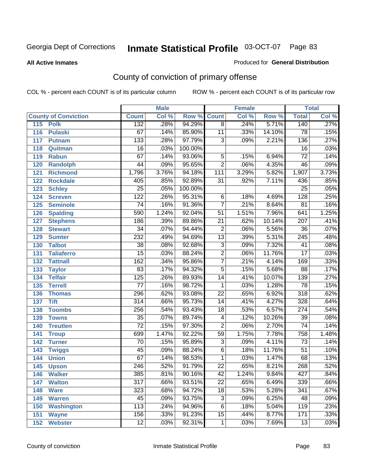#### **All Active Inmates**

#### Produced for **General Distribution**

# County of conviction of primary offense

|                             |                  | <b>Male</b> |         |                 | <b>Female</b> |        |                  | <b>Total</b> |
|-----------------------------|------------------|-------------|---------|-----------------|---------------|--------|------------------|--------------|
| <b>County of Conviction</b> | <b>Count</b>     | Col %       | Row %   | <b>Count</b>    | Col %         | Row %  | <b>Total</b>     | Col %        |
| 115<br><b>Polk</b>          | 132              | .28%        | 94.29%  | $\overline{8}$  | .24%          | 5.71%  | 140              | .27%         |
| <b>Pulaski</b><br>116       | $\overline{67}$  | .14%        | 85.90%  | $\overline{11}$ | .33%          | 14.10% | $\overline{78}$  | .15%         |
| 117<br><b>Putnam</b>        | $\overline{133}$ | .28%        | 97.79%  | $\overline{3}$  | .09%          | 2.21%  | 136              | .27%         |
| 118<br>Quitman              | $\overline{16}$  | .03%        | 100.00% |                 |               |        | $\overline{16}$  | .03%         |
| 119<br><b>Rabun</b>         | 67               | .14%        | 93.06%  | $\overline{5}$  | .15%          | 6.94%  | $\overline{72}$  | .14%         |
| 120<br><b>Randolph</b>      | $\overline{44}$  | .09%        | 95.65%  | $\overline{2}$  | .06%          | 4.35%  | 46               | .09%         |
| 121<br><b>Richmond</b>      | 1,796            | 3.76%       | 94.18%  | 111             | 3.29%         | 5.82%  | 1,907            | 3.73%        |
| 122<br><b>Rockdale</b>      | 405              | .85%        | 92.89%  | 31              | .92%          | 7.11%  | 436              | .85%         |
| 123<br><b>Schley</b>        | $\overline{25}$  | .05%        | 100.00% |                 |               |        | $\overline{25}$  | .05%         |
| 124<br><b>Screven</b>       | $\overline{122}$ | .26%        | 95.31%  | $\overline{6}$  | .18%          | 4.69%  | $\overline{128}$ | .25%         |
| <b>Seminole</b><br>125      | $\overline{74}$  | .16%        | 91.36%  | $\overline{7}$  | .21%          | 8.64%  | $\overline{81}$  | .16%         |
| <b>Spalding</b><br>126      | 590              | 1.24%       | 92.04%  | 51              | 1.51%         | 7.96%  | 641              | 1.25%        |
| 127<br><b>Stephens</b>      | 186              | .39%        | 89.86%  | $\overline{21}$ | .62%          | 10.14% | $\overline{207}$ | .41%         |
| 128<br><b>Stewart</b>       | $\overline{34}$  | .07%        | 94.44%  | $\overline{2}$  | .06%          | 5.56%  | $\overline{36}$  | .07%         |
| 129<br><b>Sumter</b>        | 232              | .49%        | 94.69%  | $\overline{13}$ | .39%          | 5.31%  | $\overline{245}$ | .48%         |
| <b>Talbot</b><br>130        | $\overline{38}$  | .08%        | 92.68%  | $\overline{3}$  | .09%          | 7.32%  | $\overline{41}$  | .08%         |
| 131<br><b>Taliaferro</b>    | $\overline{15}$  | .03%        | 88.24%  | $\overline{2}$  | .06%          | 11.76% | $\overline{17}$  | .03%         |
| 132<br><b>Tattnall</b>      | $\overline{162}$ | .34%        | 95.86%  | $\overline{7}$  | .21%          | 4.14%  | 169              | .33%         |
| 133<br><b>Taylor</b>        | 83               | .17%        | 94.32%  | $\overline{5}$  | .15%          | 5.68%  | $\overline{88}$  | .17%         |
| <b>Telfair</b><br>134       | $\overline{125}$ | .26%        | 89.93%  | $\overline{14}$ | .41%          | 10.07% | 139              | .27%         |
| 135<br><b>Terrell</b>       | $\overline{77}$  | .16%        | 98.72%  | 1               | .03%          | 1.28%  | $\overline{78}$  | .15%         |
| 136<br><b>Thomas</b>        | 296              | .62%        | 93.08%  | $\overline{22}$ | .65%          | 6.92%  | $\overline{318}$ | .62%         |
| 137<br><b>Tift</b>          | $\overline{314}$ | .66%        | 95.73%  | 14              | .41%          | 4.27%  | 328              | .64%         |
| <b>Toombs</b><br>138        | 256              | .54%        | 93.43%  | 18              | .53%          | 6.57%  | $\overline{274}$ | .54%         |
| 139<br><b>Towns</b>         | $\overline{35}$  | .07%        | 89.74%  | $\overline{4}$  | .12%          | 10.26% | $\overline{39}$  | .08%         |
| 140<br><b>Treutlen</b>      | $\overline{72}$  | .15%        | 97.30%  | $\overline{2}$  | .06%          | 2.70%  | $\overline{74}$  | .14%         |
| 141<br><b>Troup</b>         | 699              | 1.47%       | 92.22%  | 59              | 1.75%         | 7.78%  | 758              | 1.48%        |
| 142<br><b>Turner</b>        | $\overline{70}$  | .15%        | 95.89%  | $\overline{3}$  | .09%          | 4.11%  | $\overline{73}$  | .14%         |
| 143<br><b>Twiggs</b>        | $\overline{45}$  | .09%        | 88.24%  | $\overline{6}$  | .18%          | 11.76% | $\overline{51}$  | .10%         |
| 144<br><b>Union</b>         | $\overline{67}$  | .14%        | 98.53%  | 1               | .03%          | 1.47%  | 68               | .13%         |
| 145<br><b>Upson</b>         | $\overline{246}$ | .52%        | 91.79%  | $\overline{22}$ | .65%          | 8.21%  | 268              | .52%         |
| 146<br><b>Walker</b>        | 385              | .81%        | 90.16%  | 42              | 1.24%         | 9.84%  | 427              | .84%         |
| 147<br><b>Walton</b>        | $\overline{317}$ | .66%        | 93.51%  | $\overline{22}$ | .65%          | 6.49%  | 339              | .66%         |
| 148<br><b>Ware</b>          | 323              | .68%        | 94.72%  | $\overline{18}$ | .53%          | 5.28%  | 341              | .67%         |
| <b>Warren</b><br>149        | 45               | .09%        | 93.75%  | $\overline{3}$  | .09%          | 6.25%  | 48               | .09%         |
| 150<br><b>Washington</b>    | 113              | .24%        | 94.96%  | $\overline{6}$  | .18%          | 5.04%  | 119              | .23%         |
| 151<br><b>Wayne</b>         | 156              | .33%        | 91.23%  | $\overline{15}$ | .44%          | 8.77%  | 171              | .33%         |
| 152<br><b>Webster</b>       | $\overline{12}$  | .03%        | 92.31%  | $\mathbf{1}$    | .03%          | 7.69%  | $\overline{13}$  | .03%         |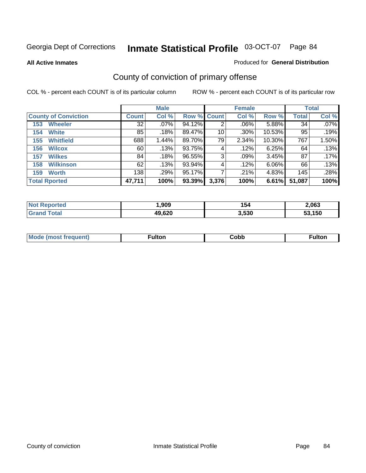**All Active Inmates**

#### Produced for **General Distribution**

# County of conviction of primary offense

|                             |              | <b>Male</b> |             |       | <b>Female</b> |           |              | <b>Total</b> |
|-----------------------------|--------------|-------------|-------------|-------|---------------|-----------|--------------|--------------|
| <b>County of Conviction</b> | <b>Count</b> | Col %       | Row % Count |       | Col %         | Row %     | <b>Total</b> | Col %        |
| <b>Wheeler</b><br>153       | 32           | $.07\%$     | 94.12%      | 2     | .06%          | 5.88%     | 34           | $.07\%$      |
| <b>White</b><br>154         | 85           | .18%        | 89.47%      | 10    | $.30\%$       | $10.53\%$ | 95           | .19%         |
| <b>Whitfield</b><br>155     | 688          | 1.44%       | 89.70%      | 79    | 2.34%         | 10.30%    | 767          | 1.50%        |
| <b>Wilcox</b><br>156        | 60           | .13%        | 93.75%      | 4     | .12%          | 6.25%     | 64           | .13%         |
| <b>Wilkes</b><br>157        | 84           | .18%        | 96.55%      | 3     | $.09\%$       | 3.45%     | 87           | .17%         |
| <b>Wilkinson</b><br>158     | 62           | .13%        | 93.94%      | 4     | .12%          | 6.06%     | 66           | .13%         |
| <b>Worth</b><br>159         | 138          | $.29\%$     | 95.17%      |       | .21%          | 4.83%     | 145          | .28%         |
| <b>Total Rported</b>        | 47,711       | 100%        | 93.39%      | 3,376 | 100%          | 6.61%     | 51,087       | 100%         |

| 'ted<br>NO | ,909   | 154   | 2,063  |
|------------|--------|-------|--------|
|            | 49,620 | 3,530 | 53.150 |

| <b>Mo</b><br>uent) | ™ulton<br>_____ | obb∶ | <b>AIWIF</b> |
|--------------------|-----------------|------|--------------|
|                    |                 |      |              |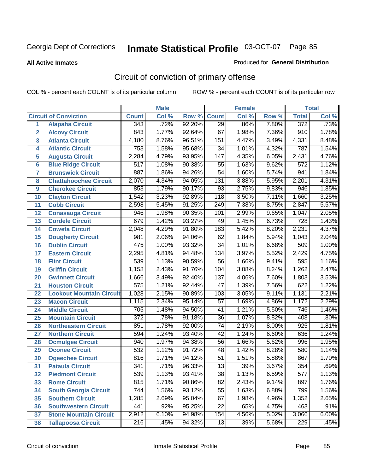**All Active Inmates**

#### Produced for **General Distribution**

# Circuit of conviction of primary offense

|                         |                                 |                  | <b>Male</b> |        |                  | <b>Female</b> |                     |                  | <b>Total</b> |
|-------------------------|---------------------------------|------------------|-------------|--------|------------------|---------------|---------------------|------------------|--------------|
|                         | <b>Circuit of Conviction</b>    | <b>Count</b>     | Col %       | Row %  | <b>Count</b>     | Col %         | Row %               | <b>Total</b>     | Col %        |
| 1                       | <b>Alapaha Circuit</b>          | 343              | .72%        | 92.20% | $\overline{29}$  | .86%          | 7.80%               | 372              | .73%         |
| $\overline{2}$          | <b>Alcovy Circuit</b>           | 843              | 1.77%       | 92.64% | 67               | 1.98%         | 7.36%               | 910              | 1.78%        |
| $\overline{\mathbf{3}}$ | <b>Atlanta Circuit</b>          | 4,180            | 8.76%       | 96.51% | 151              | 4.47%         | 3.49%               | 4,331            | 8.48%        |
| 4                       | <b>Atlantic Circuit</b>         | $\overline{753}$ | 1.58%       | 95.68% | 34               | 1.01%         | 4.32%               | 787              | 1.54%        |
| 5                       | <b>Augusta Circuit</b>          | 2,284            | 4.79%       | 93.95% | $\overline{147}$ | 4.35%         | 6.05%               | 2,431            | 4.76%        |
| 6                       | <b>Blue Ridge Circuit</b>       | 517              | 1.08%       | 90.38% | $\overline{55}$  | 1.63%         | 9.62%               | $\overline{572}$ | 1.12%        |
| 7                       | <b>Brunswick Circuit</b>        | 887              | 1.86%       | 94.26% | $\overline{54}$  | 1.60%         | 5.74%               | 941              | 1.84%        |
| 8                       | <b>Chattahoochee Circuit</b>    | 2,070            | 4.34%       | 94.05% | 131              | 3.88%         | $5.\overline{95\%}$ | 2,201            | 4.31%        |
| 9                       | <b>Cherokee Circuit</b>         | 853              | 1.79%       | 90.17% | $\overline{93}$  | 2.75%         | 9.83%               | 946              | 1.85%        |
| 10                      | <b>Clayton Circuit</b>          | 1,542            | 3.23%       | 92.89% | 118              | 3.50%         | 7.11%               | 1,660            | 3.25%        |
| 11                      | <b>Cobb Circuit</b>             | 2,598            | 5.45%       | 91.25% | 249              | 7.38%         | 8.75%               | 2,847            | 5.57%        |
| 12                      | <b>Conasauga Circuit</b>        | 946              | 1.98%       | 90.35% | 101              | 2.99%         | 9.65%               | 1,047            | 2.05%        |
| 13                      | <b>Cordele Circuit</b>          | 679              | 1.42%       | 93.27% | 49               | 1.45%         | 6.73%               | 728              | 1.43%        |
| 14                      | <b>Coweta Circuit</b>           | 2,048            | 4.29%       | 91.80% | 183              | 5.42%         | 8.20%               | 2,231            | 4.37%        |
| 15                      | <b>Dougherty Circuit</b>        | 981              | 2.06%       | 94.06% | 62               | 1.84%         | 5.94%               | 1,043            | 2.04%        |
| 16                      | <b>Dublin Circuit</b>           | 475              | 1.00%       | 93.32% | 34               | 1.01%         | 6.68%               | 509              | 1.00%        |
| 17                      | <b>Eastern Circuit</b>          | 2,295            | 4.81%       | 94.48% | 134              | 3.97%         | 5.52%               | 2,429            | 4.75%        |
| 18                      | <b>Flint Circuit</b>            | 539              | 1.13%       | 90.59% | $\overline{56}$  | 1.66%         | 9.41%               | 595              | 1.16%        |
| 19                      | <b>Griffin Circuit</b>          | 1,158            | 2.43%       | 91.76% | 104              | 3.08%         | 8.24%               | 1,262            | 2.47%        |
| 20                      | <b>Gwinnett Circuit</b>         | 1,666            | 3.49%       | 92.40% | 137              | 4.06%         | 7.60%               | 1,803            | 3.53%        |
| 21                      | <b>Houston Circuit</b>          | $\overline{575}$ | 1.21%       | 92.44% | $\overline{47}$  | 1.39%         | 7.56%               | 622              | 1.22%        |
| 22                      | <b>Lookout Mountain Circuit</b> | 1,028            | 2.15%       | 90.89% | 103              | 3.05%         | 9.11%               | 1,131            | 2.21%        |
| 23                      | <b>Macon Circuit</b>            | 1,115            | 2.34%       | 95.14% | $\overline{57}$  | 1.69%         | 4.86%               | 1,172            | 2.29%        |
| 24                      | <b>Middle Circuit</b>           | $\overline{705}$ | 1.48%       | 94.50% | 41               | 1.21%         | 5.50%               | 746              | 1.46%        |
| 25                      | <b>Mountain Circuit</b>         | $\overline{372}$ | .78%        | 91.18% | $\overline{36}$  | 1.07%         | 8.82%               | 408              | .80%         |
| 26                      | <b>Northeastern Circuit</b>     | 851              | 1.78%       | 92.00% | $\overline{74}$  | 2.19%         | 8.00%               | 925              | 1.81%        |
| 27                      | <b>Northern Circuit</b>         | 594              | 1.24%       | 93.40% | 42               | 1.24%         | 6.60%               | 636              | 1.24%        |
| 28                      | <b>Ocmulgee Circuit</b>         | 940              | 1.97%       | 94.38% | 56               | 1.66%         | 5.62%               | 996              | 1.95%        |
| 29                      | <b>Oconee Circuit</b>           | 532              | 1.12%       | 91.72% | 48               | 1.42%         | 8.28%               | 580              | 1.14%        |
| 30                      | <b>Ogeechee Circuit</b>         | 816              | 1.71%       | 94.12% | $\overline{51}$  | 1.51%         | 5.88%               | 867              | 1.70%        |
| 31                      | <b>Pataula Circuit</b>          | 341              | .71%        | 96.33% | 13               | .39%          | 3.67%               | 354              | .69%         |
| 32                      | <b>Piedmont Circuit</b>         | 539              | 1.13%       | 93.41% | 38               | 1.13%         | 6.59%               | 577              | 1.13%        |
| 33                      | <b>Rome Circuit</b>             | 815              | 1.71%       | 90.86% | $\overline{82}$  | 2.43%         | 9.14%               | 897              | 1.76%        |
| 34                      | <b>South Georgia Circuit</b>    | 744              | 1.56%       | 93.12% | 55               | 1.63%         | 6.88%               | 799              | 1.56%        |
| 35                      | <b>Southern Circuit</b>         | 1,285            | 2.69%       | 95.04% | 67               | 1.98%         | 4.96%               | 1,352            | 2.65%        |
| 36                      | <b>Southwestern Circuit</b>     | 441              | .92%        | 95.25% | 22               | .65%          | 4.75%               | 463              | .91%         |
| 37                      | <b>Stone Mountain Circuit</b>   | 2,912            | 6.10%       | 94.98% | 154              | 4.56%         | 5.02%               | 3,066            | 6.00%        |
| 38                      | <b>Tallapoosa Circuit</b>       | 216              | .45%        | 94.32% | 13               | .39%          | 5.68%               | 229              | .45%         |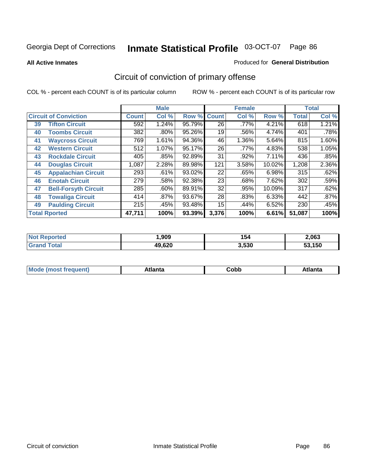**All Active Inmates**

### Produced for **General Distribution**

# Circuit of conviction of primary offense

|    |                              |              | <b>Male</b> |        |                 | <b>Female</b> |        |              | <b>Total</b> |
|----|------------------------------|--------------|-------------|--------|-----------------|---------------|--------|--------------|--------------|
|    | <b>Circuit of Conviction</b> | <b>Count</b> | Col %       | Row %  | <b>Count</b>    | Col %         | Row %  | <b>Total</b> | Col %        |
| 39 | <b>Tifton Circuit</b>        | 592          | 1.24%       | 95.79% | $\overline{26}$ | $.77\%$       | 4.21%  | 618          | 1.21%        |
| 40 | <b>Toombs Circuit</b>        | 382          | .80%        | 95.26% | 19              | .56%          | 4.74%  | 401          | .78%         |
| 41 | <b>Waycross Circuit</b>      | 769          | 1.61%       | 94.36% | 46              | 1.36%         | 5.64%  | 815          | 1.60%        |
| 42 | <b>Western Circuit</b>       | 512          | 1.07%       | 95.17% | 26              | .77%          | 4.83%  | 538          | 1.05%        |
| 43 | <b>Rockdale Circuit</b>      | 405          | .85%        | 92.89% | 31              | .92%          | 7.11%  | 436          | .85%         |
| 44 | <b>Douglas Circuit</b>       | 1,087        | 2.28%       | 89.98% | 121             | 3.58%         | 10.02% | 1,208        | 2.36%        |
| 45 | <b>Appalachian Circuit</b>   | 293          | .61%        | 93.02% | 22              | .65%          | 6.98%  | 315          | .62%         |
| 46 | <b>Enotah Circuit</b>        | 279          | .58%        | 92.38% | 23              | .68%          | 7.62%  | 302          | .59%         |
| 47 | <b>Bell-Forsyth Circuit</b>  | 285          | .60%        | 89.91% | 32              | .95%          | 10.09% | 317          | .62%         |
| 48 | <b>Towaliga Circuit</b>      | 414          | $.87\%$     | 93.67% | 28              | .83%          | 6.33%  | 442          | .87%         |
| 49 | <b>Paulding Circuit</b>      | 215          | .45%        | 93.48% | 15              | .44%          | 6.52%  | 230          | .45%         |
|    | <b>Total Rported</b>         | 47,711       | 100%        | 93.39% | 3,376           | 100%          | 6.61%  | 51,087       | 100%         |

| ted<br><b>N</b> | ,909   | 154   | 2,063  |
|-----------------|--------|-------|--------|
|                 | 49,620 | 3,530 | 53.150 |

| <b>M</b> ດ<br>.<br>. | $+1$ ant $\cdot$<br>ιαπιω<br>. <i>. .</i> | ∶obb<br>- - - - - | 'anta |
|----------------------|-------------------------------------------|-------------------|-------|
|----------------------|-------------------------------------------|-------------------|-------|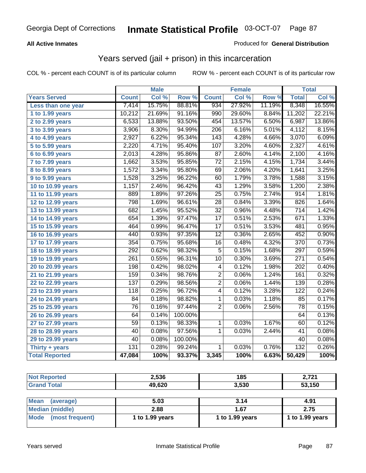### **All Active Inmates**

### Produced for **General Distribution**

## Years served (jail + prison) in this incarceration

|                              |                 | <b>Male</b> |         |                  | <b>Female</b> |        |                  | <b>Total</b> |
|------------------------------|-----------------|-------------|---------|------------------|---------------|--------|------------------|--------------|
| <b>Years Served</b>          | <b>Count</b>    | Col %       | Row %   | <b>Count</b>     | Col %         | Row %  | <b>Total</b>     | Col %        |
| Less than one year           | 7,414           | 15.75%      | 88.81%  | 934              | 27.92%        | 11.19% | 8,348            | 16.55%       |
| 1 to 1.99 years              | 10,212          | 21.69%      | 91.16%  | 990              | 29.60%        | 8.84%  | 11,202           | 22.21%       |
| 2 to 2.99 years              | 6,533           | 13.88%      | 93.50%  | 454              | 13.57%        | 6.50%  | 6,987            | 13.86%       |
| 3 to 3.99 years              | 3,906           | 8.30%       | 94.99%  | $\overline{206}$ | 6.16%         | 5.01%  | 4,112            | 8.15%        |
| 4 to 4.99 years              | 2,927           | 6.22%       | 95.34%  | 143              | 4.28%         | 4.66%  | 3,070            | 6.09%        |
| 5 to 5.99 years              | 2,220           | 4.71%       | 95.40%  | 107              | 3.20%         | 4.60%  | 2,327            | 4.61%        |
| 6 to 6.99 years              | 2,013           | 4.28%       | 95.86%  | $\overline{87}$  | 2.60%         | 4.14%  | 2,100            | 4.16%        |
| $\overline{7}$ to 7.99 years | 1,662           | 3.53%       | 95.85%  | $\overline{72}$  | 2.15%         | 4.15%  | 1,734            | 3.44%        |
| <b>8 to 8.99 years</b>       | 1,572           | 3.34%       | 95.80%  | 69               | 2.06%         | 4.20%  | 1,641            | 3.25%        |
| 9 to 9.99 years              | 1,528           | 3.25%       | 96.22%  | 60               | 1.79%         | 3.78%  | 1,588            | 3.15%        |
| 10 to 10.99 years            | 1,157           | 2.46%       | 96.42%  | 43               | 1.29%         | 3.58%  | 1,200            | 2.38%        |
| 11 to 11.99 years            | 889             | 1.89%       | 97.26%  | 25               | 0.75%         | 2.74%  | 914              | 1.81%        |
| 12 to 12.99 years            | 798             | 1.69%       | 96.61%  | $\overline{28}$  | 0.84%         | 3.39%  | 826              | 1.64%        |
| 13 to 13.99 years            | 682             | 1.45%       | 95.52%  | $\overline{32}$  | 0.96%         | 4.48%  | 714              | 1.42%        |
| 14 to 14.99 years            | 654             | 1.39%       | 97.47%  | $\overline{17}$  | 0.51%         | 2.53%  | 671              | 1.33%        |
| 15 to 15.99 years            | 464             | 0.99%       | 96.47%  | $\overline{17}$  | 0.51%         | 3.53%  | 481              | 0.95%        |
| 16 to 16.99 years            | 440             | 0.93%       | 97.35%  | $\overline{12}$  | 0.36%         | 2.65%  | 452              | 0.90%        |
| 17 to 17.99 years            | 354             | 0.75%       | 95.68%  | $\overline{16}$  | 0.48%         | 4.32%  | $\overline{370}$ | 0.73%        |
| 18 to 18.99 years            | 292             | 0.62%       | 98.32%  | $\overline{5}$   | 0.15%         | 1.68%  | $\overline{297}$ | 0.59%        |
| 19 to 19.99 years            | 261             | 0.55%       | 96.31%  | $\overline{10}$  | 0.30%         | 3.69%  | $\overline{271}$ | 0.54%        |
| 20 to 20.99 years            | 198             | 0.42%       | 98.02%  | 4                | 0.12%         | 1.98%  | $\overline{202}$ | 0.40%        |
| 21 to 21.99 years            | 159             | 0.34%       | 98.76%  | $\overline{2}$   | 0.06%         | 1.24%  | 161              | 0.32%        |
| 22 to 22.99 years            | 137             | 0.29%       | 98.56%  | $\overline{2}$   | 0.06%         | 1.44%  | 139              | 0.28%        |
| 23 to 23.99 years            | 118             | 0.25%       | 96.72%  | $\overline{4}$   | 0.12%         | 3.28%  | 122              | 0.24%        |
| 24 to 24.99 years            | 84              | 0.18%       | 98.82%  | 1                | 0.03%         | 1.18%  | 85               | 0.17%        |
| 25 to 25.99 years            | $\overline{76}$ | 0.16%       | 97.44%  | $\overline{2}$   | 0.06%         | 2.56%  | $\overline{78}$  | 0.15%        |
| 26 to 26.99 years            | 64              | 0.14%       | 100.00% |                  |               |        | 64               | 0.13%        |
| 27 to 27.99 years            | 59              | 0.13%       | 98.33%  | 1                | 0.03%         | 1.67%  | 60               | 0.12%        |
| 28 to 28.99 years            | 40              | 0.08%       | 97.56%  | $\mathbf{1}$     | 0.03%         | 2.44%  | 41               | 0.08%        |
| 29 to 29.99 years            | 40              | 0.08%       | 100.00% |                  |               |        | 40               | 0.08%        |
| Thirty + years               | 131             | 0.28%       | 99.24%  | $\overline{1}$   | 0.03%         | 0.76%  | $\overline{132}$ | 0.26%        |
| <b>Total Reported</b>        | 47,084          | 100%        | 93.37%  | 3,345            | 100%          | 6.63%  | 50,429           | 100%         |

| <b>Not Reported</b>            | 2,536           | 185             | 2,721           |
|--------------------------------|-----------------|-----------------|-----------------|
| <b>Grand Total</b>             | 49,620          | 3,530           | 53,150          |
|                                |                 |                 |                 |
| <b>Mean</b><br>(average)       | 5.03            | 3.14            | 4.91            |
| Median (middle)                | 2.88            | 1.67            | 2.75            |
| <b>Mode</b><br>(most frequent) | 1 to 1.99 years | 1 to 1.99 years | 1 to 1.99 years |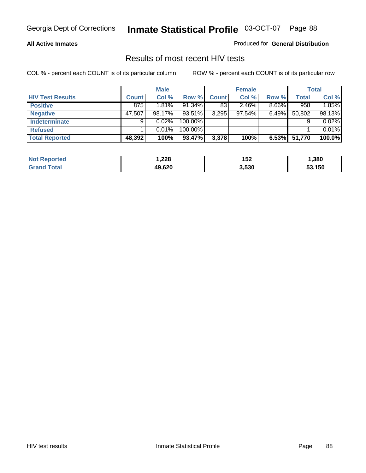### **All Active Inmates**

Produced for **General Distribution**

### Results of most recent HIV tests

|                         |              | <b>Male</b> |         |              | <b>Female</b> |          |        | <b>Total</b> |
|-------------------------|--------------|-------------|---------|--------------|---------------|----------|--------|--------------|
| <b>HIV Test Results</b> | <b>Count</b> | Col %       | Row %   | <b>Count</b> | Col %         | Row %    | Total  | Col %        |
| <b>Positive</b>         | 875          | 1.81%       | 91.34%  | 83           | 2.46%         | $8.66\%$ | 958    | 1.85%        |
| <b>Negative</b>         | 47,507       | 98.17%      | 93.51%  | 3,295        | 97.54%        | $6.49\%$ | 50,802 | 98.13%       |
| Indeterminate           | 9            | 0.02%       | 100.00% |              |               |          |        | 0.02%        |
| <b>Refused</b>          |              | 0.01%       | 100.00% |              |               |          |        | 0.01%        |
| <b>Total Reported</b>   | 48,392       | 100%        | 93.47%  | 3,378        | 100%          | 6.53%    | 51,770 | 100.0%       |

| <b>Not</b><br>eported | 228,   | 152   | .380   |
|-----------------------|--------|-------|--------|
| Gran<br><b>ota</b>    | 49.620 | 3,530 | 53.150 |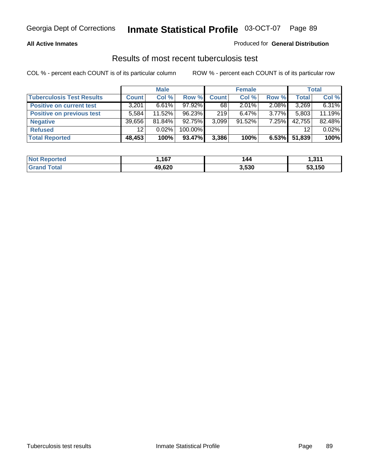### **All Active Inmates**

### Produced for **General Distribution**

### Results of most recent tuberculosis test

|                                  |                 | <b>Male</b> |           |              | <b>Female</b> |          |              | <b>Total</b> |
|----------------------------------|-----------------|-------------|-----------|--------------|---------------|----------|--------------|--------------|
| <b>Tuberculosis Test Results</b> | Count           | Col %       | Row %     | <b>Count</b> | Col %         | Row %    | <b>Total</b> | Col %        |
| <b>Positive on current test</b>  | 3,201           | 6.61%       | $97.92\%$ | 68           | $2.01\%$      | 2.08%    | 3,269        | 6.31%        |
| <b>Positive on previous test</b> | 5.584           | 11.52%      | 96.23%    | 219          | $6.47\%$      | $3.77\%$ | 5,803        | 11.19%       |
| <b>Negative</b>                  | 39,656          | 81.84%      | 92.75%    | 3,099        | $91.52\%$     | 7.25%    | 42,755       | 82.48%       |
| <b>Refused</b>                   | 12 <sub>1</sub> | 0.02%       | 100.00%   |              |               |          | 12           | 0.02%        |
| <b>Total Reported</b>            | 48,453          | 100%        | 93.47%    | 3,386        | 100%          | 6.53%    | 51,839       | 100%         |

| <b>Not Reported</b>   | .167   | 144   | l 944<br>1.J I |
|-----------------------|--------|-------|----------------|
| Total<br><b>Grand</b> | 49,620 | 3,530 | 53,150         |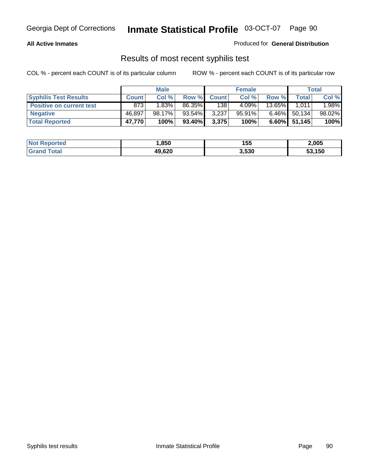### **All Active Inmates**

Produced for **General Distribution**

### Results of most recent syphilis test

|                                 |              | <b>Male</b> |        |              | <b>Female</b> |                 |                 | <b>Total</b> |
|---------------------------------|--------------|-------------|--------|--------------|---------------|-----------------|-----------------|--------------|
| <b>Syphilis Test Results</b>    | <b>Count</b> | Col %       | Row %  | <b>Count</b> | Col %         | Row %           | <b>Total</b>    | Col %        |
| <b>Positive on current test</b> | 873          | 1.83%       | 86.35% | 138          | 4.09%         | 13.65% <b>I</b> | 1,011           | 1.98%        |
| <b>Negative</b>                 | 46.897       | 98.17%      | 93.54% | 3,237        | 95.91%        | $6.46\%$        | 50,134          | 98.02%       |
| <b>Total Reported</b>           | 47,770       | 100%        | 93.40% | 3,375        | 100%          |                 | $6.60\%$ 51,145 | 100%         |

| <b>Not Reported</b> | .850   | 155   | 2,005  |
|---------------------|--------|-------|--------|
| <b>Grand Total</b>  | 49,620 | 3,530 | 53,150 |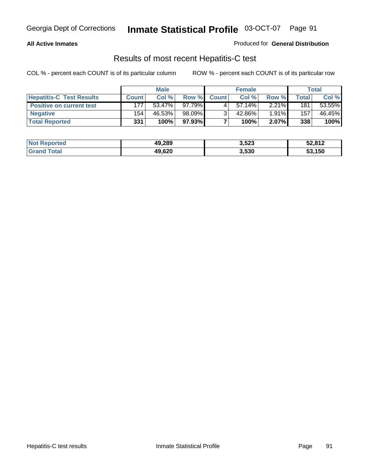### **All Active Inmates**

### Produced for **General Distribution**

### Results of most recent Hepatitis-C test

|                                 |              | <b>Male</b> |        |              | <b>Female</b> |          |       | <b>Total</b> |
|---------------------------------|--------------|-------------|--------|--------------|---------------|----------|-------|--------------|
| <b>Hepatitis-C Test Results</b> | <b>Count</b> | Col %       | Row %  | <b>Count</b> | Col %         | Row %    | Total | Col %        |
| <b>Positive on current test</b> | 177          | 53.47%      | 97.79% |              | $57.14\%$     | $2.21\%$ | 181   | 53.55%       |
| <b>Negative</b>                 | 154          | 46.53%      | 98.09% |              | 42.86%        | 1.91%    | 157   | 46.45%       |
| <b>Total Reported</b>           | 331          | 100%        | 97.93% |              | 100%          | 2.07%    | 338   | 100%         |

| <b>Not Reported</b> | 49,289 | 3,523 | 52,812 |
|---------------------|--------|-------|--------|
| <b>Grand Total</b>  | 49,620 | 3,530 | 53,150 |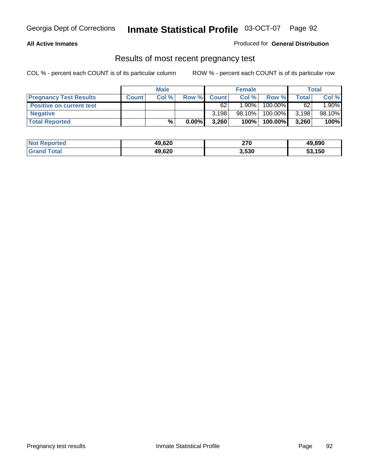### **All Active Inmates**

### Produced for **General Distribution**

### Results of most recent pregnancy test

|                                 | <b>Male</b>  |       | <b>Female</b> |              |          | Total   |       |        |
|---------------------------------|--------------|-------|---------------|--------------|----------|---------|-------|--------|
| <b>Pregnancy Test Results</b>   | <b>Count</b> | Col % | Row %         | <b>Count</b> | Col %    | Row %   | Total | Col %  |
| <b>Positive on current test</b> |              |       |               | 62           | $1.90\%$ | 100.00% | 62    | 1.90%  |
| <b>Negative</b>                 |              |       |               | 3.198        | 98.10%   | 100.00% | 3,198 | 98.10% |
| <b>Total Reported</b>           |              | %     | $0.00\%$      | 3,260        | 100%     | 100.00% | 3,260 | 100%   |

| <b>Not Reported</b> | 49,620 | 270   | 49,890 |
|---------------------|--------|-------|--------|
| <b>Grand Total</b>  | 49,620 | 3,530 | 53,150 |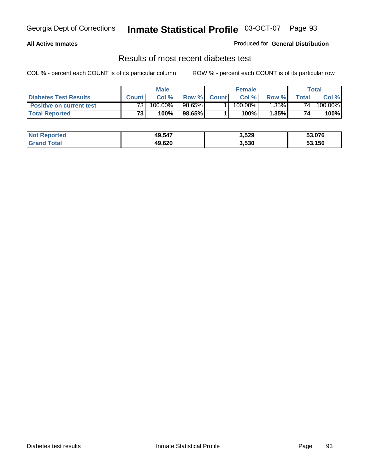### **All Active Inmates**

### Produced for **General Distribution**

### Results of most recent diabetes test

|                                 | <b>Male</b>     |         |        | <b>Female</b> |                       |          | Total |         |
|---------------------------------|-----------------|---------|--------|---------------|-----------------------|----------|-------|---------|
| <b>Diabetes Test Results</b>    | <b>Count</b>    | Col %   | Row %  | <b>Count</b>  | Col %                 | Row %I   | Total | Col %   |
| <b>Positive on current test</b> | 73 <sub>1</sub> | 100.00% | 98.65% |               | $100.\overline{00\%}$ | $1.35\%$ | 74    | 100.00% |
| <b>Total Reported</b>           | 73.             | 100%    | 98.65% |               | $100\%$               | 1.35%    | 74    | 100%    |

| <b>Not Reported</b>          | 49,547 | 3,529 | 53.076 |
|------------------------------|--------|-------|--------|
| <b>Total</b><br><b>Grand</b> | 49,620 | 3,530 | 53,150 |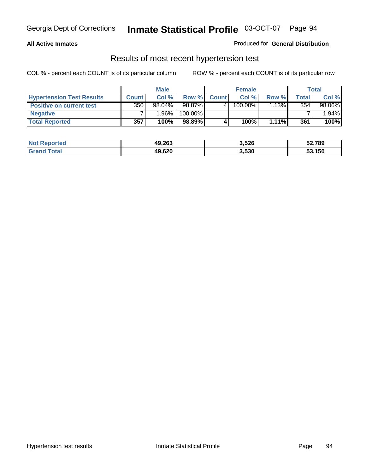### **All Active Inmates**

### Produced for **General Distribution**

### Results of most recent hypertension test

|                                  |                  | <b>Male</b> |         |              | <b>Female</b> |          |       | <b>Total</b> |
|----------------------------------|------------------|-------------|---------|--------------|---------------|----------|-------|--------------|
| <b>Hypertension Test Results</b> | <b>Count</b>     | Col %       | Row %   | <b>Count</b> | Col%          | Row %    | Total | Col %        |
| <b>Positive on current test</b>  | 350 <sub>1</sub> | 98.04%      | 98.87%  |              | $100.00\%$    | 1.13%    | 354   | 98.06%       |
| <b>Negative</b>                  |                  | 1.96%       | 100.00% |              |               |          |       | 1.94%        |
| <b>Total Reported</b>            | 357              | 100%        | 98.89%  |              | 100%          | $1.11\%$ | 361   | 100%         |

| <b>Not Reported</b> | 49,263 | 3,526 | 52,789 |
|---------------------|--------|-------|--------|
| <b>Grand Total</b>  | 49,620 | 3,530 | 53,150 |